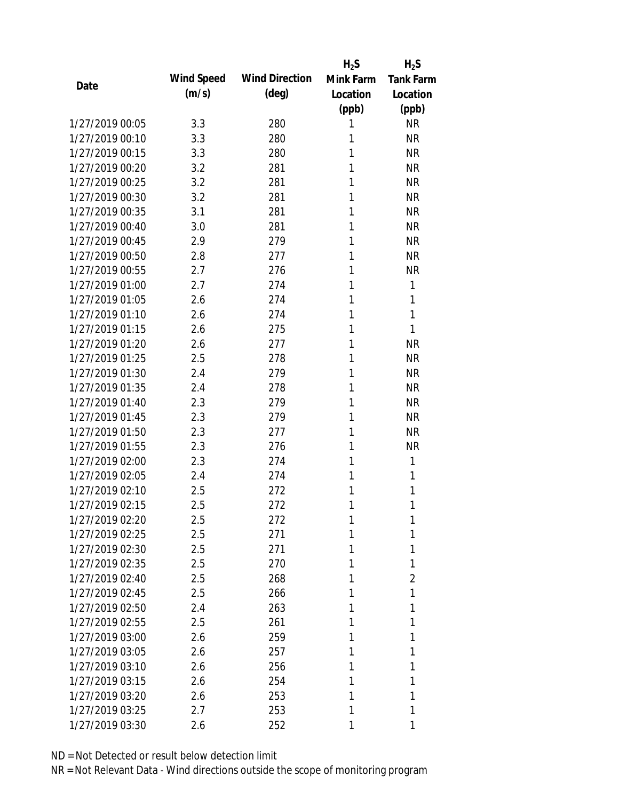|                 |            |                       | $H_2S$    | $H_2S$           |
|-----------------|------------|-----------------------|-----------|------------------|
| Date            | Wind Speed | <b>Wind Direction</b> | Mink Farm | <b>Tank Farm</b> |
|                 | (m/s)      | $(\text{deg})$        | Location  | Location         |
|                 |            |                       | (ppb)     | (ppb)            |
| 1/27/2019 00:05 | 3.3        | 280                   | 1         | <b>NR</b>        |
| 1/27/2019 00:10 | 3.3        | 280                   | 1         | <b>NR</b>        |
| 1/27/2019 00:15 | 3.3        | 280                   | 1         | <b>NR</b>        |
| 1/27/2019 00:20 | 3.2        | 281                   | 1         | <b>NR</b>        |
| 1/27/2019 00:25 | 3.2        | 281                   | 1         | <b>NR</b>        |
| 1/27/2019 00:30 | 3.2        | 281                   | 1         | <b>NR</b>        |
| 1/27/2019 00:35 | 3.1        | 281                   | 1         | <b>NR</b>        |
| 1/27/2019 00:40 | 3.0        | 281                   | 1         | <b>NR</b>        |
| 1/27/2019 00:45 | 2.9        | 279                   | 1         | <b>NR</b>        |
| 1/27/2019 00:50 | 2.8        | 277                   | 1         | <b>NR</b>        |
| 1/27/2019 00:55 | 2.7        | 276                   | 1         | <b>NR</b>        |
| 1/27/2019 01:00 | 2.7        | 274                   | 1         | 1                |
| 1/27/2019 01:05 | 2.6        | 274                   | 1         | 1                |
| 1/27/2019 01:10 | 2.6        | 274                   | 1         | 1                |
| 1/27/2019 01:15 | 2.6        | 275                   | 1         | 1                |
| 1/27/2019 01:20 | 2.6        | 277                   | 1         | <b>NR</b>        |
| 1/27/2019 01:25 | 2.5        | 278                   | 1         | <b>NR</b>        |
| 1/27/2019 01:30 | 2.4        | 279                   | 1         | <b>NR</b>        |
| 1/27/2019 01:35 | 2.4        | 278                   | 1         | <b>NR</b>        |
| 1/27/2019 01:40 | 2.3        | 279                   | 1         | <b>NR</b>        |
| 1/27/2019 01:45 | 2.3        | 279                   | 1         | <b>NR</b>        |
| 1/27/2019 01:50 | 2.3        | 277                   | 1         | <b>NR</b>        |
| 1/27/2019 01:55 | 2.3        | 276                   | 1         | <b>NR</b>        |
| 1/27/2019 02:00 | 2.3        | 274                   | 1         | 1                |
| 1/27/2019 02:05 | 2.4        | 274                   | 1         | 1                |
| 1/27/2019 02:10 | 2.5        | 272                   | 1         | 1                |
| 1/27/2019 02:15 | 2.5        | 272                   | 1         | 1                |
| 1/27/2019 02:20 | 2.5        | 272                   | 1         | 1                |
| 1/27/2019 02:25 | 2.5        | 271                   | 1         | 1                |
| 1/27/2019 02:30 | 2.5        | 271                   | 1         | 1                |
| 1/27/2019 02:35 | 2.5        | 270                   | 1         | 1                |
| 1/27/2019 02:40 | 2.5        | 268                   | 1         | $\overline{2}$   |
| 1/27/2019 02:45 | 2.5        | 266                   | 1         | 1                |
| 1/27/2019 02:50 | 2.4        | 263                   | 1         | 1                |
| 1/27/2019 02:55 | 2.5        | 261                   | 1         | 1                |
| 1/27/2019 03:00 | 2.6        | 259                   | 1         | 1                |
| 1/27/2019 03:05 | 2.6        | 257                   | 1         | 1                |
| 1/27/2019 03:10 | 2.6        | 256                   | 1         | 1                |
| 1/27/2019 03:15 | 2.6        | 254                   | 1         | 1                |
| 1/27/2019 03:20 | 2.6        | 253                   | 1         | 1                |
| 1/27/2019 03:25 | 2.7        | 253                   | 1         | 1                |
| 1/27/2019 03:30 | 2.6        | 252                   | 1         | 1                |
|                 |            |                       |           |                  |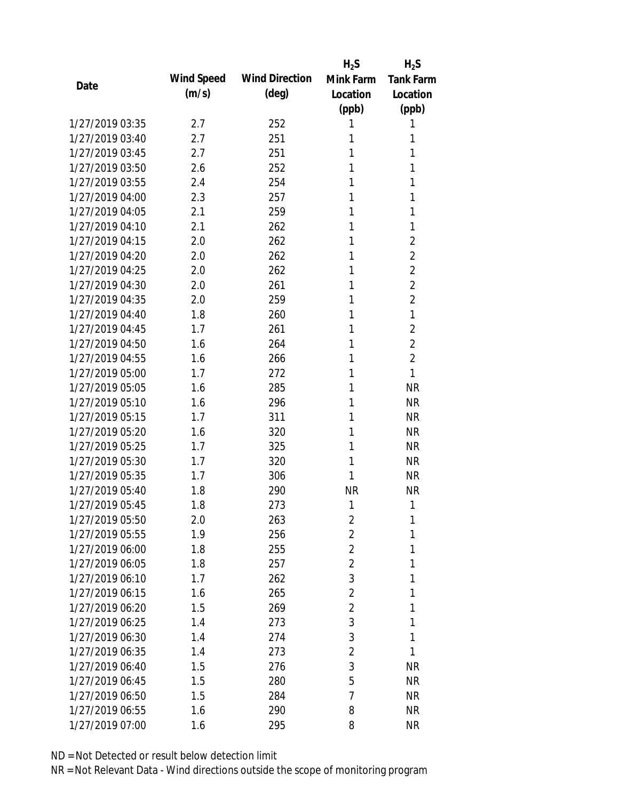|                 |            |                       | $H_2S$         | $H_2S$           |
|-----------------|------------|-----------------------|----------------|------------------|
| Date            | Wind Speed | <b>Wind Direction</b> | Mink Farm      | <b>Tank Farm</b> |
|                 | (m/s)      | $(\text{deg})$        | Location       | Location         |
|                 |            |                       | (ppb)          | (ppb)            |
| 1/27/2019 03:35 | 2.7        | 252                   | 1              | 1                |
| 1/27/2019 03:40 | 2.7        | 251                   | 1              | 1                |
| 1/27/2019 03:45 | 2.7        | 251                   | 1              | 1                |
| 1/27/2019 03:50 | 2.6        | 252                   | 1              | 1                |
| 1/27/2019 03:55 | 2.4        | 254                   | 1              | 1                |
| 1/27/2019 04:00 | 2.3        | 257                   | 1              | 1                |
| 1/27/2019 04:05 | 2.1        | 259                   | 1              | 1                |
| 1/27/2019 04:10 | 2.1        | 262                   | 1              | 1                |
| 1/27/2019 04:15 | 2.0        | 262                   | 1              | $\overline{2}$   |
| 1/27/2019 04:20 | 2.0        | 262                   | 1              | $\overline{2}$   |
| 1/27/2019 04:25 | 2.0        | 262                   | 1              | $\overline{2}$   |
| 1/27/2019 04:30 | 2.0        | 261                   | 1              | $\overline{2}$   |
| 1/27/2019 04:35 | 2.0        | 259                   | 1              | $\overline{2}$   |
| 1/27/2019 04:40 | 1.8        | 260                   | 1              | 1                |
| 1/27/2019 04:45 | 1.7        | 261                   | 1              | $\overline{2}$   |
| 1/27/2019 04:50 | 1.6        | 264                   | 1              | $\overline{2}$   |
| 1/27/2019 04:55 | 1.6        | 266                   | 1              | $\overline{2}$   |
| 1/27/2019 05:00 | 1.7        | 272                   | 1              | 1                |
| 1/27/2019 05:05 | 1.6        | 285                   | 1              | <b>NR</b>        |
| 1/27/2019 05:10 | 1.6        | 296                   | 1              | <b>NR</b>        |
| 1/27/2019 05:15 | 1.7        | 311                   | 1              | <b>NR</b>        |
| 1/27/2019 05:20 | 1.6        | 320                   | 1              | <b>NR</b>        |
| 1/27/2019 05:25 | 1.7        | 325                   | 1              | <b>NR</b>        |
| 1/27/2019 05:30 | 1.7        | 320                   | 1              | <b>NR</b>        |
| 1/27/2019 05:35 | 1.7        | 306                   | 1              | <b>NR</b>        |
| 1/27/2019 05:40 | 1.8        | 290                   | <b>NR</b>      | <b>NR</b>        |
| 1/27/2019 05:45 | 1.8        | 273                   | 1              | 1                |
| 1/27/2019 05:50 | 2.0        | 263                   | $\overline{2}$ | 1                |
| 1/27/2019 05:55 | 1.9        | 256                   | 2              | 1                |
| 1/27/2019 06:00 | 1.8        | 255                   | $\overline{2}$ | 1                |
| 1/27/2019 06:05 | 1.8        | 257                   | $\overline{2}$ | 1                |
| 1/27/2019 06:10 | 1.7        | 262                   | 3              | 1                |
| 1/27/2019 06:15 | 1.6        | 265                   | $\overline{2}$ | 1                |
| 1/27/2019 06:20 | 1.5        | 269                   | $\overline{2}$ | 1                |
| 1/27/2019 06:25 | 1.4        | 273                   | 3              | 1                |
| 1/27/2019 06:30 | 1.4        | 274                   | 3              | 1                |
| 1/27/2019 06:35 | 1.4        | 273                   | $\overline{2}$ | 1                |
| 1/27/2019 06:40 | 1.5        | 276                   | 3              | <b>NR</b>        |
| 1/27/2019 06:45 | 1.5        | 280                   | 5              | <b>NR</b>        |
| 1/27/2019 06:50 | 1.5        | 284                   | 7              | <b>NR</b>        |
| 1/27/2019 06:55 | 1.6        | 290                   | 8              | <b>NR</b>        |
| 1/27/2019 07:00 |            |                       | 8              | <b>NR</b>        |
|                 | 1.6        | 295                   |                |                  |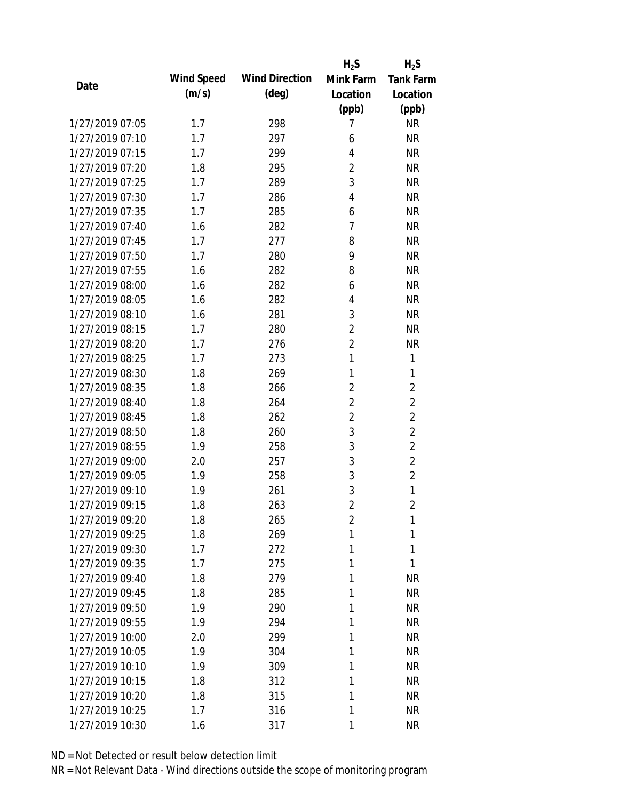|                 |            |                       | $H_2S$         | $H_2S$           |
|-----------------|------------|-----------------------|----------------|------------------|
| Date            | Wind Speed | <b>Wind Direction</b> | Mink Farm      | <b>Tank Farm</b> |
|                 | (m/s)      | $(\text{deg})$        | Location       | Location         |
|                 |            |                       | (ppb)          | (ppb)            |
| 1/27/2019 07:05 | 1.7        | 298                   | 7              | <b>NR</b>        |
| 1/27/2019 07:10 | 1.7        | 297                   | 6              | <b>NR</b>        |
| 1/27/2019 07:15 | 1.7        | 299                   | $\overline{4}$ | <b>NR</b>        |
| 1/27/2019 07:20 | 1.8        | 295                   | $\overline{2}$ | <b>NR</b>        |
| 1/27/2019 07:25 | 1.7        | 289                   | 3              | <b>NR</b>        |
| 1/27/2019 07:30 | 1.7        | 286                   | 4              | <b>NR</b>        |
| 1/27/2019 07:35 | 1.7        | 285                   | 6              | <b>NR</b>        |
| 1/27/2019 07:40 | 1.6        | 282                   | 7              | <b>NR</b>        |
| 1/27/2019 07:45 | 1.7        | 277                   | 8              | <b>NR</b>        |
| 1/27/2019 07:50 | 1.7        | 280                   | 9              | <b>NR</b>        |
| 1/27/2019 07:55 | 1.6        | 282                   | 8              | <b>NR</b>        |
| 1/27/2019 08:00 | 1.6        | 282                   | 6              | <b>NR</b>        |
| 1/27/2019 08:05 | 1.6        | 282                   | 4              | <b>NR</b>        |
| 1/27/2019 08:10 | 1.6        | 281                   | 3              | <b>NR</b>        |
| 1/27/2019 08:15 | 1.7        | 280                   | $\overline{2}$ | <b>NR</b>        |
| 1/27/2019 08:20 | 1.7        | 276                   | $\overline{2}$ | <b>NR</b>        |
| 1/27/2019 08:25 | 1.7        | 273                   | 1              | 1                |
| 1/27/2019 08:30 | 1.8        | 269                   | 1              | 1                |
| 1/27/2019 08:35 | 1.8        | 266                   | $\overline{2}$ | $\overline{2}$   |
| 1/27/2019 08:40 | 1.8        | 264                   | $\overline{2}$ | $\overline{2}$   |
| 1/27/2019 08:45 | 1.8        | 262                   | $\overline{2}$ | $\overline{2}$   |
| 1/27/2019 08:50 | 1.8        | 260                   | 3              | $\overline{2}$   |
| 1/27/2019 08:55 | 1.9        | 258                   | 3              | $\overline{2}$   |
| 1/27/2019 09:00 | 2.0        | 257                   | 3              | $\overline{2}$   |
| 1/27/2019 09:05 | 1.9        | 258                   | 3              | $\overline{2}$   |
| 1/27/2019 09:10 | 1.9        | 261                   | 3              | 1                |
| 1/27/2019 09:15 | 1.8        | 263                   | $\overline{2}$ | $\overline{2}$   |
| 1/27/2019 09:20 | 1.8        | 265                   | $\overline{2}$ | 1                |
| 1/27/2019 09:25 | 1.8        | 269                   | 1              | 1                |
| 1/27/2019 09:30 | 1.7        | 272                   | 1              | 1                |
| 1/27/2019 09:35 | 1.7        | 275                   | 1              | 1                |
| 1/27/2019 09:40 | 1.8        | 279                   | 1              | <b>NR</b>        |
| 1/27/2019 09:45 | 1.8        | 285                   | 1              | <b>NR</b>        |
| 1/27/2019 09:50 | 1.9        | 290                   | 1              | <b>NR</b>        |
| 1/27/2019 09:55 | 1.9        | 294                   | 1              | <b>NR</b>        |
| 1/27/2019 10:00 | 2.0        | 299                   | 1              | <b>NR</b>        |
| 1/27/2019 10:05 | 1.9        | 304                   | 1              | <b>NR</b>        |
| 1/27/2019 10:10 | 1.9        | 309                   | 1              | <b>NR</b>        |
| 1/27/2019 10:15 | 1.8        | 312                   | 1              | <b>NR</b>        |
| 1/27/2019 10:20 | 1.8        | 315                   | 1              | <b>NR</b>        |
| 1/27/2019 10:25 | 1.7        | 316                   | 1              | <b>NR</b>        |
| 1/27/2019 10:30 | 1.6        | 317                   | 1              | <b>NR</b>        |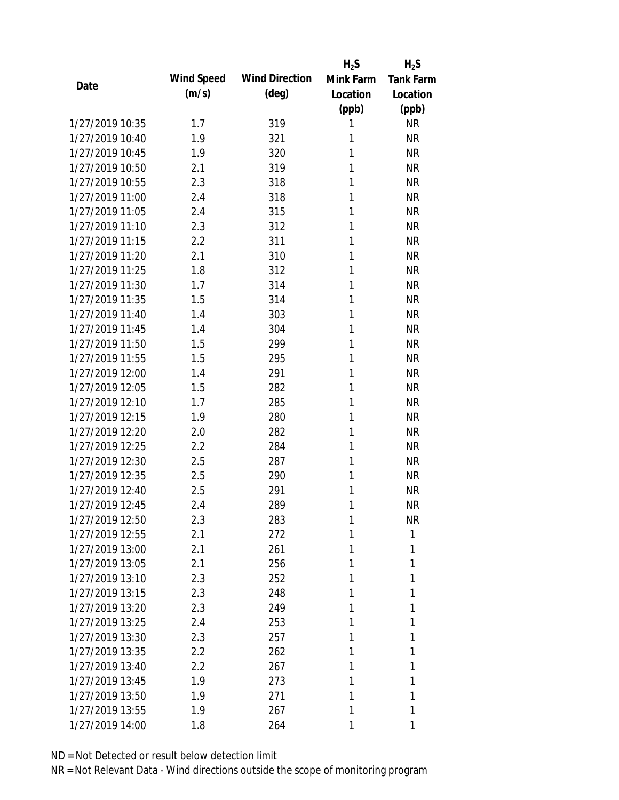|                 |            |                       | $H_2S$    | $H_2S$           |
|-----------------|------------|-----------------------|-----------|------------------|
| Date            | Wind Speed | <b>Wind Direction</b> | Mink Farm | <b>Tank Farm</b> |
|                 | (m/s)      | $(\text{deg})$        | Location  | Location         |
|                 |            |                       | (ppb)     | (ppb)            |
| 1/27/2019 10:35 | 1.7        | 319                   | 1         | <b>NR</b>        |
| 1/27/2019 10:40 | 1.9        | 321                   | 1         | <b>NR</b>        |
| 1/27/2019 10:45 | 1.9        | 320                   | 1         | <b>NR</b>        |
| 1/27/2019 10:50 | 2.1        | 319                   | 1         | <b>NR</b>        |
| 1/27/2019 10:55 | 2.3        | 318                   | 1         | <b>NR</b>        |
| 1/27/2019 11:00 | 2.4        | 318                   | 1         | <b>NR</b>        |
| 1/27/2019 11:05 | 2.4        | 315                   | 1         | <b>NR</b>        |
| 1/27/2019 11:10 | 2.3        | 312                   | 1         | <b>NR</b>        |
| 1/27/2019 11:15 | 2.2        | 311                   | 1         | <b>NR</b>        |
| 1/27/2019 11:20 | 2.1        | 310                   | 1         | <b>NR</b>        |
| 1/27/2019 11:25 | 1.8        | 312                   | 1         | <b>NR</b>        |
| 1/27/2019 11:30 | 1.7        | 314                   | 1         | <b>NR</b>        |
| 1/27/2019 11:35 | 1.5        | 314                   | 1         | <b>NR</b>        |
| 1/27/2019 11:40 | 1.4        | 303                   | 1         | <b>NR</b>        |
| 1/27/2019 11:45 | 1.4        | 304                   | 1         | <b>NR</b>        |
| 1/27/2019 11:50 | 1.5        | 299                   | 1         | <b>NR</b>        |
| 1/27/2019 11:55 | 1.5        | 295                   | 1         | <b>NR</b>        |
| 1/27/2019 12:00 | 1.4        | 291                   | 1         | <b>NR</b>        |
| 1/27/2019 12:05 | 1.5        | 282                   | 1         | <b>NR</b>        |
| 1/27/2019 12:10 | 1.7        | 285                   | 1         | <b>NR</b>        |
| 1/27/2019 12:15 | 1.9        | 280                   | 1         | <b>NR</b>        |
| 1/27/2019 12:20 | 2.0        | 282                   | 1         | <b>NR</b>        |
| 1/27/2019 12:25 | 2.2        | 284                   | 1         | <b>NR</b>        |
| 1/27/2019 12:30 | 2.5        | 287                   | 1         | <b>NR</b>        |
| 1/27/2019 12:35 | 2.5        | 290                   | 1         | <b>NR</b>        |
| 1/27/2019 12:40 | 2.5        | 291                   | 1         | <b>NR</b>        |
| 1/27/2019 12:45 | 2.4        | 289                   | 1         | <b>NR</b>        |
| 1/27/2019 12:50 | 2.3        | 283                   | 1         | <b>NR</b>        |
| 1/27/2019 12:55 | 2.1        | 272                   | 1         | 1                |
| 1/27/2019 13:00 | 2.1        | 261                   | 1         | 1                |
| 1/27/2019 13:05 | 2.1        | 256                   | 1         | 1                |
| 1/27/2019 13:10 | 2.3        | 252                   | 1         | 1                |
| 1/27/2019 13:15 | 2.3        | 248                   | 1         | 1                |
| 1/27/2019 13:20 | 2.3        | 249                   | 1         | 1                |
| 1/27/2019 13:25 | 2.4        | 253                   | 1         | 1                |
| 1/27/2019 13:30 | 2.3        | 257                   | 1         | 1                |
| 1/27/2019 13:35 | 2.2        | 262                   | 1         | 1                |
| 1/27/2019 13:40 | 2.2        | 267                   | 1         | 1                |
| 1/27/2019 13:45 | 1.9        | 273                   | 1         | 1                |
| 1/27/2019 13:50 | 1.9        | 271                   | 1         | 1                |
| 1/27/2019 13:55 | 1.9        | 267                   | 1         | 1                |
| 1/27/2019 14:00 | 1.8        | 264                   | 1         | 1                |
|                 |            |                       |           |                  |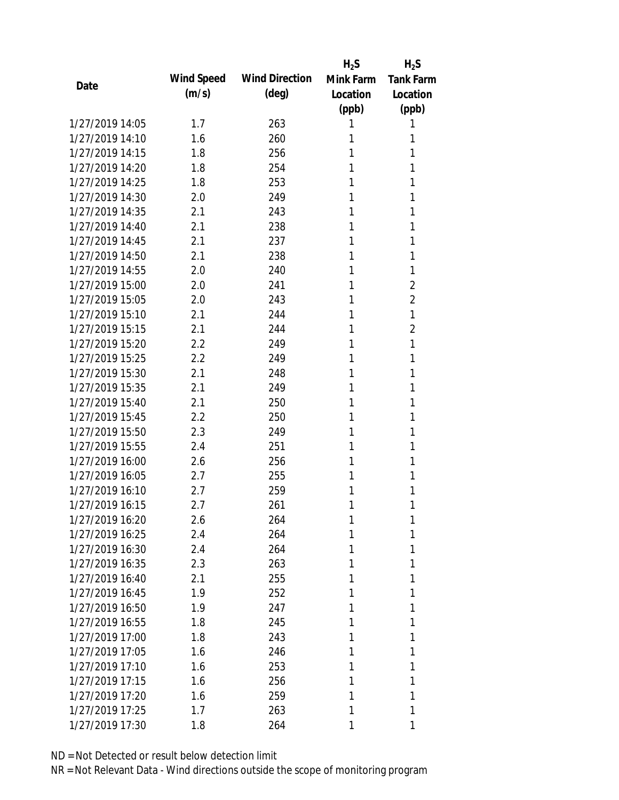|                 |            |                       | $H_2S$    | $H_2S$           |
|-----------------|------------|-----------------------|-----------|------------------|
| Date            | Wind Speed | <b>Wind Direction</b> | Mink Farm | <b>Tank Farm</b> |
|                 | (m/s)      | $(\text{deg})$        | Location  | Location         |
|                 |            |                       | (ppb)     | (ppb)            |
| 1/27/2019 14:05 | 1.7        | 263                   | 1         | 1                |
| 1/27/2019 14:10 | 1.6        | 260                   | 1         | 1                |
| 1/27/2019 14:15 | 1.8        | 256                   | 1         | 1                |
| 1/27/2019 14:20 | 1.8        | 254                   | 1         | 1                |
| 1/27/2019 14:25 | 1.8        | 253                   | 1         | 1                |
| 1/27/2019 14:30 | 2.0        | 249                   | 1         | 1                |
| 1/27/2019 14:35 | 2.1        | 243                   | 1         | 1                |
| 1/27/2019 14:40 | 2.1        | 238                   | 1         | 1                |
| 1/27/2019 14:45 | 2.1        | 237                   | 1         | 1                |
| 1/27/2019 14:50 | 2.1        | 238                   | 1         | 1                |
| 1/27/2019 14:55 | 2.0        | 240                   | 1         | 1                |
| 1/27/2019 15:00 | 2.0        | 241                   | 1         | 2                |
| 1/27/2019 15:05 | 2.0        | 243                   | 1         | $\overline{2}$   |
| 1/27/2019 15:10 | 2.1        | 244                   | 1         | 1                |
| 1/27/2019 15:15 | 2.1        | 244                   | 1         | $\overline{2}$   |
| 1/27/2019 15:20 | 2.2        | 249                   | 1         | 1                |
| 1/27/2019 15:25 | 2.2        | 249                   | 1         | 1                |
| 1/27/2019 15:30 | 2.1        | 248                   | 1         | 1                |
| 1/27/2019 15:35 | 2.1        | 249                   | 1         | 1                |
| 1/27/2019 15:40 | 2.1        | 250                   | 1         | 1                |
| 1/27/2019 15:45 | 2.2        | 250                   | 1         | 1                |
| 1/27/2019 15:50 | 2.3        | 249                   | 1         | 1                |
| 1/27/2019 15:55 | 2.4        | 251                   | 1         | 1                |
| 1/27/2019 16:00 | 2.6        | 256                   | 1         | 1                |
| 1/27/2019 16:05 | 2.7        | 255                   | 1         | 1                |
| 1/27/2019 16:10 | 2.7        | 259                   | 1         | 1                |
| 1/27/2019 16:15 | 2.7        | 261                   | 1         | 1                |
| 1/27/2019 16:20 | 2.6        | 264                   | 1         | 1                |
| 1/27/2019 16:25 | 2.4        | 264                   | 1         | 1                |
| 1/27/2019 16:30 | 2.4        | 264                   | 1         | 1                |
| 1/27/2019 16:35 | 2.3        | 263                   | 1         | 1                |
| 1/27/2019 16:40 | 2.1        | 255                   | 1         | 1                |
| 1/27/2019 16:45 | 1.9        | 252                   | 1         | 1                |
| 1/27/2019 16:50 | 1.9        | 247                   | 1         | 1                |
| 1/27/2019 16:55 | 1.8        | 245                   | 1         | 1                |
| 1/27/2019 17:00 | 1.8        | 243                   | 1         | 1                |
| 1/27/2019 17:05 | 1.6        | 246                   | 1         | 1                |
| 1/27/2019 17:10 | 1.6        | 253                   | 1         | 1                |
| 1/27/2019 17:15 | 1.6        | 256                   | 1         | 1                |
| 1/27/2019 17:20 | 1.6        | 259                   | 1         | 1                |
| 1/27/2019 17:25 | 1.7        | 263                   | 1         | 1                |
| 1/27/2019 17:30 | 1.8        | 264                   | 1         | 1                |
|                 |            |                       |           |                  |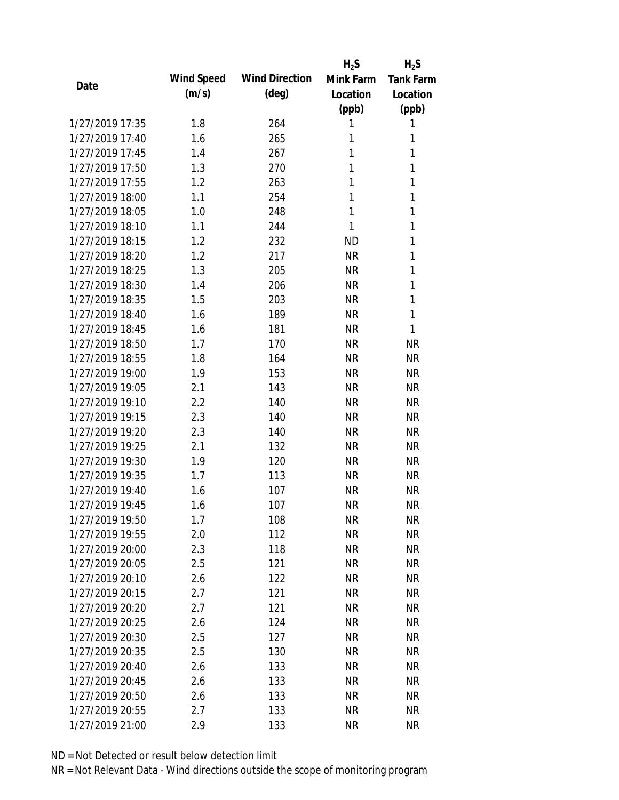|                 |            |                       | $H_2S$    | $H_2S$           |
|-----------------|------------|-----------------------|-----------|------------------|
| Date            | Wind Speed | <b>Wind Direction</b> | Mink Farm | <b>Tank Farm</b> |
|                 | (m/s)      | $(\text{deg})$        | Location  | Location         |
|                 |            |                       | (ppb)     | (ppb)            |
| 1/27/2019 17:35 | 1.8        | 264                   | 1         | 1                |
| 1/27/2019 17:40 | 1.6        | 265                   | 1         | 1                |
| 1/27/2019 17:45 | 1.4        | 267                   | 1         | 1                |
| 1/27/2019 17:50 | 1.3        | 270                   | 1         | 1                |
| 1/27/2019 17:55 | 1.2        | 263                   | 1         | 1                |
| 1/27/2019 18:00 | 1.1        | 254                   | 1         | 1                |
| 1/27/2019 18:05 | 1.0        | 248                   | 1         | 1                |
| 1/27/2019 18:10 | 1.1        | 244                   | 1         | 1                |
| 1/27/2019 18:15 | 1.2        | 232                   | <b>ND</b> | 1                |
| 1/27/2019 18:20 | 1.2        | 217                   | <b>NR</b> | 1                |
| 1/27/2019 18:25 | 1.3        | 205                   | <b>NR</b> | 1                |
| 1/27/2019 18:30 | 1.4        | 206                   | <b>NR</b> | 1                |
| 1/27/2019 18:35 | 1.5        | 203                   | <b>NR</b> | 1                |
| 1/27/2019 18:40 | 1.6        | 189                   | <b>NR</b> | 1                |
| 1/27/2019 18:45 | 1.6        | 181                   | <b>NR</b> | 1                |
| 1/27/2019 18:50 | 1.7        | 170                   | <b>NR</b> | <b>NR</b>        |
| 1/27/2019 18:55 | 1.8        | 164                   | <b>NR</b> | <b>NR</b>        |
| 1/27/2019 19:00 | 1.9        | 153                   | <b>NR</b> | <b>NR</b>        |
| 1/27/2019 19:05 | 2.1        | 143                   | <b>NR</b> | <b>NR</b>        |
| 1/27/2019 19:10 | 2.2        | 140                   | <b>NR</b> | <b>NR</b>        |
| 1/27/2019 19:15 | 2.3        | 140                   | <b>NR</b> | <b>NR</b>        |
| 1/27/2019 19:20 | 2.3        | 140                   | <b>NR</b> | <b>NR</b>        |
| 1/27/2019 19:25 | 2.1        | 132                   | <b>NR</b> | <b>NR</b>        |
| 1/27/2019 19:30 | 1.9        | 120                   | <b>NR</b> | <b>NR</b>        |
| 1/27/2019 19:35 | 1.7        | 113                   | <b>NR</b> | <b>NR</b>        |
| 1/27/2019 19:40 | 1.6        | 107                   | <b>NR</b> | <b>NR</b>        |
| 1/27/2019 19:45 | 1.6        | 107                   | <b>NR</b> | <b>NR</b>        |
| 1/27/2019 19:50 | 1.7        | 108                   | <b>NR</b> | <b>NR</b>        |
| 1/27/2019 19:55 | 2.0        | 112                   | <b>NR</b> | <b>NR</b>        |
| 1/27/2019 20:00 | 2.3        | 118                   | <b>NR</b> | <b>NR</b>        |
| 1/27/2019 20:05 | 2.5        | 121                   | <b>NR</b> | <b>NR</b>        |
| 1/27/2019 20:10 | 2.6        | 122                   | <b>NR</b> | <b>NR</b>        |
| 1/27/2019 20:15 | 2.7        | 121                   | <b>NR</b> | <b>NR</b>        |
| 1/27/2019 20:20 | 2.7        | 121                   | <b>NR</b> | <b>NR</b>        |
| 1/27/2019 20:25 | 2.6        | 124                   | <b>NR</b> | <b>NR</b>        |
| 1/27/2019 20:30 | 2.5        | 127                   | <b>NR</b> | <b>NR</b>        |
| 1/27/2019 20:35 | 2.5        | 130                   | <b>NR</b> | <b>NR</b>        |
| 1/27/2019 20:40 | 2.6        | 133                   | <b>NR</b> | <b>NR</b>        |
| 1/27/2019 20:45 | 2.6        | 133                   | <b>NR</b> | <b>NR</b>        |
| 1/27/2019 20:50 | 2.6        | 133                   | <b>NR</b> | <b>NR</b>        |
| 1/27/2019 20:55 | 2.7        | 133                   | <b>NR</b> | <b>NR</b>        |
| 1/27/2019 21:00 | 2.9        | 133                   | <b>NR</b> | <b>NR</b>        |
|                 |            |                       |           |                  |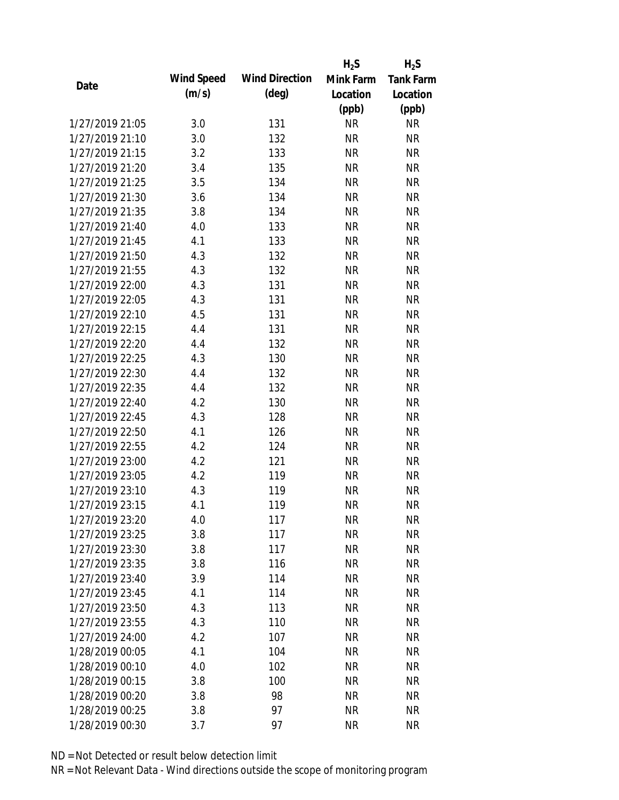|                 |            |                       | $H_2S$    | $H_2S$           |
|-----------------|------------|-----------------------|-----------|------------------|
| Date            | Wind Speed | <b>Wind Direction</b> | Mink Farm | <b>Tank Farm</b> |
|                 | (m/s)      | $(\text{deg})$        | Location  | Location         |
|                 |            |                       | (ppb)     | (ppb)            |
| 1/27/2019 21:05 | 3.0        | 131                   | <b>NR</b> | <b>NR</b>        |
| 1/27/2019 21:10 | 3.0        | 132                   | <b>NR</b> | <b>NR</b>        |
| 1/27/2019 21:15 | 3.2        | 133                   | <b>NR</b> | <b>NR</b>        |
| 1/27/2019 21:20 | 3.4        | 135                   | <b>NR</b> | <b>NR</b>        |
| 1/27/2019 21:25 | 3.5        | 134                   | <b>NR</b> | <b>NR</b>        |
| 1/27/2019 21:30 | 3.6        | 134                   | <b>NR</b> | <b>NR</b>        |
| 1/27/2019 21:35 | 3.8        | 134                   | <b>NR</b> | <b>NR</b>        |
| 1/27/2019 21:40 | 4.0        | 133                   | <b>NR</b> | <b>NR</b>        |
| 1/27/2019 21:45 | 4.1        | 133                   | <b>NR</b> | <b>NR</b>        |
| 1/27/2019 21:50 | 4.3        | 132                   | <b>NR</b> | <b>NR</b>        |
| 1/27/2019 21:55 | 4.3        | 132                   | <b>NR</b> | <b>NR</b>        |
| 1/27/2019 22:00 | 4.3        | 131                   | <b>NR</b> | <b>NR</b>        |
| 1/27/2019 22:05 | 4.3        | 131                   | <b>NR</b> | <b>NR</b>        |
| 1/27/2019 22:10 | 4.5        | 131                   | <b>NR</b> | <b>NR</b>        |
| 1/27/2019 22:15 | 4.4        | 131                   | <b>NR</b> | <b>NR</b>        |
| 1/27/2019 22:20 | 4.4        | 132                   | <b>NR</b> | <b>NR</b>        |
| 1/27/2019 22:25 | 4.3        | 130                   | <b>NR</b> | <b>NR</b>        |
| 1/27/2019 22:30 | 4.4        | 132                   | <b>NR</b> | <b>NR</b>        |
| 1/27/2019 22:35 | 4.4        | 132                   | <b>NR</b> | <b>NR</b>        |
| 1/27/2019 22:40 | 4.2        | 130                   | <b>NR</b> | <b>NR</b>        |
| 1/27/2019 22:45 | 4.3        | 128                   | <b>NR</b> | <b>NR</b>        |
| 1/27/2019 22:50 | 4.1        | 126                   | <b>NR</b> | <b>NR</b>        |
| 1/27/2019 22:55 | 4.2        | 124                   | <b>NR</b> | <b>NR</b>        |
| 1/27/2019 23:00 | 4.2        | 121                   | <b>NR</b> | <b>NR</b>        |
| 1/27/2019 23:05 | 4.2        | 119                   | <b>NR</b> | <b>NR</b>        |
| 1/27/2019 23:10 | 4.3        | 119                   | <b>NR</b> | <b>NR</b>        |
| 1/27/2019 23:15 | 4.1        | 119                   | <b>NR</b> | <b>NR</b>        |
| 1/27/2019 23:20 | 4.0        | 117                   | <b>NR</b> | <b>NR</b>        |
| 1/27/2019 23:25 | 3.8        | 117                   | <b>NR</b> | <b>NR</b>        |
| 1/27/2019 23:30 | 3.8        | 117                   | <b>NR</b> | <b>NR</b>        |
| 1/27/2019 23:35 | 3.8        | 116                   | <b>NR</b> | <b>NR</b>        |
| 1/27/2019 23:40 | 3.9        | 114                   | <b>NR</b> | NR               |
| 1/27/2019 23:45 | 4.1        | 114                   | <b>NR</b> | <b>NR</b>        |
| 1/27/2019 23:50 | 4.3        | 113                   | <b>NR</b> | <b>NR</b>        |
| 1/27/2019 23:55 | 4.3        | 110                   | <b>NR</b> | <b>NR</b>        |
| 1/27/2019 24:00 | 4.2        | 107                   | <b>NR</b> | <b>NR</b>        |
| 1/28/2019 00:05 | 4.1        | 104                   | <b>NR</b> | <b>NR</b>        |
| 1/28/2019 00:10 | 4.0        | 102                   | NR        | <b>NR</b>        |
| 1/28/2019 00:15 | 3.8        | 100                   | <b>NR</b> | <b>NR</b>        |
| 1/28/2019 00:20 | 3.8        | 98                    | <b>NR</b> | <b>NR</b>        |
| 1/28/2019 00:25 | 3.8        | 97                    | <b>NR</b> | <b>NR</b>        |
| 1/28/2019 00:30 | 3.7        | 97                    | <b>NR</b> | <b>NR</b>        |
|                 |            |                       |           |                  |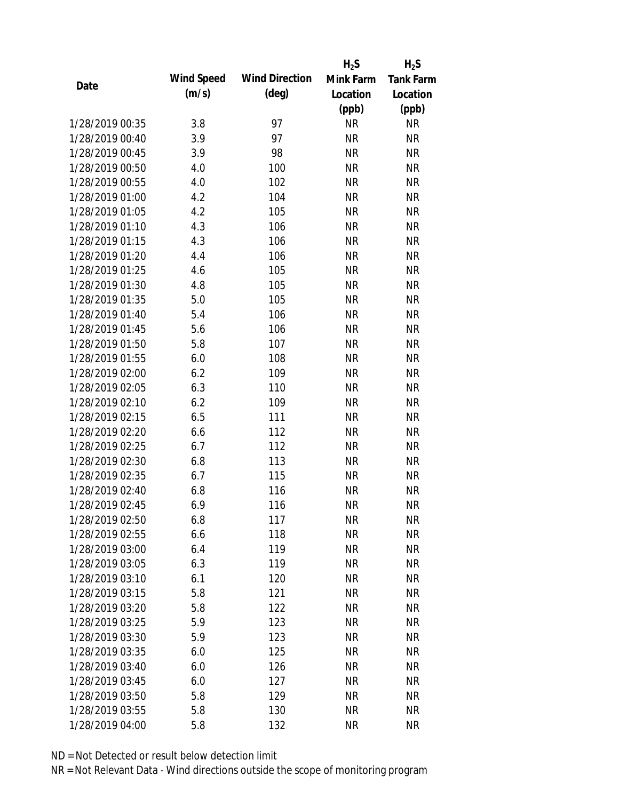|                 |            |                       | $H_2S$    | $H_2S$           |
|-----------------|------------|-----------------------|-----------|------------------|
| Date            | Wind Speed | <b>Wind Direction</b> | Mink Farm | <b>Tank Farm</b> |
|                 | (m/s)      | $(\text{deg})$        | Location  | Location         |
|                 |            |                       | (ppb)     | (ppb)            |
| 1/28/2019 00:35 | 3.8        | 97                    | <b>NR</b> | NR               |
| 1/28/2019 00:40 | 3.9        | 97                    | <b>NR</b> | <b>NR</b>        |
| 1/28/2019 00:45 | 3.9        | 98                    | <b>NR</b> | <b>NR</b>        |
| 1/28/2019 00:50 | 4.0        | 100                   | <b>NR</b> | <b>NR</b>        |
| 1/28/2019 00:55 | 4.0        | 102                   | <b>NR</b> | <b>NR</b>        |
| 1/28/2019 01:00 | 4.2        | 104                   | <b>NR</b> | <b>NR</b>        |
| 1/28/2019 01:05 | 4.2        | 105                   | <b>NR</b> | <b>NR</b>        |
| 1/28/2019 01:10 | 4.3        | 106                   | <b>NR</b> | <b>NR</b>        |
| 1/28/2019 01:15 | 4.3        | 106                   | <b>NR</b> | <b>NR</b>        |
| 1/28/2019 01:20 | 4.4        | 106                   | <b>NR</b> | <b>NR</b>        |
| 1/28/2019 01:25 | 4.6        | 105                   | <b>NR</b> | <b>NR</b>        |
| 1/28/2019 01:30 | 4.8        | 105                   | <b>NR</b> | <b>NR</b>        |
| 1/28/2019 01:35 | 5.0        | 105                   | <b>NR</b> | <b>NR</b>        |
| 1/28/2019 01:40 | 5.4        | 106                   | <b>NR</b> | <b>NR</b>        |
| 1/28/2019 01:45 | 5.6        | 106                   | <b>NR</b> | <b>NR</b>        |
| 1/28/2019 01:50 | 5.8        | 107                   | <b>NR</b> | <b>NR</b>        |
| 1/28/2019 01:55 | 6.0        | 108                   | <b>NR</b> | <b>NR</b>        |
| 1/28/2019 02:00 | 6.2        | 109                   | <b>NR</b> | <b>NR</b>        |
| 1/28/2019 02:05 | 6.3        | 110                   | <b>NR</b> | <b>NR</b>        |
| 1/28/2019 02:10 | 6.2        | 109                   | <b>NR</b> | <b>NR</b>        |
| 1/28/2019 02:15 | 6.5        | 111                   | <b>NR</b> | <b>NR</b>        |
| 1/28/2019 02:20 | 6.6        | 112                   | <b>NR</b> | <b>NR</b>        |
| 1/28/2019 02:25 | 6.7        | 112                   | <b>NR</b> | <b>NR</b>        |
| 1/28/2019 02:30 | 6.8        | 113                   | <b>NR</b> | <b>NR</b>        |
| 1/28/2019 02:35 | 6.7        | 115                   | <b>NR</b> | <b>NR</b>        |
| 1/28/2019 02:40 | 6.8        | 116                   | <b>NR</b> | <b>NR</b>        |
| 1/28/2019 02:45 | 6.9        | 116                   | <b>NR</b> | <b>NR</b>        |
| 1/28/2019 02:50 | 6.8        | 117                   | <b>NR</b> | <b>NR</b>        |
| 1/28/2019 02:55 | 6.6        | 118                   | <b>NR</b> | <b>NR</b>        |
| 1/28/2019 03:00 | 6.4        | 119                   | <b>NR</b> | <b>NR</b>        |
| 1/28/2019 03:05 | 6.3        | 119                   | <b>NR</b> | <b>NR</b>        |
| 1/28/2019 03:10 | 6.1        | 120                   | <b>NR</b> | <b>NR</b>        |
| 1/28/2019 03:15 | 5.8        | 121                   | <b>NR</b> | <b>NR</b>        |
| 1/28/2019 03:20 | 5.8        | 122                   | <b>NR</b> | <b>NR</b>        |
| 1/28/2019 03:25 | 5.9        | 123                   | <b>NR</b> | <b>NR</b>        |
| 1/28/2019 03:30 | 5.9        | 123                   | <b>NR</b> | <b>NR</b>        |
| 1/28/2019 03:35 | 6.0        | 125                   | <b>NR</b> | <b>NR</b>        |
| 1/28/2019 03:40 | 6.0        | 126                   | NR        | <b>NR</b>        |
| 1/28/2019 03:45 | 6.0        | 127                   | <b>NR</b> | <b>NR</b>        |
| 1/28/2019 03:50 | 5.8        | 129                   | <b>NR</b> | <b>NR</b>        |
| 1/28/2019 03:55 | 5.8        | 130                   | <b>NR</b> | <b>NR</b>        |
| 1/28/2019 04:00 | 5.8        | 132                   | <b>NR</b> | <b>NR</b>        |
|                 |            |                       |           |                  |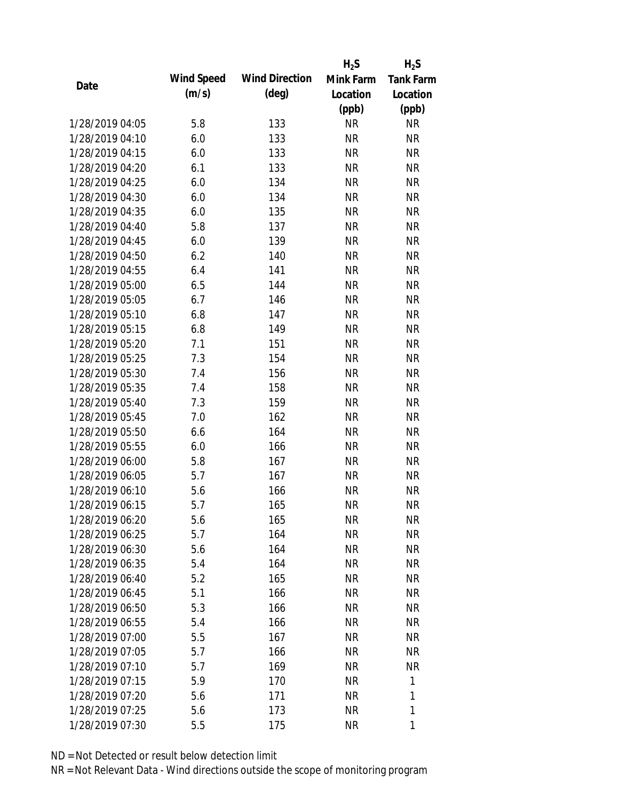|                 |            |                       | $H_2S$    | $H_2S$           |
|-----------------|------------|-----------------------|-----------|------------------|
| Date            | Wind Speed | <b>Wind Direction</b> | Mink Farm | <b>Tank Farm</b> |
|                 | (m/s)      | $(\text{deg})$        | Location  | Location         |
|                 |            |                       | (ppb)     | (ppb)            |
| 1/28/2019 04:05 | 5.8        | 133                   | <b>NR</b> | NR               |
| 1/28/2019 04:10 | 6.0        | 133                   | <b>NR</b> | <b>NR</b>        |
| 1/28/2019 04:15 | 6.0        | 133                   | <b>NR</b> | <b>NR</b>        |
| 1/28/2019 04:20 | 6.1        | 133                   | <b>NR</b> | <b>NR</b>        |
| 1/28/2019 04:25 | 6.0        | 134                   | <b>NR</b> | <b>NR</b>        |
| 1/28/2019 04:30 | 6.0        | 134                   | <b>NR</b> | <b>NR</b>        |
| 1/28/2019 04:35 | 6.0        | 135                   | <b>NR</b> | <b>NR</b>        |
| 1/28/2019 04:40 | 5.8        | 137                   | <b>NR</b> | <b>NR</b>        |
| 1/28/2019 04:45 | 6.0        | 139                   | <b>NR</b> | <b>NR</b>        |
| 1/28/2019 04:50 | 6.2        | 140                   | <b>NR</b> | <b>NR</b>        |
| 1/28/2019 04:55 | 6.4        | 141                   | <b>NR</b> | <b>NR</b>        |
| 1/28/2019 05:00 | 6.5        | 144                   | <b>NR</b> | <b>NR</b>        |
| 1/28/2019 05:05 | 6.7        | 146                   | <b>NR</b> | <b>NR</b>        |
| 1/28/2019 05:10 | 6.8        | 147                   | <b>NR</b> | <b>NR</b>        |
| 1/28/2019 05:15 | 6.8        | 149                   | <b>NR</b> | <b>NR</b>        |
| 1/28/2019 05:20 | 7.1        | 151                   | <b>NR</b> | <b>NR</b>        |
| 1/28/2019 05:25 | 7.3        | 154                   | <b>NR</b> | <b>NR</b>        |
| 1/28/2019 05:30 | 7.4        | 156                   | <b>NR</b> | <b>NR</b>        |
| 1/28/2019 05:35 | 7.4        | 158                   | <b>NR</b> | <b>NR</b>        |
| 1/28/2019 05:40 | 7.3        | 159                   | <b>NR</b> | <b>NR</b>        |
| 1/28/2019 05:45 | 7.0        | 162                   | <b>NR</b> | <b>NR</b>        |
| 1/28/2019 05:50 | 6.6        | 164                   | <b>NR</b> | <b>NR</b>        |
| 1/28/2019 05:55 | 6.0        | 166                   | <b>NR</b> | <b>NR</b>        |
| 1/28/2019 06:00 | 5.8        | 167                   | <b>NR</b> | <b>NR</b>        |
| 1/28/2019 06:05 | 5.7        | 167                   | <b>NR</b> | <b>NR</b>        |
| 1/28/2019 06:10 | 5.6        | 166                   | <b>NR</b> | <b>NR</b>        |
| 1/28/2019 06:15 | 5.7        | 165                   | <b>NR</b> | <b>NR</b>        |
| 1/28/2019 06:20 | 5.6        | 165                   | <b>NR</b> | <b>NR</b>        |
| 1/28/2019 06:25 | 5.7        | 164                   | <b>NR</b> | <b>NR</b>        |
| 1/28/2019 06:30 | 5.6        | 164                   | <b>NR</b> | <b>NR</b>        |
| 1/28/2019 06:35 | 5.4        | 164                   | <b>NR</b> | <b>NR</b>        |
| 1/28/2019 06:40 | 5.2        | 165                   | <b>NR</b> | NR               |
| 1/28/2019 06:45 | 5.1        | 166                   | <b>NR</b> | <b>NR</b>        |
| 1/28/2019 06:50 | 5.3        | 166                   | <b>NR</b> | NR               |
| 1/28/2019 06:55 | 5.4        | 166                   | <b>NR</b> | NR               |
| 1/28/2019 07:00 | 5.5        | 167                   | <b>NR</b> | <b>NR</b>        |
| 1/28/2019 07:05 | 5.7        | 166                   | <b>NR</b> | NR               |
| 1/28/2019 07:10 | 5.7        | 169                   | <b>NR</b> | <b>NR</b>        |
| 1/28/2019 07:15 | 5.9        | 170                   | <b>NR</b> | 1                |
| 1/28/2019 07:20 | 5.6        | 171                   | <b>NR</b> | 1                |
| 1/28/2019 07:25 | 5.6        | 173                   | <b>NR</b> | 1                |
| 1/28/2019 07:30 | 5.5        | 175                   | <b>NR</b> | 1                |
|                 |            |                       |           |                  |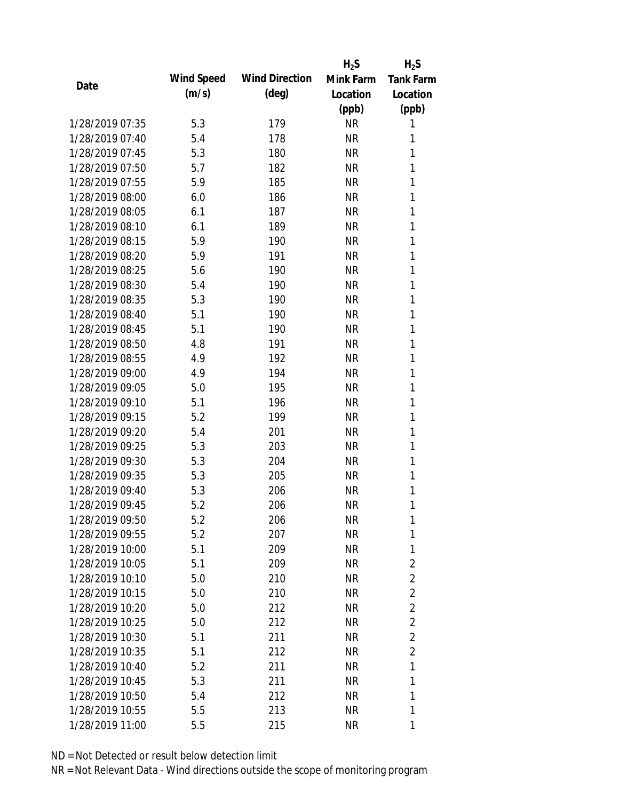|                 |            |                       | $H_2S$    | $H_2S$           |
|-----------------|------------|-----------------------|-----------|------------------|
| Date            | Wind Speed | <b>Wind Direction</b> | Mink Farm | <b>Tank Farm</b> |
|                 | (m/s)      | $(\text{deg})$        | Location  | Location         |
|                 |            |                       | (ppb)     | (ppb)            |
| 1/28/2019 07:35 | 5.3        | 179                   | <b>NR</b> | 1                |
| 1/28/2019 07:40 | 5.4        | 178                   | <b>NR</b> | 1                |
| 1/28/2019 07:45 | 5.3        | 180                   | <b>NR</b> | 1                |
| 1/28/2019 07:50 | 5.7        | 182                   | <b>NR</b> | 1                |
| 1/28/2019 07:55 | 5.9        | 185                   | <b>NR</b> | 1                |
| 1/28/2019 08:00 | 6.0        | 186                   | <b>NR</b> | 1                |
| 1/28/2019 08:05 | 6.1        | 187                   | <b>NR</b> | 1                |
| 1/28/2019 08:10 | 6.1        | 189                   | <b>NR</b> | 1                |
| 1/28/2019 08:15 | 5.9        | 190                   | <b>NR</b> | 1                |
| 1/28/2019 08:20 | 5.9        | 191                   | <b>NR</b> | 1                |
| 1/28/2019 08:25 | 5.6        | 190                   | <b>NR</b> | 1                |
| 1/28/2019 08:30 | 5.4        | 190                   | <b>NR</b> | 1                |
| 1/28/2019 08:35 | 5.3        | 190                   | <b>NR</b> | 1                |
| 1/28/2019 08:40 | 5.1        | 190                   | <b>NR</b> | 1                |
| 1/28/2019 08:45 | 5.1        | 190                   | <b>NR</b> | 1                |
| 1/28/2019 08:50 | 4.8        | 191                   | <b>NR</b> | 1                |
| 1/28/2019 08:55 | 4.9        | 192                   | <b>NR</b> | 1                |
| 1/28/2019 09:00 | 4.9        | 194                   | <b>NR</b> | 1                |
| 1/28/2019 09:05 | 5.0        | 195                   | <b>NR</b> | 1                |
| 1/28/2019 09:10 | 5.1        | 196                   | <b>NR</b> | 1                |
| 1/28/2019 09:15 | 5.2        | 199                   | <b>NR</b> | 1                |
| 1/28/2019 09:20 | 5.4        | 201                   | <b>NR</b> | 1                |
| 1/28/2019 09:25 | 5.3        | 203                   | <b>NR</b> | 1                |
| 1/28/2019 09:30 | 5.3        | 204                   | <b>NR</b> | 1                |
| 1/28/2019 09:35 | 5.3        | 205                   | <b>NR</b> | 1                |
| 1/28/2019 09:40 | 5.3        | 206                   | <b>NR</b> | 1                |
| 1/28/2019 09:45 | 5.2        | 206                   | <b>NR</b> | 1                |
| 1/28/2019 09:50 | 5.2        | 206                   | <b>NR</b> | 1                |
| 1/28/2019 09:55 | 5.2        | 207                   | <b>NR</b> | 1                |
| 1/28/2019 10:00 | 5.1        | 209                   | <b>NR</b> | 1                |
| 1/28/2019 10:05 | 5.1        | 209                   | <b>NR</b> | $\overline{2}$   |
| 1/28/2019 10:10 | 5.0        | 210                   | <b>NR</b> | $\overline{2}$   |
| 1/28/2019 10:15 | 5.0        | 210                   | <b>NR</b> | $\overline{2}$   |
| 1/28/2019 10:20 | 5.0        | 212                   | <b>NR</b> | $\overline{2}$   |
| 1/28/2019 10:25 | 5.0        | 212                   | <b>NR</b> | $\overline{2}$   |
| 1/28/2019 10:30 | 5.1        | 211                   | <b>NR</b> | $\overline{2}$   |
| 1/28/2019 10:35 | 5.1        | 212                   | <b>NR</b> | $\overline{2}$   |
| 1/28/2019 10:40 | 5.2        | 211                   | NR        | 1                |
| 1/28/2019 10:45 | 5.3        | 211                   | NR        | 1                |
| 1/28/2019 10:50 | 5.4        | 212                   | <b>NR</b> | 1                |
| 1/28/2019 10:55 | 5.5        | 213                   | <b>NR</b> | 1                |
| 1/28/2019 11:00 | 5.5        | 215                   | <b>NR</b> | 1                |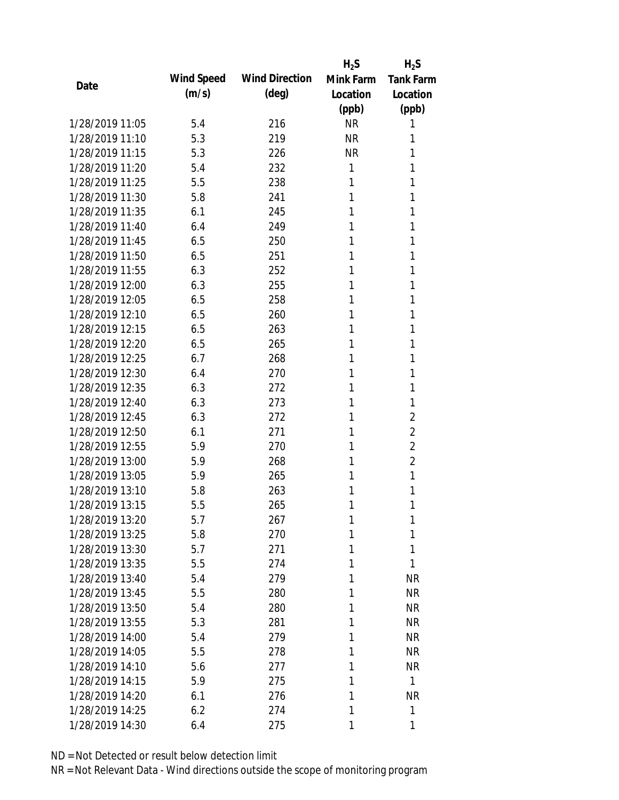|                 |            |                       | $H_2S$    | $H_2S$           |
|-----------------|------------|-----------------------|-----------|------------------|
| Date            | Wind Speed | <b>Wind Direction</b> | Mink Farm | <b>Tank Farm</b> |
|                 | (m/s)      | $(\text{deg})$        | Location  | Location         |
|                 |            |                       | (ppb)     | (ppb)            |
| 1/28/2019 11:05 | 5.4        | 216                   | <b>NR</b> | 1                |
| 1/28/2019 11:10 | 5.3        | 219                   | <b>NR</b> | 1                |
| 1/28/2019 11:15 | 5.3        | 226                   | <b>NR</b> | 1                |
| 1/28/2019 11:20 | 5.4        | 232                   | 1         | 1                |
| 1/28/2019 11:25 | 5.5        | 238                   | 1         | 1                |
| 1/28/2019 11:30 | 5.8        | 241                   | 1         | 1                |
| 1/28/2019 11:35 | 6.1        | 245                   | 1         | 1                |
| 1/28/2019 11:40 | 6.4        | 249                   | 1         | 1                |
| 1/28/2019 11:45 | 6.5        | 250                   | 1         | 1                |
| 1/28/2019 11:50 | 6.5        | 251                   | 1         | 1                |
| 1/28/2019 11:55 | 6.3        | 252                   | 1         | 1                |
| 1/28/2019 12:00 | 6.3        | 255                   | 1         | 1                |
| 1/28/2019 12:05 | 6.5        | 258                   | 1         | 1                |
| 1/28/2019 12:10 | 6.5        | 260                   | 1         | 1                |
| 1/28/2019 12:15 | 6.5        | 263                   | 1         | 1                |
| 1/28/2019 12:20 | 6.5        | 265                   | 1         | 1                |
| 1/28/2019 12:25 | 6.7        | 268                   | 1         | 1                |
| 1/28/2019 12:30 | 6.4        | 270                   | 1         | 1                |
| 1/28/2019 12:35 | 6.3        | 272                   | 1         | 1                |
| 1/28/2019 12:40 | 6.3        | 273                   | 1         | 1                |
| 1/28/2019 12:45 | 6.3        | 272                   | 1         | 2                |
| 1/28/2019 12:50 | 6.1        | 271                   | 1         | $\overline{2}$   |
| 1/28/2019 12:55 | 5.9        | 270                   | 1         | $\overline{2}$   |
| 1/28/2019 13:00 | 5.9        | 268                   | 1         | $\overline{2}$   |
| 1/28/2019 13:05 | 5.9        | 265                   | 1         | 1                |
| 1/28/2019 13:10 | 5.8        | 263                   | 1         | 1                |
| 1/28/2019 13:15 | 5.5        | 265                   | 1         | 1                |
| 1/28/2019 13:20 | 5.7        | 267                   | 1         | 1                |
| 1/28/2019 13:25 | 5.8        | 270                   | 1         | 1                |
| 1/28/2019 13:30 | 5.7        | 271                   | 1         | 1                |
| 1/28/2019 13:35 | 5.5        | 274                   | 1         | 1                |
| 1/28/2019 13:40 | 5.4        | 279                   | 1         | <b>NR</b>        |
| 1/28/2019 13:45 | 5.5        | 280                   | 1         | <b>NR</b>        |
| 1/28/2019 13:50 | 5.4        | 280                   | 1         | <b>NR</b>        |
| 1/28/2019 13:55 | 5.3        | 281                   | 1         | <b>NR</b>        |
| 1/28/2019 14:00 | 5.4        | 279                   | 1         | <b>NR</b>        |
| 1/28/2019 14:05 | 5.5        | 278                   | 1         | <b>NR</b>        |
| 1/28/2019 14:10 | 5.6        | 277                   | 1         | <b>NR</b>        |
| 1/28/2019 14:15 | 5.9        | 275                   | 1         | $\mathbf{1}$     |
| 1/28/2019 14:20 | 6.1        | 276                   | 1         | <b>NR</b>        |
| 1/28/2019 14:25 | 6.2        | 274                   | 1         | 1                |
| 1/28/2019 14:30 | 6.4        | 275                   | 1         | 1                |
|                 |            |                       |           |                  |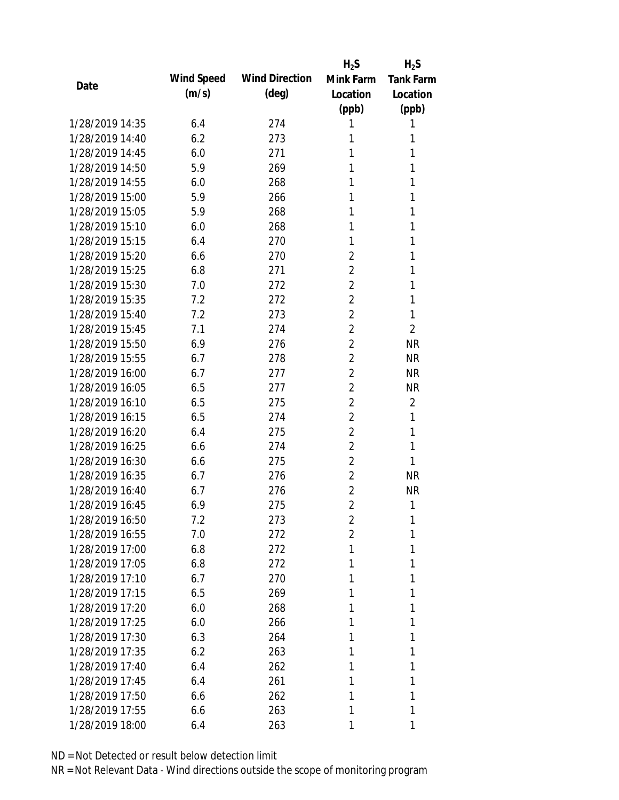|                 |            |                       | $H_2S$         | $H_2S$           |
|-----------------|------------|-----------------------|----------------|------------------|
| Date            | Wind Speed | <b>Wind Direction</b> | Mink Farm      | <b>Tank Farm</b> |
|                 | (m/s)      | $(\text{deg})$        | Location       | Location         |
|                 |            |                       | (ppb)          | (ppb)            |
| 1/28/2019 14:35 | 6.4        | 274                   | 1              | 1                |
| 1/28/2019 14:40 | 6.2        | 273                   | 1              | 1                |
| 1/28/2019 14:45 | 6.0        | 271                   | 1              | 1                |
| 1/28/2019 14:50 | 5.9        | 269                   | 1              | 1                |
| 1/28/2019 14:55 | 6.0        | 268                   | 1              | 1                |
| 1/28/2019 15:00 | 5.9        | 266                   | 1              | 1                |
| 1/28/2019 15:05 | 5.9        | 268                   | 1              | 1                |
| 1/28/2019 15:10 | 6.0        | 268                   | 1              | 1                |
| 1/28/2019 15:15 | 6.4        | 270                   | 1              | 1                |
| 1/28/2019 15:20 | 6.6        | 270                   | $\overline{2}$ | 1                |
| 1/28/2019 15:25 | 6.8        | 271                   | $\overline{2}$ | 1                |
| 1/28/2019 15:30 | 7.0        | 272                   | $\overline{2}$ | 1                |
| 1/28/2019 15:35 | 7.2        | 272                   | $\overline{2}$ | 1                |
| 1/28/2019 15:40 | 7.2        | 273                   | $\overline{2}$ | 1                |
| 1/28/2019 15:45 | 7.1        | 274                   | $\overline{2}$ | $\overline{2}$   |
| 1/28/2019 15:50 | 6.9        | 276                   | $\overline{2}$ | <b>NR</b>        |
| 1/28/2019 15:55 | 6.7        | 278                   | $\overline{2}$ | <b>NR</b>        |
| 1/28/2019 16:00 | 6.7        | 277                   | $\overline{2}$ | <b>NR</b>        |
| 1/28/2019 16:05 | 6.5        | 277                   | $\overline{2}$ | <b>NR</b>        |
| 1/28/2019 16:10 | 6.5        | 275                   | $\overline{2}$ | $\overline{2}$   |
| 1/28/2019 16:15 | 6.5        | 274                   | $\overline{2}$ | 1                |
| 1/28/2019 16:20 | 6.4        | 275                   | $\overline{2}$ | 1                |
| 1/28/2019 16:25 | 6.6        | 274                   | $\overline{2}$ | 1                |
| 1/28/2019 16:30 | 6.6        | 275                   | $\overline{2}$ | 1                |
| 1/28/2019 16:35 | 6.7        | 276                   | $\overline{2}$ | <b>NR</b>        |
| 1/28/2019 16:40 | 6.7        | 276                   | $\overline{2}$ | <b>NR</b>        |
| 1/28/2019 16:45 | 6.9        | 275                   | $\overline{2}$ | 1                |
| 1/28/2019 16:50 | 7.2        | 273                   | 2              | 1                |
| 1/28/2019 16:55 | 7.0        | 272                   | $\overline{2}$ | 1                |
| 1/28/2019 17:00 | 6.8        | 272                   | 1              | 1                |
| 1/28/2019 17:05 | 6.8        | 272                   | 1              | 1                |
| 1/28/2019 17:10 | 6.7        | 270                   | 1              | 1                |
| 1/28/2019 17:15 | 6.5        | 269                   | 1              | 1                |
| 1/28/2019 17:20 | 6.0        | 268                   | 1              | 1                |
| 1/28/2019 17:25 | 6.0        | 266                   | 1              | 1                |
| 1/28/2019 17:30 | 6.3        | 264                   | 1              | 1                |
| 1/28/2019 17:35 | 6.2        | 263                   | 1              | 1                |
| 1/28/2019 17:40 | 6.4        | 262                   | 1              | 1                |
| 1/28/2019 17:45 | 6.4        | 261                   | 1              | 1                |
| 1/28/2019 17:50 | 6.6        | 262                   | 1              | 1                |
| 1/28/2019 17:55 | 6.6        | 263                   | 1              | 1                |
| 1/28/2019 18:00 | 6.4        | 263                   | 1              | 1                |
|                 |            |                       |                |                  |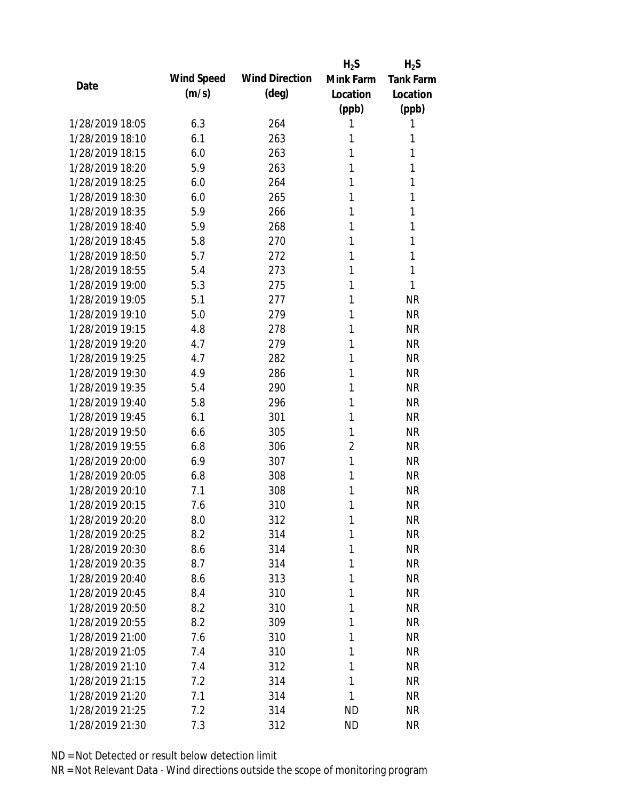|                 |            |                       | $H_2S$         | $H_2S$           |
|-----------------|------------|-----------------------|----------------|------------------|
| Date            | Wind Speed | <b>Wind Direction</b> | Mink Farm      | <b>Tank Farm</b> |
|                 | (m/s)      | $(\text{deg})$        | Location       | Location         |
|                 |            |                       | (ppb)          | (ppb)            |
| 1/28/2019 18:05 | 6.3        | 264                   | 1              | 1                |
| 1/28/2019 18:10 | 6.1        | 263                   | 1              | 1                |
| 1/28/2019 18:15 | 6.0        | 263                   | 1              | 1                |
| 1/28/2019 18:20 | 5.9        | 263                   | 1              | 1                |
| 1/28/2019 18:25 | 6.0        | 264                   | 1              | 1                |
| 1/28/2019 18:30 | 6.0        | 265                   | 1              | 1                |
| 1/28/2019 18:35 | 5.9        | 266                   | 1              | 1                |
| 1/28/2019 18:40 | 5.9        | 268                   | 1              | 1                |
| 1/28/2019 18:45 | 5.8        | 270                   | 1              | 1                |
| 1/28/2019 18:50 | 5.7        | 272                   | 1              | 1                |
| 1/28/2019 18:55 | 5.4        | 273                   | 1              | 1                |
| 1/28/2019 19:00 | 5.3        | 275                   | 1              | 1                |
| 1/28/2019 19:05 | 5.1        | 277                   | 1              | <b>NR</b>        |
| 1/28/2019 19:10 | 5.0        | 279                   | 1              | <b>NR</b>        |
| 1/28/2019 19:15 | 4.8        | 278                   | 1              | <b>NR</b>        |
| 1/28/2019 19:20 | 4.7        | 279                   | 1              | <b>NR</b>        |
| 1/28/2019 19:25 | 4.7        | 282                   | 1              | <b>NR</b>        |
| 1/28/2019 19:30 | 4.9        | 286                   | 1              | <b>NR</b>        |
| 1/28/2019 19:35 | 5.4        | 290                   | 1              | <b>NR</b>        |
| 1/28/2019 19:40 | 5.8        | 296                   | 1              | <b>NR</b>        |
| 1/28/2019 19:45 | 6.1        | 301                   | 1              | <b>NR</b>        |
| 1/28/2019 19:50 | 6.6        | 305                   | 1              | <b>NR</b>        |
| 1/28/2019 19:55 | 6.8        | 306                   | $\overline{2}$ | <b>NR</b>        |
| 1/28/2019 20:00 | 6.9        | 307                   | 1              | <b>NR</b>        |
| 1/28/2019 20:05 | 6.8        | 308                   | 1              | <b>NR</b>        |
| 1/28/2019 20:10 | 7.1        | 308                   | 1              | <b>NR</b>        |
| 1/28/2019 20:15 | 7.6        | 310                   | 1              | <b>NR</b>        |
| 1/28/2019 20:20 | 8.0        | 312                   | $\mathbf{1}$   | <b>NR</b>        |
| 1/28/2019 20:25 | 8.2        | 314                   | 1              | <b>NR</b>        |
| 1/28/2019 20:30 | 8.6        | 314                   | 1              | <b>NR</b>        |
| 1/28/2019 20:35 | 8.7        | 314                   | 1              | <b>NR</b>        |
| 1/28/2019 20:40 | 8.6        | 313                   | 1              | <b>NR</b>        |
| 1/28/2019 20:45 | 8.4        | 310                   | 1              | <b>NR</b>        |
| 1/28/2019 20:50 | 8.2        | 310                   | 1              | <b>NR</b>        |
| 1/28/2019 20:55 | 8.2        | 309                   | 1              | <b>NR</b>        |
| 1/28/2019 21:00 | 7.6        | 310                   | 1              | <b>NR</b>        |
| 1/28/2019 21:05 | 7.4        | 310                   | 1              | <b>NR</b>        |
| 1/28/2019 21:10 | 7.4        | 312                   | 1              | <b>NR</b>        |
| 1/28/2019 21:15 | 7.2        | 314                   | 1              | <b>NR</b>        |
| 1/28/2019 21:20 | 7.1        | 314                   | 1              | <b>NR</b>        |
| 1/28/2019 21:25 | 7.2        | 314                   | <b>ND</b>      | <b>NR</b>        |
| 1/28/2019 21:30 | 7.3        | 312                   | <b>ND</b>      | <b>NR</b>        |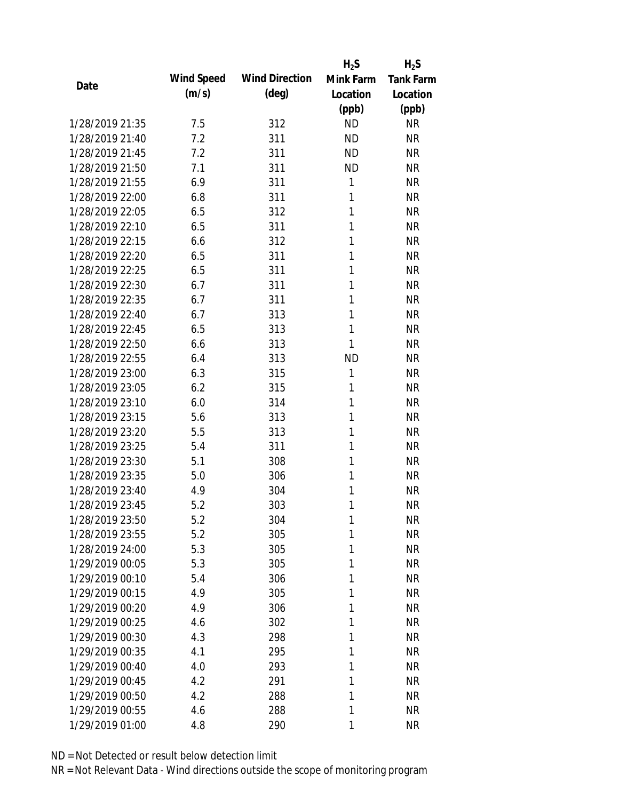|                 |            |                       | $H_2S$    | $H_2S$           |
|-----------------|------------|-----------------------|-----------|------------------|
|                 | Wind Speed | <b>Wind Direction</b> | Mink Farm | <b>Tank Farm</b> |
| Date            | (m/s)      | $(\text{deg})$        | Location  | Location         |
|                 |            |                       | (ppb)     | (ppb)            |
| 1/28/2019 21:35 | 7.5        | 312                   | <b>ND</b> | <b>NR</b>        |
| 1/28/2019 21:40 | 7.2        | 311                   | <b>ND</b> | <b>NR</b>        |
| 1/28/2019 21:45 | 7.2        | 311                   | <b>ND</b> | <b>NR</b>        |
| 1/28/2019 21:50 | 7.1        | 311                   | <b>ND</b> | <b>NR</b>        |
| 1/28/2019 21:55 | 6.9        | 311                   | 1         | <b>NR</b>        |
| 1/28/2019 22:00 | 6.8        | 311                   | 1         | <b>NR</b>        |
| 1/28/2019 22:05 | 6.5        | 312                   | 1         | <b>NR</b>        |
| 1/28/2019 22:10 | 6.5        | 311                   | 1         | <b>NR</b>        |
| 1/28/2019 22:15 | 6.6        | 312                   | 1         | <b>NR</b>        |
| 1/28/2019 22:20 | 6.5        | 311                   | 1         | <b>NR</b>        |
| 1/28/2019 22:25 | 6.5        | 311                   | 1         | <b>NR</b>        |
| 1/28/2019 22:30 | 6.7        | 311                   | 1         | <b>NR</b>        |
| 1/28/2019 22:35 | 6.7        | 311                   | 1         | <b>NR</b>        |
| 1/28/2019 22:40 | 6.7        | 313                   | 1         | <b>NR</b>        |
| 1/28/2019 22:45 | 6.5        | 313                   | 1         | <b>NR</b>        |
| 1/28/2019 22:50 | 6.6        | 313                   | 1         | <b>NR</b>        |
| 1/28/2019 22:55 | 6.4        | 313                   | <b>ND</b> | <b>NR</b>        |
| 1/28/2019 23:00 | 6.3        | 315                   | 1         | <b>NR</b>        |
| 1/28/2019 23:05 | 6.2        | 315                   | 1         | <b>NR</b>        |
| 1/28/2019 23:10 | 6.0        | 314                   | 1         | <b>NR</b>        |
| 1/28/2019 23:15 | 5.6        | 313                   | 1         | <b>NR</b>        |
| 1/28/2019 23:20 | 5.5        | 313                   | 1         | <b>NR</b>        |
| 1/28/2019 23:25 | 5.4        | 311                   | 1         | <b>NR</b>        |
| 1/28/2019 23:30 | 5.1        | 308                   | 1         | <b>NR</b>        |
| 1/28/2019 23:35 | 5.0        | 306                   | 1         | <b>NR</b>        |
| 1/28/2019 23:40 | 4.9        | 304                   | 1         | <b>NR</b>        |
| 1/28/2019 23:45 | 5.2        | 303                   | 1         | <b>NR</b>        |
| 1/28/2019 23:50 | 5.2        | 304                   | 1         | <b>NR</b>        |
| 1/28/2019 23:55 | 5.2        | 305                   | 1         | <b>NR</b>        |
| 1/28/2019 24:00 | 5.3        | 305                   | 1         | <b>NR</b>        |
| 1/29/2019 00:05 | 5.3        | 305                   | 1         | <b>NR</b>        |
| 1/29/2019 00:10 | 5.4        | 306                   | 1         | <b>NR</b>        |
| 1/29/2019 00:15 | 4.9        | 305                   | 1         | <b>NR</b>        |
| 1/29/2019 00:20 | 4.9        | 306                   | 1         | <b>NR</b>        |
| 1/29/2019 00:25 | 4.6        | 302                   | 1         | <b>NR</b>        |
| 1/29/2019 00:30 | 4.3        | 298                   | 1         | <b>NR</b>        |
| 1/29/2019 00:35 | 4.1        | 295                   | 1         | <b>NR</b>        |
| 1/29/2019 00:40 | 4.0        | 293                   | 1         | NR               |
| 1/29/2019 00:45 | 4.2        | 291                   | 1         | NR               |
| 1/29/2019 00:50 | 4.2        | 288                   | 1         | NR               |
| 1/29/2019 00:55 | 4.6        | 288                   | 1         | <b>NR</b>        |
| 1/29/2019 01:00 | 4.8        | 290                   | 1         | <b>NR</b>        |
|                 |            |                       |           |                  |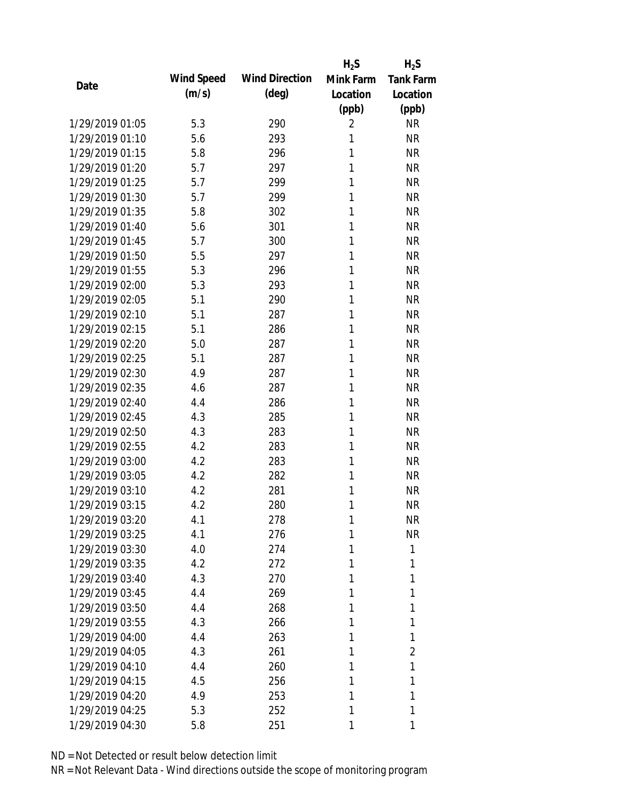|                 |            |                       | $H_2S$    | $H_2S$           |
|-----------------|------------|-----------------------|-----------|------------------|
| Date            | Wind Speed | <b>Wind Direction</b> | Mink Farm | <b>Tank Farm</b> |
|                 | (m/s)      | $(\text{deg})$        | Location  | Location         |
|                 |            |                       | (ppb)     | (ppb)            |
| 1/29/2019 01:05 | 5.3        | 290                   | 2         | <b>NR</b>        |
| 1/29/2019 01:10 | 5.6        | 293                   | 1         | <b>NR</b>        |
| 1/29/2019 01:15 | 5.8        | 296                   | 1         | <b>NR</b>        |
| 1/29/2019 01:20 | 5.7        | 297                   | 1         | <b>NR</b>        |
| 1/29/2019 01:25 | 5.7        | 299                   | 1         | <b>NR</b>        |
| 1/29/2019 01:30 | 5.7        | 299                   | 1         | <b>NR</b>        |
| 1/29/2019 01:35 | 5.8        | 302                   | 1         | <b>NR</b>        |
| 1/29/2019 01:40 | 5.6        | 301                   | 1         | <b>NR</b>        |
| 1/29/2019 01:45 | 5.7        | 300                   | 1         | <b>NR</b>        |
| 1/29/2019 01:50 | 5.5        | 297                   | 1         | <b>NR</b>        |
| 1/29/2019 01:55 | 5.3        | 296                   | 1         | <b>NR</b>        |
| 1/29/2019 02:00 | 5.3        | 293                   | 1         | <b>NR</b>        |
| 1/29/2019 02:05 | 5.1        | 290                   | 1         | <b>NR</b>        |
| 1/29/2019 02:10 | 5.1        | 287                   | 1         | <b>NR</b>        |
| 1/29/2019 02:15 | 5.1        | 286                   | 1         | <b>NR</b>        |
| 1/29/2019 02:20 | 5.0        | 287                   | 1         | <b>NR</b>        |
| 1/29/2019 02:25 | 5.1        | 287                   | 1         | <b>NR</b>        |
| 1/29/2019 02:30 | 4.9        | 287                   | 1         | <b>NR</b>        |
| 1/29/2019 02:35 | 4.6        | 287                   | 1         | <b>NR</b>        |
| 1/29/2019 02:40 | 4.4        | 286                   | 1         | <b>NR</b>        |
| 1/29/2019 02:45 | 4.3        | 285                   | 1         | <b>NR</b>        |
| 1/29/2019 02:50 | 4.3        | 283                   | 1         | <b>NR</b>        |
| 1/29/2019 02:55 | 4.2        | 283                   | 1         | <b>NR</b>        |
| 1/29/2019 03:00 | 4.2        | 283                   | 1         | <b>NR</b>        |
| 1/29/2019 03:05 | 4.2        | 282                   | 1         | <b>NR</b>        |
| 1/29/2019 03:10 | 4.2        | 281                   | 1         | <b>NR</b>        |
| 1/29/2019 03:15 | 4.2        | 280                   | 1         | <b>NR</b>        |
| 1/29/2019 03:20 | 4.1        | 278                   | 1         | <b>NR</b>        |
| 1/29/2019 03:25 | 4.1        | 276                   | 1         | <b>NR</b>        |
| 1/29/2019 03:30 | 4.0        | 274                   | 1         | 1                |
| 1/29/2019 03:35 | 4.2        | 272                   | 1         | 1                |
| 1/29/2019 03:40 | 4.3        | 270                   | 1         | 1                |
| 1/29/2019 03:45 | 4.4        | 269                   | 1         | 1                |
| 1/29/2019 03:50 | 4.4        | 268                   | 1         | 1                |
| 1/29/2019 03:55 | 4.3        | 266                   | 1         | 1                |
| 1/29/2019 04:00 | 4.4        | 263                   | 1         | 1                |
| 1/29/2019 04:05 | 4.3        | 261                   | 1         | 2                |
| 1/29/2019 04:10 | 4.4        | 260                   | 1         | 1                |
| 1/29/2019 04:15 | 4.5        | 256                   | 1         | 1                |
| 1/29/2019 04:20 | 4.9        | 253                   | 1         | 1                |
| 1/29/2019 04:25 | 5.3        | 252                   | 1         | 1                |
| 1/29/2019 04:30 | 5.8        | 251                   | 1         | 1                |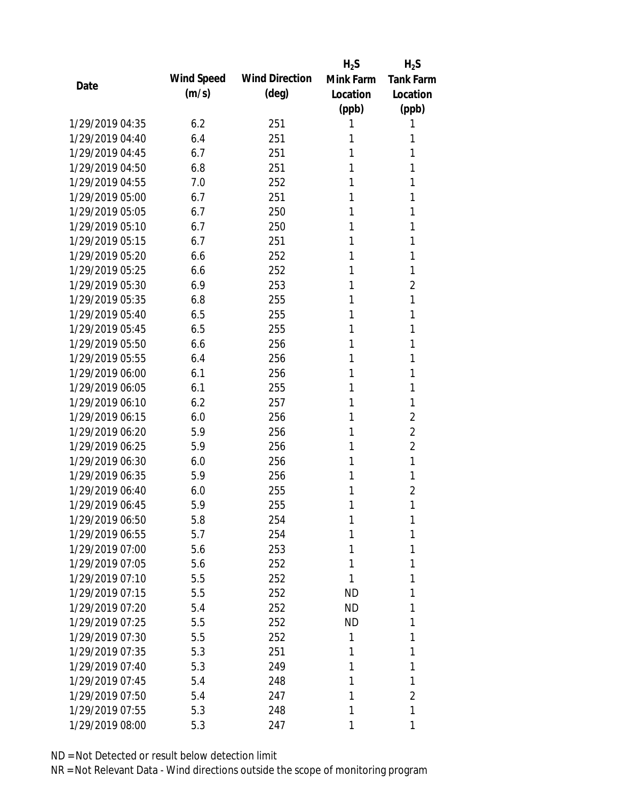|                 |            |                       | $H_2S$    | $H_2S$           |
|-----------------|------------|-----------------------|-----------|------------------|
| Date            | Wind Speed | <b>Wind Direction</b> | Mink Farm | <b>Tank Farm</b> |
|                 | (m/s)      | $(\text{deg})$        | Location  | Location         |
|                 |            |                       | (ppb)     | (ppb)            |
| 1/29/2019 04:35 | 6.2        | 251                   | 1         | 1                |
| 1/29/2019 04:40 | 6.4        | 251                   | 1         | 1                |
| 1/29/2019 04:45 | 6.7        | 251                   | 1         | 1                |
| 1/29/2019 04:50 | 6.8        | 251                   | 1         | 1                |
| 1/29/2019 04:55 | 7.0        | 252                   | 1         | 1                |
| 1/29/2019 05:00 | 6.7        | 251                   | 1         | 1                |
| 1/29/2019 05:05 | 6.7        | 250                   | 1         | 1                |
| 1/29/2019 05:10 | 6.7        | 250                   | 1         | 1                |
| 1/29/2019 05:15 | 6.7        | 251                   | 1         | 1                |
| 1/29/2019 05:20 | 6.6        | 252                   | 1         | 1                |
| 1/29/2019 05:25 | 6.6        | 252                   | 1         | 1                |
| 1/29/2019 05:30 | 6.9        | 253                   | 1         | $\overline{2}$   |
| 1/29/2019 05:35 | 6.8        | 255                   | 1         | 1                |
| 1/29/2019 05:40 | 6.5        | 255                   | 1         | 1                |
| 1/29/2019 05:45 | 6.5        | 255                   | 1         | 1                |
| 1/29/2019 05:50 | 6.6        | 256                   | 1         | 1                |
| 1/29/2019 05:55 | 6.4        | 256                   | 1         | 1                |
| 1/29/2019 06:00 | 6.1        | 256                   | 1         | 1                |
| 1/29/2019 06:05 | 6.1        | 255                   | 1         | 1                |
| 1/29/2019 06:10 | 6.2        | 257                   | 1         | 1                |
| 1/29/2019 06:15 | 6.0        | 256                   | 1         | 2                |
| 1/29/2019 06:20 | 5.9        | 256                   | 1         | $\overline{2}$   |
| 1/29/2019 06:25 | 5.9        | 256                   | 1         | $\overline{2}$   |
| 1/29/2019 06:30 | 6.0        | 256                   | 1         | 1                |
| 1/29/2019 06:35 | 5.9        | 256                   | 1         | 1                |
| 1/29/2019 06:40 | 6.0        | 255                   | 1         | $\overline{2}$   |
| 1/29/2019 06:45 | 5.9        | 255                   | 1         | 1                |
| 1/29/2019 06:50 | 5.8        | 254                   | 1         | 1                |
| 1/29/2019 06:55 | 5.7        | 254                   | 1         | 1                |
| 1/29/2019 07:00 | 5.6        | 253                   | 1         | 1                |
| 1/29/2019 07:05 | 5.6        | 252                   | 1         | 1                |
| 1/29/2019 07:10 | 5.5        | 252                   | 1         | 1                |
| 1/29/2019 07:15 | 5.5        | 252                   | <b>ND</b> | 1                |
| 1/29/2019 07:20 | 5.4        | 252                   | <b>ND</b> | 1                |
| 1/29/2019 07:25 | 5.5        | 252                   | ND.       | 1                |
| 1/29/2019 07:30 | 5.5        | 252                   | 1         | 1                |
| 1/29/2019 07:35 | 5.3        | 251                   | 1         | 1                |
| 1/29/2019 07:40 | 5.3        | 249                   | 1         | 1                |
| 1/29/2019 07:45 | 5.4        | 248                   | 1         | 1                |
| 1/29/2019 07:50 | 5.4        | 247                   | 1         | $\overline{2}$   |
| 1/29/2019 07:55 | 5.3        | 248                   | 1         | 1                |
| 1/29/2019 08:00 | 5.3        | 247                   | 1         | 1                |
|                 |            |                       |           |                  |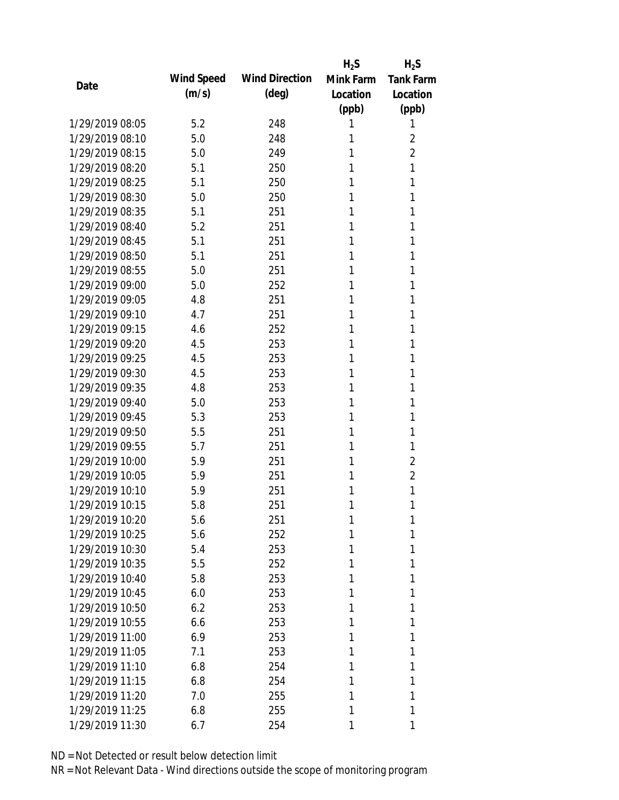|                 |            |                       | $H_2S$    | $H_2S$           |
|-----------------|------------|-----------------------|-----------|------------------|
| Date            | Wind Speed | <b>Wind Direction</b> | Mink Farm | <b>Tank Farm</b> |
|                 | (m/s)      | $(\text{deg})$        | Location  | Location         |
|                 |            |                       | (ppb)     | (ppb)            |
| 1/29/2019 08:05 | 5.2        | 248                   | 1         | 1                |
| 1/29/2019 08:10 | 5.0        | 248                   | 1         | 2                |
| 1/29/2019 08:15 | 5.0        | 249                   | 1         | $\overline{2}$   |
| 1/29/2019 08:20 | 5.1        | 250                   | 1         | 1                |
| 1/29/2019 08:25 | 5.1        | 250                   | 1         | 1                |
| 1/29/2019 08:30 | 5.0        | 250                   | 1         | 1                |
| 1/29/2019 08:35 | 5.1        | 251                   | 1         | 1                |
| 1/29/2019 08:40 | 5.2        | 251                   | 1         | 1                |
| 1/29/2019 08:45 | 5.1        | 251                   | 1         | 1                |
| 1/29/2019 08:50 | 5.1        | 251                   | 1         | 1                |
| 1/29/2019 08:55 | 5.0        | 251                   | 1         | 1                |
| 1/29/2019 09:00 | 5.0        | 252                   | 1         | 1                |
| 1/29/2019 09:05 | 4.8        | 251                   | 1         | 1                |
| 1/29/2019 09:10 | 4.7        | 251                   | 1         | 1                |
| 1/29/2019 09:15 | 4.6        | 252                   | 1         | 1                |
| 1/29/2019 09:20 | 4.5        | 253                   | 1         | 1                |
| 1/29/2019 09:25 | 4.5        | 253                   | 1         | 1                |
| 1/29/2019 09:30 | 4.5        | 253                   | 1         | 1                |
| 1/29/2019 09:35 | 4.8        | 253                   | 1         | 1                |
| 1/29/2019 09:40 | 5.0        | 253                   | 1         | 1                |
| 1/29/2019 09:45 | 5.3        | 253                   | 1         | 1                |
| 1/29/2019 09:50 | 5.5        | 251                   | 1         | 1                |
| 1/29/2019 09:55 | 5.7        | 251                   | 1         | 1                |
| 1/29/2019 10:00 | 5.9        | 251                   | 1         | $\overline{2}$   |
| 1/29/2019 10:05 | 5.9        | 251                   | 1         | $\overline{2}$   |
| 1/29/2019 10:10 | 5.9        | 251                   | 1         | 1                |
| 1/29/2019 10:15 | 5.8        | 251                   | 1         | 1                |
| 1/29/2019 10:20 | 5.6        | 251                   | 1         | 1                |
| 1/29/2019 10:25 | 5.6        | 252                   | 1         | 1                |
| 1/29/2019 10:30 | 5.4        | 253                   | 1         | 1                |
| 1/29/2019 10:35 | 5.5        | 252                   | 1         | 1                |
| 1/29/2019 10:40 | 5.8        | 253                   | 1         | 1                |
| 1/29/2019 10:45 | 6.0        | 253                   | 1         | 1                |
| 1/29/2019 10:50 | 6.2        | 253                   | 1         | 1                |
| 1/29/2019 10:55 | 6.6        | 253                   | 1         | 1                |
| 1/29/2019 11:00 | 6.9        | 253                   | 1         | 1                |
| 1/29/2019 11:05 | 7.1        | 253                   | 1         | 1                |
| 1/29/2019 11:10 | 6.8        | 254                   | 1         | 1                |
| 1/29/2019 11:15 | 6.8        | 254                   | 1         | 1                |
| 1/29/2019 11:20 | 7.0        | 255                   | 1         | 1                |
| 1/29/2019 11:25 | 6.8        | 255                   | 1         | 1                |
| 1/29/2019 11:30 | 6.7        | 254                   | 1         | 1                |
|                 |            |                       |           |                  |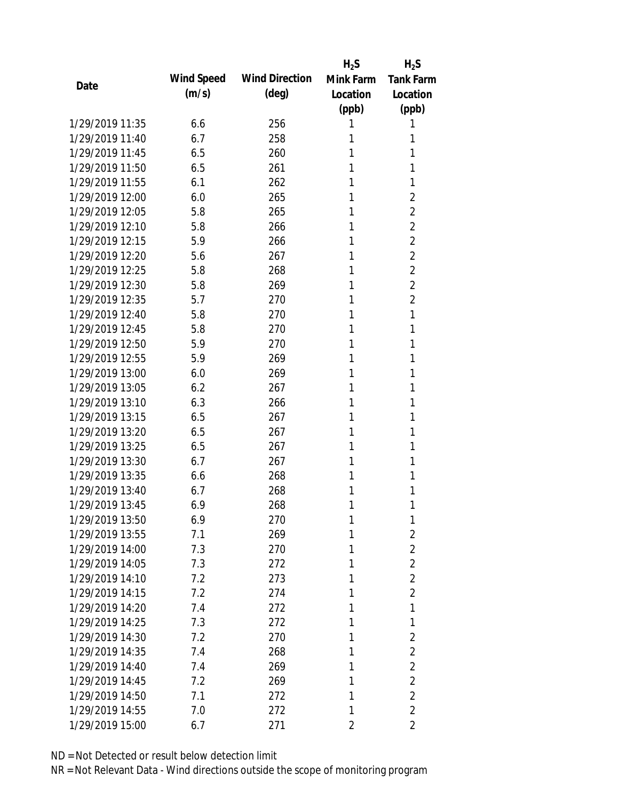|                 |            |                       | $H_2S$    | $H_2S$           |
|-----------------|------------|-----------------------|-----------|------------------|
|                 | Wind Speed | <b>Wind Direction</b> | Mink Farm | <b>Tank Farm</b> |
| Date            | (m/s)      | $(\text{deg})$        | Location  | Location         |
|                 |            |                       | (ppb)     | (ppb)            |
| 1/29/2019 11:35 | 6.6        | 256                   | 1         | 1                |
| 1/29/2019 11:40 | 6.7        | 258                   | 1         | 1                |
| 1/29/2019 11:45 | 6.5        | 260                   | 1         | 1                |
| 1/29/2019 11:50 | 6.5        | 261                   | 1         | 1                |
| 1/29/2019 11:55 | 6.1        | 262                   | 1         | 1                |
| 1/29/2019 12:00 | 6.0        | 265                   | 1         | 2                |
| 1/29/2019 12:05 | 5.8        | 265                   | 1         | 2                |
| 1/29/2019 12:10 | 5.8        | 266                   | 1         | $\overline{2}$   |
| 1/29/2019 12:15 | 5.9        | 266                   | 1         | $\overline{2}$   |
| 1/29/2019 12:20 | 5.6        | 267                   | 1         | $\overline{2}$   |
| 1/29/2019 12:25 | 5.8        | 268                   | 1         | $\overline{2}$   |
| 1/29/2019 12:30 | 5.8        | 269                   | 1         | 2                |
| 1/29/2019 12:35 | 5.7        | 270                   | 1         | $\overline{2}$   |
| 1/29/2019 12:40 | 5.8        | 270                   | 1         | 1                |
| 1/29/2019 12:45 | 5.8        | 270                   | 1         | 1                |
| 1/29/2019 12:50 | 5.9        | 270                   | 1         | 1                |
| 1/29/2019 12:55 | 5.9        | 269                   | 1         | 1                |
| 1/29/2019 13:00 | 6.0        | 269                   | 1         | 1                |
| 1/29/2019 13:05 | 6.2        | 267                   | 1         | 1                |
| 1/29/2019 13:10 | 6.3        | 266                   | 1         | 1                |
| 1/29/2019 13:15 | 6.5        | 267                   | 1         | 1                |
| 1/29/2019 13:20 | 6.5        | 267                   | 1         | 1                |
| 1/29/2019 13:25 | 6.5        | 267                   | 1         | 1                |
| 1/29/2019 13:30 | 6.7        | 267                   | 1         | 1                |
| 1/29/2019 13:35 | 6.6        | 268                   | 1         | 1                |
| 1/29/2019 13:40 | 6.7        | 268                   | 1         | 1                |
| 1/29/2019 13:45 | 6.9        | 268                   | 1         | 1                |
| 1/29/2019 13:50 | 6.9        | 270                   | 1         | 1                |
| 1/29/2019 13:55 | 7.1        | 269                   | 1         | $\overline{2}$   |
| 1/29/2019 14:00 | 7.3        | 270                   | 1         | $\overline{2}$   |
| 1/29/2019 14:05 | 7.3        | 272                   | 1         | $\overline{2}$   |
| 1/29/2019 14:10 | 7.2        | 273                   | 1         | $\overline{2}$   |
| 1/29/2019 14:15 | 7.2        | 274                   | 1         | $\overline{2}$   |
| 1/29/2019 14:20 | 7.4        | 272                   | 1         | 1                |
| 1/29/2019 14:25 | 7.3        | 272                   | 1         | 1                |
| 1/29/2019 14:30 | 7.2        | 270                   | 1         | 2                |
| 1/29/2019 14:35 | 7.4        | 268                   | 1         | $\overline{2}$   |
| 1/29/2019 14:40 | 7.4        | 269                   | 1         | $\overline{2}$   |
| 1/29/2019 14:45 | 7.2        | 269                   | 1         | $\overline{2}$   |
| 1/29/2019 14:50 | 7.1        | 272                   | 1         | $\overline{2}$   |
| 1/29/2019 14:55 | 7.0        | 272                   | 1         | $\overline{2}$   |
| 1/29/2019 15:00 | 6.7        | 271                   | 2         | 2                |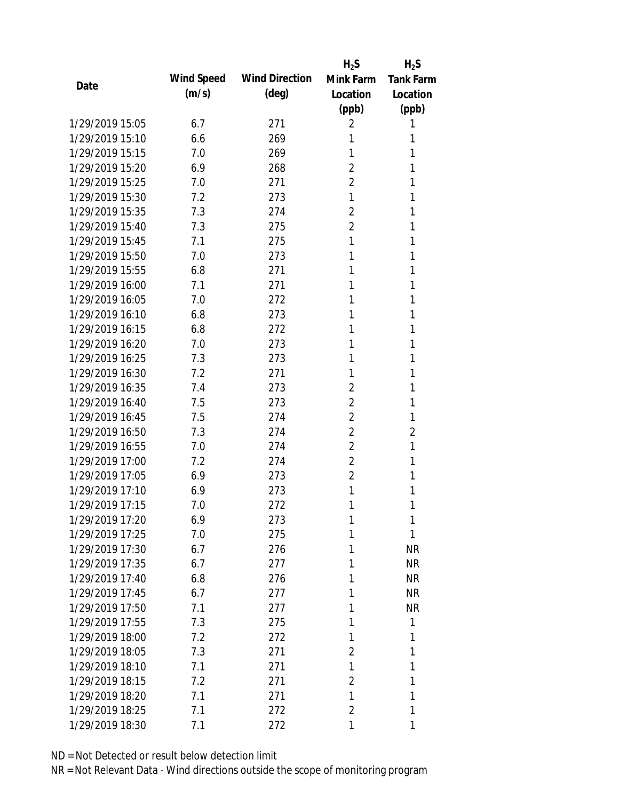|                 |            |                       | $H_2S$         | $H_2S$           |
|-----------------|------------|-----------------------|----------------|------------------|
| Date            | Wind Speed | <b>Wind Direction</b> | Mink Farm      | <b>Tank Farm</b> |
|                 | (m/s)      | $(\text{deg})$        | Location       | Location         |
|                 |            |                       | (ppb)          | (ppb)            |
| 1/29/2019 15:05 | 6.7        | 271                   | 2              | 1                |
| 1/29/2019 15:10 | 6.6        | 269                   | 1              | 1                |
| 1/29/2019 15:15 | 7.0        | 269                   | 1              | 1                |
| 1/29/2019 15:20 | 6.9        | 268                   | 2              | 1                |
| 1/29/2019 15:25 | 7.0        | 271                   | $\overline{2}$ | 1                |
| 1/29/2019 15:30 | 7.2        | 273                   | 1              | 1                |
| 1/29/2019 15:35 | 7.3        | 274                   | 2              | 1                |
| 1/29/2019 15:40 | 7.3        | 275                   | $\overline{2}$ | 1                |
| 1/29/2019 15:45 | 7.1        | 275                   | 1              | 1                |
| 1/29/2019 15:50 | 7.0        | 273                   | 1              | 1                |
| 1/29/2019 15:55 | 6.8        | 271                   | 1              | 1                |
| 1/29/2019 16:00 | 7.1        | 271                   | 1              | 1                |
| 1/29/2019 16:05 | 7.0        | 272                   | 1              | 1                |
| 1/29/2019 16:10 | 6.8        | 273                   | 1              | 1                |
| 1/29/2019 16:15 | 6.8        | 272                   | 1              | 1                |
| 1/29/2019 16:20 | 7.0        | 273                   | 1              | 1                |
| 1/29/2019 16:25 | 7.3        | 273                   | 1              | 1                |
| 1/29/2019 16:30 | 7.2        | 271                   | 1              | 1                |
| 1/29/2019 16:35 | 7.4        | 273                   | $\overline{2}$ | 1                |
| 1/29/2019 16:40 | 7.5        | 273                   | $\overline{2}$ | 1                |
| 1/29/2019 16:45 | 7.5        | 274                   | $\overline{2}$ | 1                |
| 1/29/2019 16:50 | 7.3        | 274                   | $\overline{2}$ | $\overline{2}$   |
| 1/29/2019 16:55 | 7.0        | 274                   | $\overline{2}$ | 1                |
| 1/29/2019 17:00 | 7.2        | 274                   | $\overline{2}$ | 1                |
| 1/29/2019 17:05 | 6.9        | 273                   | $\overline{2}$ | 1                |
| 1/29/2019 17:10 | 6.9        | 273                   | 1              | 1                |
| 1/29/2019 17:15 | 7.0        | 272                   | 1              | 1                |
| 1/29/2019 17:20 | 6.9        | 273                   | 1              | 1                |
| 1/29/2019 17:25 | 7.0        | 275                   | 1              | 1                |
| 1/29/2019 17:30 | 6.7        | 276                   | 1              | <b>NR</b>        |
| 1/29/2019 17:35 | 6.7        | 277                   | 1              | <b>NR</b>        |
| 1/29/2019 17:40 | 6.8        | 276                   | 1              | <b>NR</b>        |
| 1/29/2019 17:45 | 6.7        | 277                   | 1              | <b>NR</b>        |
| 1/29/2019 17:50 | 7.1        | 277                   | 1              | <b>NR</b>        |
| 1/29/2019 17:55 | 7.3        | 275                   | 1              | 1                |
| 1/29/2019 18:00 | 7.2        | 272                   | 1              | 1                |
| 1/29/2019 18:05 | 7.3        | 271                   | 2              | 1                |
| 1/29/2019 18:10 | 7.1        | 271                   | 1              | 1                |
| 1/29/2019 18:15 | 7.2        | 271                   | $\overline{2}$ | 1                |
| 1/29/2019 18:20 | 7.1        | 271                   | 1              | 1                |
| 1/29/2019 18:25 | 7.1        | 272                   | $\overline{2}$ | 1                |
| 1/29/2019 18:30 | 7.1        | 272                   | 1              | 1                |
|                 |            |                       |                |                  |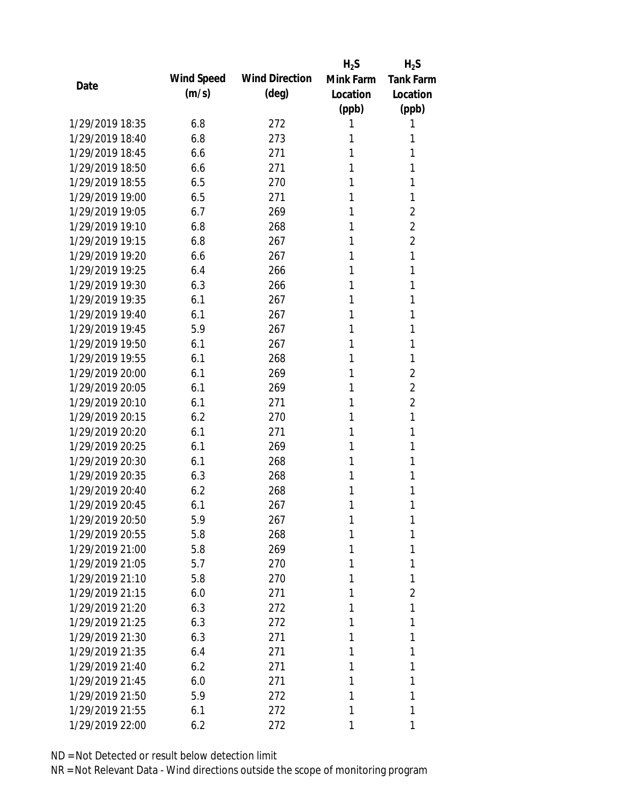|                 |            |                       | $H_2S$    | $H_2S$           |
|-----------------|------------|-----------------------|-----------|------------------|
| Date            | Wind Speed | <b>Wind Direction</b> | Mink Farm | <b>Tank Farm</b> |
|                 | (m/s)      | $(\text{deg})$        | Location  | Location         |
|                 |            |                       | (ppb)     | (ppb)            |
| 1/29/2019 18:35 | 6.8        | 272                   | 1         | 1                |
| 1/29/2019 18:40 | 6.8        | 273                   | 1         | 1                |
| 1/29/2019 18:45 | 6.6        | 271                   | 1         | 1                |
| 1/29/2019 18:50 | 6.6        | 271                   | 1         | 1                |
| 1/29/2019 18:55 | 6.5        | 270                   | 1         | 1                |
| 1/29/2019 19:00 | 6.5        | 271                   | 1         | 1                |
| 1/29/2019 19:05 | 6.7        | 269                   | 1         | $\overline{2}$   |
| 1/29/2019 19:10 | 6.8        | 268                   | 1         | $\overline{2}$   |
| 1/29/2019 19:15 | 6.8        | 267                   | 1         | $\overline{2}$   |
| 1/29/2019 19:20 | 6.6        | 267                   | 1         | 1                |
| 1/29/2019 19:25 | 6.4        | 266                   | 1         | 1                |
| 1/29/2019 19:30 | 6.3        | 266                   | 1         | 1                |
| 1/29/2019 19:35 | 6.1        | 267                   | 1         | 1                |
| 1/29/2019 19:40 | 6.1        | 267                   | 1         | 1                |
| 1/29/2019 19:45 | 5.9        | 267                   | 1         | 1                |
| 1/29/2019 19:50 | 6.1        | 267                   | 1         | 1                |
| 1/29/2019 19:55 | 6.1        | 268                   | 1         | 1                |
| 1/29/2019 20:00 | 6.1        | 269                   | 1         | 2                |
| 1/29/2019 20:05 | 6.1        | 269                   | 1         | $\overline{2}$   |
| 1/29/2019 20:10 | 6.1        | 271                   | 1         | $\overline{2}$   |
| 1/29/2019 20:15 | 6.2        | 270                   | 1         | 1                |
| 1/29/2019 20:20 | 6.1        | 271                   | 1         | 1                |
| 1/29/2019 20:25 | 6.1        | 269                   | 1         | 1                |
| 1/29/2019 20:30 | 6.1        | 268                   | 1         | 1                |
| 1/29/2019 20:35 | 6.3        | 268                   | 1         | 1                |
| 1/29/2019 20:40 | 6.2        | 268                   | 1         | 1                |
| 1/29/2019 20:45 | 6.1        | 267                   | 1         | 1                |
| 1/29/2019 20:50 | 5.9        | 267                   | 1         | 1                |
| 1/29/2019 20:55 | 5.8        | 268                   | 1         | 1                |
| 1/29/2019 21:00 | 5.8        | 269                   | 1         | 1                |
| 1/29/2019 21:05 | 5.7        | 270                   | 1         | 1                |
| 1/29/2019 21:10 | 5.8        |                       | 1         | 1                |
| 1/29/2019 21:15 | 6.0        | 270<br>271            | 1         | 2                |
| 1/29/2019 21:20 |            |                       | 1         | 1                |
|                 | 6.3        | 272                   |           |                  |
| 1/29/2019 21:25 | 6.3        | 272                   | 1         | 1                |
| 1/29/2019 21:30 | 6.3        | 271                   | 1         | 1                |
| 1/29/2019 21:35 | 6.4        | 271                   | 1         | 1                |
| 1/29/2019 21:40 | 6.2        | 271                   | 1         | 1                |
| 1/29/2019 21:45 | 6.0        | 271                   | 1         | 1                |
| 1/29/2019 21:50 | 5.9        | 272                   | 1         | 1                |
| 1/29/2019 21:55 | 6.1        | 272                   | 1         | 1                |
| 1/29/2019 22:00 | 6.2        | 272                   | 1         | 1                |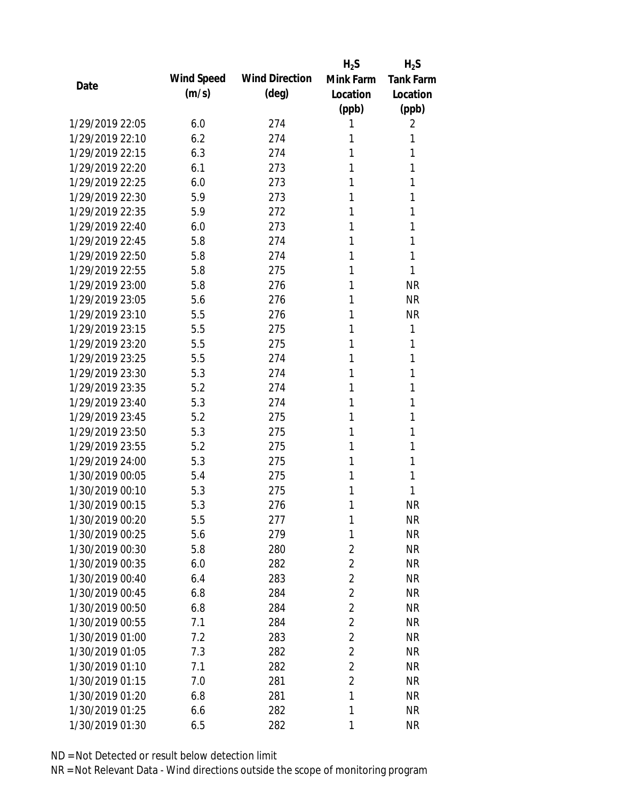|                 |            |                       | $H_2S$         | $H_2S$           |
|-----------------|------------|-----------------------|----------------|------------------|
| Date            | Wind Speed | <b>Wind Direction</b> | Mink Farm      | <b>Tank Farm</b> |
|                 | (m/s)      | $(\text{deg})$        | Location       | Location         |
|                 |            |                       | (ppb)          | (ppb)            |
| 1/29/2019 22:05 | 6.0        | 274                   | 1              | 2                |
| 1/29/2019 22:10 | 6.2        | 274                   | 1              | 1                |
| 1/29/2019 22:15 | 6.3        | 274                   | 1              | 1                |
| 1/29/2019 22:20 | 6.1        | 273                   | 1              | 1                |
| 1/29/2019 22:25 | 6.0        | 273                   | 1              | 1                |
| 1/29/2019 22:30 | 5.9        | 273                   | 1              | 1                |
| 1/29/2019 22:35 | 5.9        | 272                   | 1              | 1                |
| 1/29/2019 22:40 | 6.0        | 273                   | 1              | 1                |
| 1/29/2019 22:45 | 5.8        | 274                   | 1              | 1                |
| 1/29/2019 22:50 | 5.8        | 274                   | 1              | 1                |
| 1/29/2019 22:55 | 5.8        | 275                   | 1              | 1                |
| 1/29/2019 23:00 | 5.8        | 276                   | 1              | <b>NR</b>        |
| 1/29/2019 23:05 | 5.6        | 276                   | 1              | <b>NR</b>        |
| 1/29/2019 23:10 | 5.5        | 276                   | 1              | <b>NR</b>        |
| 1/29/2019 23:15 | 5.5        | 275                   | 1              | 1                |
| 1/29/2019 23:20 | 5.5        | 275                   | 1              | 1                |
| 1/29/2019 23:25 | 5.5        | 274                   | 1              | 1                |
| 1/29/2019 23:30 | 5.3        | 274                   | 1              | 1                |
| 1/29/2019 23:35 | 5.2        | 274                   | 1              | 1                |
| 1/29/2019 23:40 | 5.3        | 274                   | 1              | 1                |
| 1/29/2019 23:45 | 5.2        | 275                   | 1              | 1                |
| 1/29/2019 23:50 | 5.3        | 275                   | 1              | 1                |
| 1/29/2019 23:55 | 5.2        | 275                   | 1              | 1                |
| 1/29/2019 24:00 | 5.3        | 275                   | 1              | 1                |
| 1/30/2019 00:05 | 5.4        | 275                   | 1              | 1                |
| 1/30/2019 00:10 | 5.3        | 275                   | 1              | 1                |
| 1/30/2019 00:15 | 5.3        | 276                   | 1              | <b>NR</b>        |
| 1/30/2019 00:20 | 5.5        | 277                   | 1              | <b>NR</b>        |
| 1/30/2019 00:25 | 5.6        | 279                   | 1              | <b>NR</b>        |
| 1/30/2019 00:30 | 5.8        | 280                   | $\overline{2}$ | <b>NR</b>        |
| 1/30/2019 00:35 | 6.0        | 282                   | $\overline{2}$ | <b>NR</b>        |
| 1/30/2019 00:40 | 6.4        | 283                   | $\overline{2}$ | NR               |
| 1/30/2019 00:45 | 6.8        | 284                   | $\overline{2}$ | <b>NR</b>        |
| 1/30/2019 00:50 | 6.8        | 284                   | $\overline{2}$ | <b>NR</b>        |
| 1/30/2019 00:55 | 7.1        | 284                   | $\overline{2}$ | <b>NR</b>        |
| 1/30/2019 01:00 | 7.2        | 283                   | $\overline{2}$ | <b>NR</b>        |
| 1/30/2019 01:05 | 7.3        | 282                   | $\overline{2}$ | <b>NR</b>        |
| 1/30/2019 01:10 | 7.1        | 282                   | $\overline{2}$ | <b>NR</b>        |
| 1/30/2019 01:15 | 7.0        | 281                   | $\overline{2}$ | <b>NR</b>        |
| 1/30/2019 01:20 | 6.8        | 281                   | 1              | <b>NR</b>        |
| 1/30/2019 01:25 | 6.6        | 282                   | 1              | <b>NR</b>        |
| 1/30/2019 01:30 | 6.5        | 282                   | 1              | <b>NR</b>        |
|                 |            |                       |                |                  |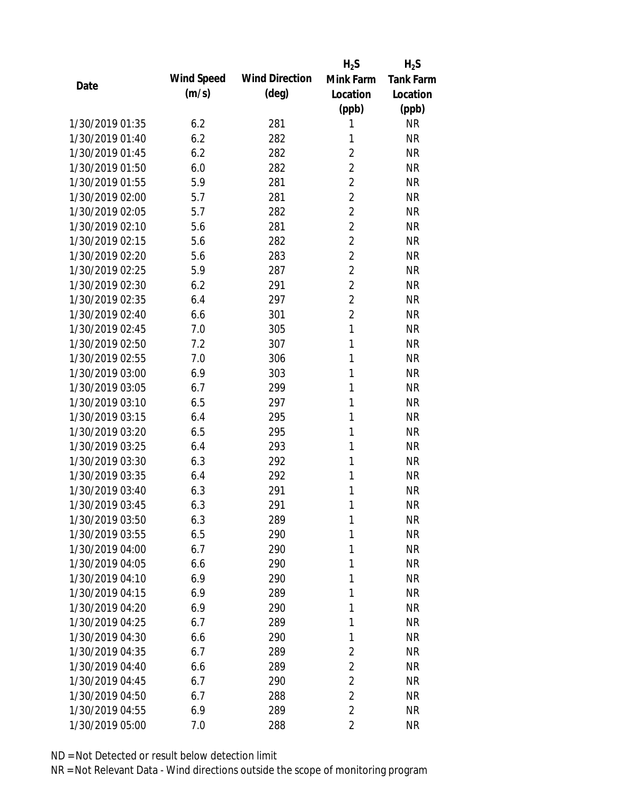|                 |            |                       | $H_2S$         | $H_2S$           |
|-----------------|------------|-----------------------|----------------|------------------|
| Date            | Wind Speed | <b>Wind Direction</b> | Mink Farm      | <b>Tank Farm</b> |
|                 | (m/s)      | $(\text{deg})$        | Location       | Location         |
|                 |            |                       | (ppb)          | (ppb)            |
| 1/30/2019 01:35 | 6.2        | 281                   | 1              | <b>NR</b>        |
| 1/30/2019 01:40 | 6.2        | 282                   | 1              | <b>NR</b>        |
| 1/30/2019 01:45 | 6.2        | 282                   | $\overline{2}$ | <b>NR</b>        |
| 1/30/2019 01:50 | 6.0        | 282                   | $\overline{2}$ | <b>NR</b>        |
| 1/30/2019 01:55 | 5.9        | 281                   | $\overline{2}$ | <b>NR</b>        |
| 1/30/2019 02:00 | 5.7        | 281                   | $\overline{2}$ | <b>NR</b>        |
| 1/30/2019 02:05 | 5.7        | 282                   | $\overline{2}$ | <b>NR</b>        |
| 1/30/2019 02:10 | 5.6        | 281                   | $\overline{2}$ | <b>NR</b>        |
| 1/30/2019 02:15 | 5.6        | 282                   | $\overline{2}$ | <b>NR</b>        |
| 1/30/2019 02:20 | 5.6        | 283                   | $\overline{2}$ | <b>NR</b>        |
| 1/30/2019 02:25 | 5.9        | 287                   | $\overline{2}$ | <b>NR</b>        |
| 1/30/2019 02:30 | 6.2        | 291                   | $\overline{2}$ | <b>NR</b>        |
| 1/30/2019 02:35 | 6.4        | 297                   | $\overline{2}$ | <b>NR</b>        |
| 1/30/2019 02:40 | 6.6        | 301                   | $\overline{2}$ | <b>NR</b>        |
| 1/30/2019 02:45 | 7.0        | 305                   | $\mathbf{1}$   | <b>NR</b>        |
| 1/30/2019 02:50 | 7.2        | 307                   | 1              | <b>NR</b>        |
| 1/30/2019 02:55 | 7.0        | 306                   | 1              | <b>NR</b>        |
| 1/30/2019 03:00 | 6.9        | 303                   | 1              | <b>NR</b>        |
| 1/30/2019 03:05 | 6.7        | 299                   | 1              | <b>NR</b>        |
| 1/30/2019 03:10 | 6.5        | 297                   | 1              | <b>NR</b>        |
| 1/30/2019 03:15 | 6.4        | 295                   | 1              | <b>NR</b>        |
| 1/30/2019 03:20 | 6.5        | 295                   | 1              | <b>NR</b>        |
| 1/30/2019 03:25 | 6.4        | 293                   | 1              | <b>NR</b>        |
| 1/30/2019 03:30 | 6.3        | 292                   | 1              | <b>NR</b>        |
| 1/30/2019 03:35 | 6.4        | 292                   | 1              | <b>NR</b>        |
| 1/30/2019 03:40 | 6.3        | 291                   | 1              | <b>NR</b>        |
| 1/30/2019 03:45 | 6.3        | 291                   | 1              | <b>NR</b>        |
| 1/30/2019 03:50 | 6.3        | 289                   | 1              | <b>NR</b>        |
| 1/30/2019 03:55 | 6.5        | 290                   | 1              | <b>NR</b>        |
| 1/30/2019 04:00 | 6.7        | 290                   | 1              | <b>NR</b>        |
| 1/30/2019 04:05 | 6.6        | 290                   | 1              | <b>NR</b>        |
| 1/30/2019 04:10 | 6.9        | 290                   | 1              | <b>NR</b>        |
| 1/30/2019 04:15 | 6.9        | 289                   | 1              | <b>NR</b>        |
| 1/30/2019 04:20 | 6.9        | 290                   | 1              | <b>NR</b>        |
| 1/30/2019 04:25 | 6.7        | 289                   | 1              | <b>NR</b>        |
| 1/30/2019 04:30 | 6.6        | 290                   | 1              | <b>NR</b>        |
| 1/30/2019 04:35 | 6.7        | 289                   | $\overline{2}$ | NR               |
| 1/30/2019 04:40 | 6.6        | 289                   | $\overline{2}$ | NR               |
| 1/30/2019 04:45 | 6.7        | 290                   | $\overline{2}$ | NR               |
| 1/30/2019 04:50 | 6.7        | 288                   | $\overline{2}$ | NR               |
| 1/30/2019 04:55 | 6.9        | 289                   | 2              | <b>NR</b>        |
|                 |            |                       | $\overline{2}$ |                  |
| 1/30/2019 05:00 | 7.0        | 288                   |                | <b>NR</b>        |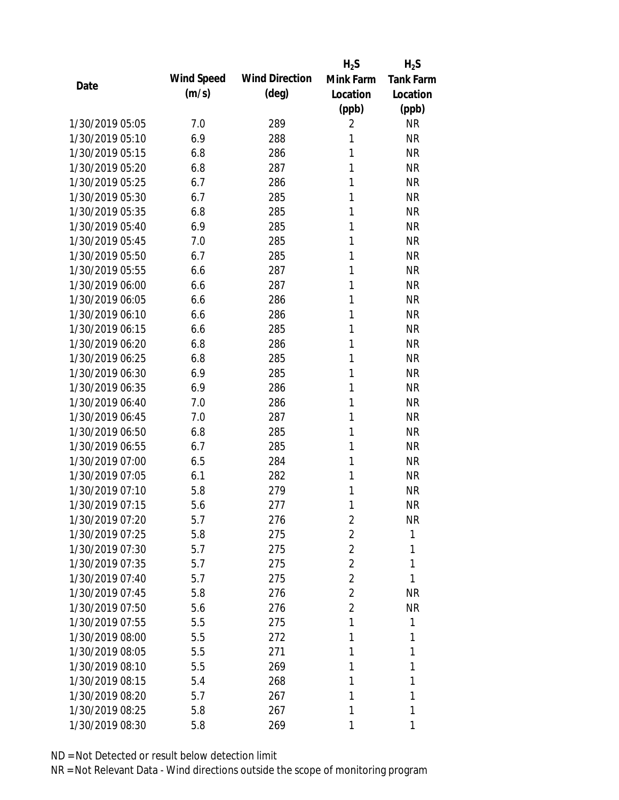|                 |            |                       | $H_2S$         | $H_2S$           |
|-----------------|------------|-----------------------|----------------|------------------|
|                 | Wind Speed | <b>Wind Direction</b> | Mink Farm      | <b>Tank Farm</b> |
| Date            | (m/s)      | $(\text{deg})$        | Location       | Location         |
|                 |            |                       | (ppb)          | (ppb)            |
| 1/30/2019 05:05 | 7.0        | 289                   | 2              | NR               |
| 1/30/2019 05:10 | 6.9        | 288                   | 1              | <b>NR</b>        |
| 1/30/2019 05:15 | 6.8        | 286                   | 1              | <b>NR</b>        |
| 1/30/2019 05:20 | 6.8        | 287                   | 1              | <b>NR</b>        |
| 1/30/2019 05:25 | 6.7        | 286                   | 1              | <b>NR</b>        |
| 1/30/2019 05:30 | 6.7        | 285                   | 1              | <b>NR</b>        |
| 1/30/2019 05:35 | 6.8        | 285                   | 1              | <b>NR</b>        |
| 1/30/2019 05:40 | 6.9        | 285                   | 1              | <b>NR</b>        |
| 1/30/2019 05:45 | 7.0        | 285                   | 1              | <b>NR</b>        |
| 1/30/2019 05:50 | 6.7        | 285                   | 1              | <b>NR</b>        |
| 1/30/2019 05:55 | 6.6        | 287                   | 1              | <b>NR</b>        |
| 1/30/2019 06:00 | 6.6        | 287                   | 1              | <b>NR</b>        |
| 1/30/2019 06:05 | 6.6        | 286                   | 1              | <b>NR</b>        |
| 1/30/2019 06:10 | 6.6        | 286                   | 1              | <b>NR</b>        |
| 1/30/2019 06:15 | 6.6        | 285                   | 1              | <b>NR</b>        |
| 1/30/2019 06:20 | 6.8        | 286                   | 1              | <b>NR</b>        |
| 1/30/2019 06:25 | 6.8        | 285                   | 1              | <b>NR</b>        |
| 1/30/2019 06:30 | 6.9        | 285                   | 1              | <b>NR</b>        |
| 1/30/2019 06:35 | 6.9        | 286                   | 1              | <b>NR</b>        |
| 1/30/2019 06:40 | 7.0        | 286                   | 1              | <b>NR</b>        |
| 1/30/2019 06:45 | 7.0        | 287                   | 1              | <b>NR</b>        |
| 1/30/2019 06:50 | 6.8        | 285                   | 1              | <b>NR</b>        |
| 1/30/2019 06:55 | 6.7        | 285                   | 1              | <b>NR</b>        |
| 1/30/2019 07:00 | 6.5        | 284                   | 1              | <b>NR</b>        |
| 1/30/2019 07:05 | 6.1        | 282                   | 1              | <b>NR</b>        |
| 1/30/2019 07:10 | 5.8        | 279                   | 1              | <b>NR</b>        |
| 1/30/2019 07:15 | 5.6        | 277                   | 1              | <b>NR</b>        |
| 1/30/2019 07:20 | 5.7        | 276                   | 2              | <b>NR</b>        |
| 1/30/2019 07:25 | 5.8        | 275                   | 2              | $\mathbf{1}$     |
| 1/30/2019 07:30 | 5.7        | 275                   | 2              | 1                |
| 1/30/2019 07:35 | 5.7        | 275                   | $\overline{2}$ | 1                |
| 1/30/2019 07:40 | 5.7        | 275                   | $\overline{2}$ | 1                |
| 1/30/2019 07:45 | 5.8        | 276                   | $\overline{2}$ | <b>NR</b>        |
| 1/30/2019 07:50 | 5.6        | 276                   | $\overline{2}$ | <b>NR</b>        |
| 1/30/2019 07:55 | 5.5        | 275                   | 1              | 1                |
| 1/30/2019 08:00 | 5.5        | 272                   | 1              | 1                |
| 1/30/2019 08:05 | 5.5        | 271                   | 1              | 1                |
| 1/30/2019 08:10 | 5.5        | 269                   | 1              | 1                |
| 1/30/2019 08:15 | 5.4        | 268                   | 1              | 1                |
| 1/30/2019 08:20 | 5.7        | 267                   | 1              | 1                |
| 1/30/2019 08:25 | 5.8        | 267                   | 1              | 1                |
| 1/30/2019 08:30 | 5.8        | 269                   | 1              | 1                |
|                 |            |                       |                |                  |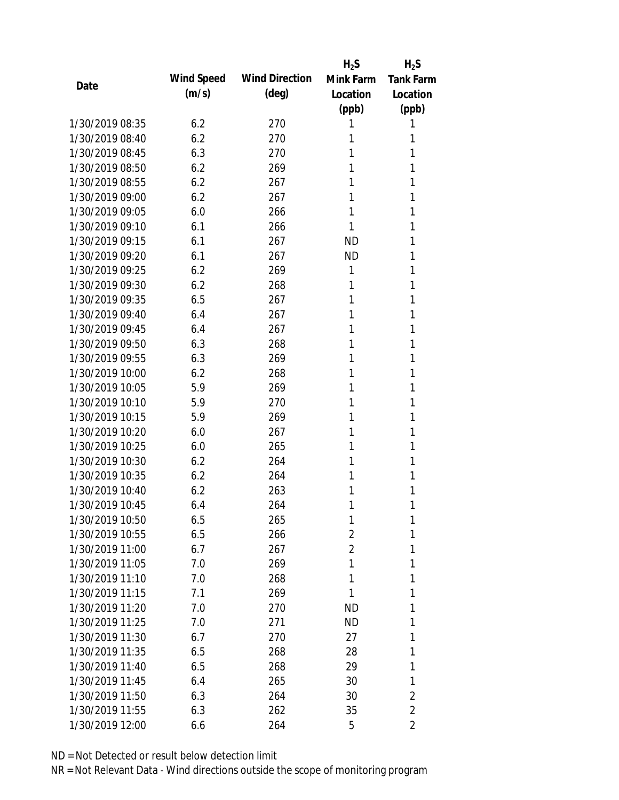|                 |            |                       | $H_2S$         | $H_2S$           |
|-----------------|------------|-----------------------|----------------|------------------|
| Date            | Wind Speed | <b>Wind Direction</b> | Mink Farm      | <b>Tank Farm</b> |
|                 | (m/s)      | (deg)                 | Location       | Location         |
|                 |            |                       | (ppb)          | (ppb)            |
| 1/30/2019 08:35 | 6.2        | 270                   | 1              | 1                |
| 1/30/2019 08:40 | 6.2        | 270                   | 1              | 1                |
| 1/30/2019 08:45 | 6.3        | 270                   | 1              | 1                |
| 1/30/2019 08:50 | 6.2        | 269                   | 1              | 1                |
| 1/30/2019 08:55 | 6.2        | 267                   | 1              | 1                |
| 1/30/2019 09:00 | 6.2        | 267                   | 1              | 1                |
| 1/30/2019 09:05 | 6.0        | 266                   | 1              | 1                |
| 1/30/2019 09:10 | 6.1        | 266                   | 1              | 1                |
| 1/30/2019 09:15 | 6.1        | 267                   | <b>ND</b>      | 1                |
| 1/30/2019 09:20 | 6.1        | 267                   | <b>ND</b>      | 1                |
| 1/30/2019 09:25 | 6.2        | 269                   | 1              | 1                |
| 1/30/2019 09:30 | 6.2        | 268                   | 1              | 1                |
| 1/30/2019 09:35 | 6.5        | 267                   | 1              | 1                |
| 1/30/2019 09:40 | 6.4        | 267                   | 1              | 1                |
| 1/30/2019 09:45 | 6.4        | 267                   | 1              | 1                |
| 1/30/2019 09:50 | 6.3        | 268                   | 1              | 1                |
| 1/30/2019 09:55 | 6.3        | 269                   | 1              | 1                |
| 1/30/2019 10:00 | 6.2        | 268                   | 1              | 1                |
| 1/30/2019 10:05 | 5.9        | 269                   | 1              | 1                |
| 1/30/2019 10:10 | 5.9        | 270                   | 1              | 1                |
| 1/30/2019 10:15 | 5.9        | 269                   | 1              | 1                |
| 1/30/2019 10:20 | 6.0        | 267                   | 1              | 1                |
| 1/30/2019 10:25 | 6.0        | 265                   | 1              | 1                |
| 1/30/2019 10:30 | 6.2        | 264                   | 1              | 1                |
| 1/30/2019 10:35 | 6.2        | 264                   | 1              | 1                |
| 1/30/2019 10:40 | 6.2        | 263                   | 1              | 1                |
| 1/30/2019 10:45 | 6.4        | 264                   | 1              | 1                |
| 1/30/2019 10:50 | 6.5        | 265                   | 1              | 1                |
| 1/30/2019 10:55 | 6.5        | 266                   | 2              | 1                |
| 1/30/2019 11:00 | 6.7        | 267                   | $\overline{2}$ | 1                |
| 1/30/2019 11:05 | 7.0        | 269                   | 1              | 1                |
| 1/30/2019 11:10 | 7.0        | 268                   | 1              | 1                |
| 1/30/2019 11:15 | 7.1        | 269                   | 1              | 1                |
| 1/30/2019 11:20 | 7.0        | 270                   | <b>ND</b>      | 1                |
| 1/30/2019 11:25 | 7.0        | 271                   | ND             | 1                |
| 1/30/2019 11:30 | 6.7        | 270                   | 27             | 1                |
| 1/30/2019 11:35 | 6.5        | 268                   | 28             | 1                |
| 1/30/2019 11:40 | 6.5        | 268                   | 29             | 1                |
| 1/30/2019 11:45 | 6.4        | 265                   | 30             | 1                |
| 1/30/2019 11:50 | 6.3        | 264                   | 30             | $\overline{2}$   |
| 1/30/2019 11:55 | 6.3        | 262                   | 35             | $\overline{2}$   |
| 1/30/2019 12:00 | 6.6        | 264                   | 5              | 2                |
|                 |            |                       |                |                  |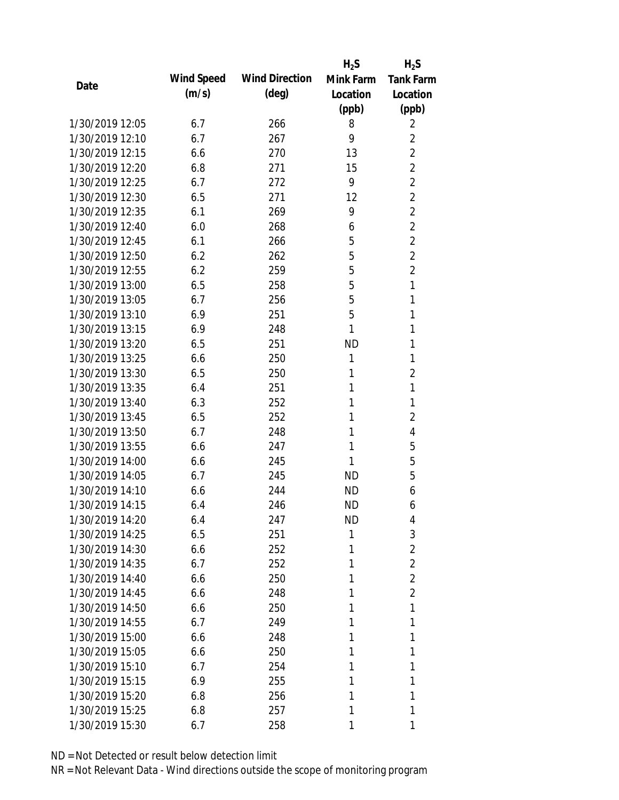|                 |            |                       | $H_2S$    | $H_2S$           |
|-----------------|------------|-----------------------|-----------|------------------|
| Date            | Wind Speed | <b>Wind Direction</b> | Mink Farm | <b>Tank Farm</b> |
|                 | (m/s)      | $(\text{deg})$        | Location  | Location         |
|                 |            |                       | (ppb)     | (ppb)            |
| 1/30/2019 12:05 | 6.7        | 266                   | 8         | 2                |
| 1/30/2019 12:10 | 6.7        | 267                   | 9         | $\overline{2}$   |
| 1/30/2019 12:15 | 6.6        | 270                   | 13        | $\overline{2}$   |
| 1/30/2019 12:20 | 6.8        | 271                   | 15        | $\overline{2}$   |
| 1/30/2019 12:25 | 6.7        | 272                   | 9         | $\overline{2}$   |
| 1/30/2019 12:30 | 6.5        | 271                   | 12        | $\overline{2}$   |
| 1/30/2019 12:35 | 6.1        | 269                   | 9         | $\overline{2}$   |
| 1/30/2019 12:40 | 6.0        | 268                   | 6         | $\overline{2}$   |
| 1/30/2019 12:45 | 6.1        | 266                   | 5         | $\overline{2}$   |
| 1/30/2019 12:50 | 6.2        | 262                   | 5         | $\overline{2}$   |
| 1/30/2019 12:55 | 6.2        | 259                   | 5         | $\overline{2}$   |
| 1/30/2019 13:00 | 6.5        | 258                   | 5         | $\mathbf{1}$     |
| 1/30/2019 13:05 | 6.7        | 256                   | 5         | 1                |
| 1/30/2019 13:10 | 6.9        | 251                   | 5         | 1                |
| 1/30/2019 13:15 | 6.9        | 248                   | 1         | 1                |
| 1/30/2019 13:20 | 6.5        | 251                   | <b>ND</b> | 1                |
| 1/30/2019 13:25 | 6.6        | 250                   | 1         | 1                |
| 1/30/2019 13:30 | 6.5        | 250                   | 1         | $\overline{2}$   |
| 1/30/2019 13:35 | 6.4        | 251                   | 1         | $\mathbf{1}$     |
| 1/30/2019 13:40 | 6.3        | 252                   | 1         | 1                |
| 1/30/2019 13:45 | 6.5        | 252                   | 1         | $\overline{2}$   |
| 1/30/2019 13:50 | 6.7        | 248                   | 1         | 4                |
| 1/30/2019 13:55 | 6.6        | 247                   | 1         | 5                |
| 1/30/2019 14:00 | 6.6        | 245                   | 1         | 5                |
| 1/30/2019 14:05 | 6.7        | 245                   | <b>ND</b> | 5                |
| 1/30/2019 14:10 | 6.6        | 244                   | <b>ND</b> | 6                |
| 1/30/2019 14:15 | 6.4        | 246                   | <b>ND</b> | 6                |
| 1/30/2019 14:20 | 6.4        | 247                   | ND        | 4                |
| 1/30/2019 14:25 | 6.5        | 251                   | 1         | 3                |
| 1/30/2019 14:30 | 6.6        | 252                   | 1         | $\overline{2}$   |
| 1/30/2019 14:35 | 6.7        | 252                   | 1         | $\overline{2}$   |
| 1/30/2019 14:40 | 6.6        | 250                   | 1         | $\overline{2}$   |
| 1/30/2019 14:45 | 6.6        | 248                   | 1         | $\overline{2}$   |
| 1/30/2019 14:50 | 6.6        | 250                   | 1         | 1                |
| 1/30/2019 14:55 | 6.7        | 249                   | 1         | 1                |
| 1/30/2019 15:00 | 6.6        | 248                   | 1         | 1                |
| 1/30/2019 15:05 | 6.6        | 250                   | 1         | 1                |
| 1/30/2019 15:10 | 6.7        | 254                   | 1         | 1                |
| 1/30/2019 15:15 | 6.9        | 255                   | 1         | 1                |
| 1/30/2019 15:20 | 6.8        | 256                   | 1         | 1                |
| 1/30/2019 15:25 | 6.8        | 257                   | 1         | 1                |
| 1/30/2019 15:30 | 6.7        | 258                   | 1         | 1                |
|                 |            |                       |           |                  |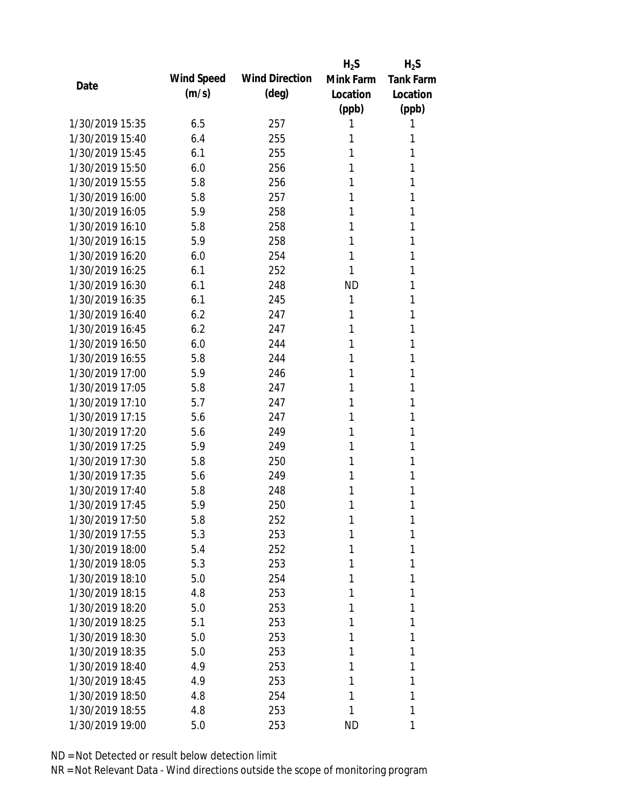|                 |            |                       | $H_2S$    | $H_2S$           |
|-----------------|------------|-----------------------|-----------|------------------|
| Date            | Wind Speed | <b>Wind Direction</b> | Mink Farm | <b>Tank Farm</b> |
|                 | (m/s)      | $(\text{deg})$        | Location  | Location         |
|                 |            |                       | (ppb)     | (ppb)            |
| 1/30/2019 15:35 | 6.5        | 257                   | 1         | 1                |
| 1/30/2019 15:40 | 6.4        | 255                   | 1         | 1                |
| 1/30/2019 15:45 | 6.1        | 255                   | 1         | 1                |
| 1/30/2019 15:50 | 6.0        | 256                   | 1         | 1                |
| 1/30/2019 15:55 | 5.8        | 256                   | 1         | 1                |
| 1/30/2019 16:00 | 5.8        | 257                   | 1         | 1                |
| 1/30/2019 16:05 | 5.9        | 258                   | 1         | 1                |
| 1/30/2019 16:10 | 5.8        | 258                   | 1         | 1                |
| 1/30/2019 16:15 | 5.9        | 258                   | 1         | 1                |
| 1/30/2019 16:20 | 6.0        | 254                   | 1         | 1                |
| 1/30/2019 16:25 | 6.1        | 252                   | 1         | 1                |
| 1/30/2019 16:30 | 6.1        | 248                   | <b>ND</b> | 1                |
| 1/30/2019 16:35 | 6.1        | 245                   | 1         | 1                |
| 1/30/2019 16:40 | 6.2        | 247                   | 1         | 1                |
| 1/30/2019 16:45 | 6.2        | 247                   | 1         | 1                |
| 1/30/2019 16:50 | 6.0        | 244                   | 1         | 1                |
| 1/30/2019 16:55 | 5.8        | 244                   | 1         | 1                |
| 1/30/2019 17:00 | 5.9        | 246                   | 1         | 1                |
| 1/30/2019 17:05 | 5.8        | 247                   | 1         | 1                |
| 1/30/2019 17:10 | 5.7        | 247                   | 1         | 1                |
| 1/30/2019 17:15 | 5.6        | 247                   | 1         | 1                |
| 1/30/2019 17:20 | 5.6        | 249                   | 1         | 1                |
| 1/30/2019 17:25 | 5.9        | 249                   | 1         | 1                |
| 1/30/2019 17:30 | 5.8        | 250                   | 1         | 1                |
| 1/30/2019 17:35 | 5.6        | 249                   | 1         | 1                |
| 1/30/2019 17:40 | 5.8        | 248                   | 1         | 1                |
| 1/30/2019 17:45 | 5.9        | 250                   | 1         | 1                |
| 1/30/2019 17:50 | 5.8        | 252                   | 1         | 1                |
| 1/30/2019 17:55 | 5.3        | 253                   | 1         | 1                |
| 1/30/2019 18:00 | 5.4        | 252                   | 1         | 1                |
| 1/30/2019 18:05 | 5.3        | 253                   | 1         | 1                |
| 1/30/2019 18:10 | 5.0        | 254                   | 1         | 1                |
| 1/30/2019 18:15 | 4.8        | 253                   | 1         | 1                |
| 1/30/2019 18:20 | 5.0        | 253                   | 1         | 1                |
| 1/30/2019 18:25 | 5.1        | 253                   | 1         | 1                |
| 1/30/2019 18:30 | 5.0        | 253                   | 1         | 1                |
| 1/30/2019 18:35 | 5.0        | 253                   | 1         | 1                |
| 1/30/2019 18:40 | 4.9        | 253                   | 1         | 1                |
| 1/30/2019 18:45 | 4.9        | 253                   | 1         | 1                |
| 1/30/2019 18:50 | 4.8        | 254                   | 1         | 1                |
| 1/30/2019 18:55 | 4.8        | 253                   | 1         | 1                |
| 1/30/2019 19:00 | 5.0        | 253                   | <b>ND</b> | 1                |
|                 |            |                       |           |                  |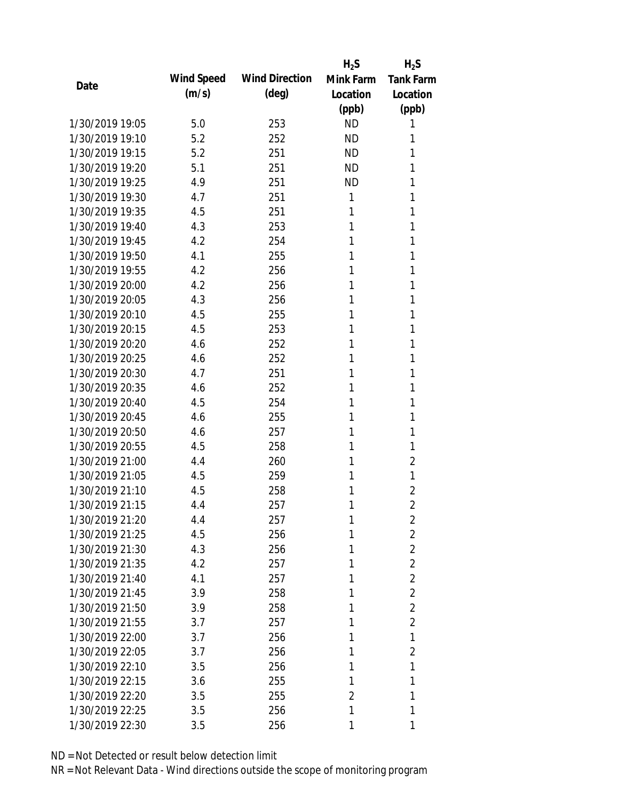|                 |            |                       | $H_2S$    | $H_2S$           |
|-----------------|------------|-----------------------|-----------|------------------|
| Date            | Wind Speed | <b>Wind Direction</b> | Mink Farm | <b>Tank Farm</b> |
|                 | (m/s)      | $(\text{deg})$        | Location  | Location         |
|                 |            |                       | (ppb)     | (ppb)            |
| 1/30/2019 19:05 | 5.0        | 253                   | <b>ND</b> | 1                |
| 1/30/2019 19:10 | 5.2        | 252                   | <b>ND</b> | 1                |
| 1/30/2019 19:15 | 5.2        | 251                   | <b>ND</b> | 1                |
| 1/30/2019 19:20 | 5.1        | 251                   | <b>ND</b> | 1                |
| 1/30/2019 19:25 | 4.9        | 251                   | <b>ND</b> | 1                |
| 1/30/2019 19:30 | 4.7        | 251                   | 1         | 1                |
| 1/30/2019 19:35 | 4.5        | 251                   | 1         | 1                |
| 1/30/2019 19:40 | 4.3        | 253                   | 1         | 1                |
| 1/30/2019 19:45 | 4.2        | 254                   | 1         | 1                |
| 1/30/2019 19:50 | 4.1        | 255                   | 1         | 1                |
| 1/30/2019 19:55 | 4.2        | 256                   | 1         | 1                |
| 1/30/2019 20:00 | 4.2        | 256                   | 1         | 1                |
| 1/30/2019 20:05 | 4.3        | 256                   | 1         | 1                |
| 1/30/2019 20:10 | 4.5        | 255                   | 1         | 1                |
| 1/30/2019 20:15 | 4.5        | 253                   | 1         | 1                |
| 1/30/2019 20:20 | 4.6        | 252                   | 1         | 1                |
| 1/30/2019 20:25 | 4.6        | 252                   | 1         | 1                |
| 1/30/2019 20:30 | 4.7        | 251                   | 1         | 1                |
| 1/30/2019 20:35 | 4.6        | 252                   | 1         | 1                |
| 1/30/2019 20:40 | 4.5        | 254                   | 1         | 1                |
| 1/30/2019 20:45 | 4.6        | 255                   | 1         | 1                |
| 1/30/2019 20:50 | 4.6        | 257                   | 1         | 1                |
| 1/30/2019 20:55 | 4.5        | 258                   | 1         | 1                |
| 1/30/2019 21:00 | 4.4        | 260                   | 1         | $\overline{2}$   |
| 1/30/2019 21:05 | 4.5        | 259                   | 1         | 1                |
| 1/30/2019 21:10 | 4.5        | 258                   | 1         | 2                |
| 1/30/2019 21:15 | 4.4        | 257                   | 1         | $\overline{2}$   |
| 1/30/2019 21:20 | 4.4        | 257                   | 1         | 2                |
| 1/30/2019 21:25 | 4.5        | 256                   | 1         | $\overline{2}$   |
| 1/30/2019 21:30 | 4.3        | 256                   | 1         | $\overline{2}$   |
| 1/30/2019 21:35 | 4.2        | 257                   | 1         | $\overline{2}$   |
| 1/30/2019 21:40 | 4.1        | 257                   | 1         | $\overline{2}$   |
| 1/30/2019 21:45 | 3.9        | 258                   | 1         | $\overline{2}$   |
| 1/30/2019 21:50 | 3.9        | 258                   | 1         | $\overline{2}$   |
| 1/30/2019 21:55 | 3.7        | 257                   | 1         | $\overline{2}$   |
| 1/30/2019 22:00 | 3.7        | 256                   | 1         | 1                |
| 1/30/2019 22:05 | 3.7        | 256                   | 1         | $\overline{2}$   |
| 1/30/2019 22:10 | 3.5        | 256                   | 1         | 1                |
| 1/30/2019 22:15 | 3.6        | 255                   | 1         | 1                |
| 1/30/2019 22:20 | 3.5        | 255                   | 2         | 1                |
| 1/30/2019 22:25 | 3.5        | 256                   | 1         | 1                |
|                 |            |                       |           |                  |
| 1/30/2019 22:30 | 3.5        | 256                   | 1         | 1                |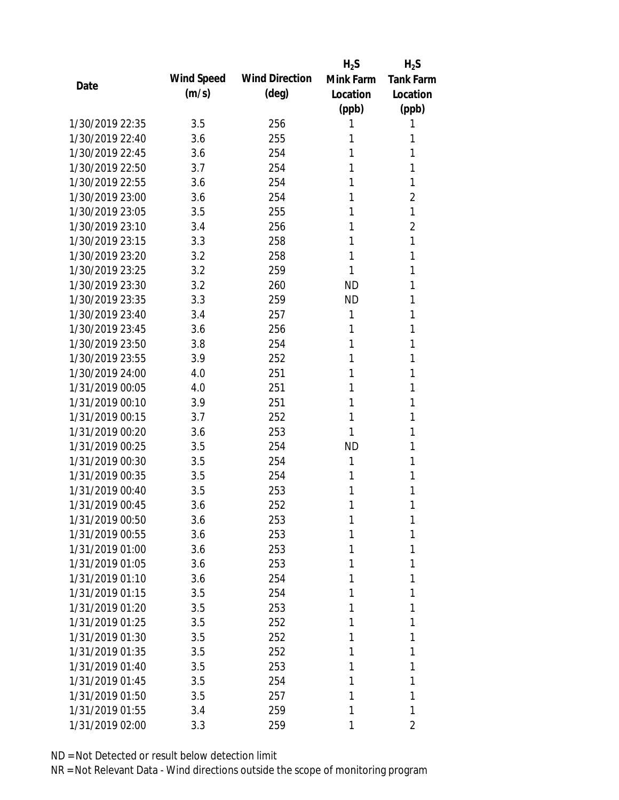|                 |            |                       | $H_2S$    | $H_2S$           |
|-----------------|------------|-----------------------|-----------|------------------|
|                 | Wind Speed | <b>Wind Direction</b> | Mink Farm | <b>Tank Farm</b> |
| Date            | (m/s)      | $(\text{deg})$        | Location  | Location         |
|                 |            |                       | (ppb)     | (ppb)            |
| 1/30/2019 22:35 | 3.5        | 256                   | 1         | 1                |
| 1/30/2019 22:40 | 3.6        | 255                   | 1         | 1                |
| 1/30/2019 22:45 | 3.6        | 254                   | 1         | 1                |
| 1/30/2019 22:50 | 3.7        | 254                   | 1         | 1                |
| 1/30/2019 22:55 | 3.6        | 254                   | 1         | 1                |
| 1/30/2019 23:00 | 3.6        | 254                   | 1         | 2                |
| 1/30/2019 23:05 | 3.5        | 255                   | 1         | 1                |
| 1/30/2019 23:10 | 3.4        | 256                   | 1         | $\overline{2}$   |
| 1/30/2019 23:15 | 3.3        | 258                   | 1         | 1                |
| 1/30/2019 23:20 | 3.2        | 258                   | 1         | 1                |
| 1/30/2019 23:25 | 3.2        | 259                   | 1         | 1                |
| 1/30/2019 23:30 | 3.2        | 260                   | <b>ND</b> | 1                |
| 1/30/2019 23:35 | 3.3        | 259                   | <b>ND</b> | 1                |
| 1/30/2019 23:40 | 3.4        | 257                   | 1         | 1                |
| 1/30/2019 23:45 | 3.6        | 256                   | 1         | 1                |
| 1/30/2019 23:50 | 3.8        | 254                   | 1         | 1                |
| 1/30/2019 23:55 | 3.9        | 252                   | 1         | 1                |
| 1/30/2019 24:00 | 4.0        | 251                   | 1         | 1                |
| 1/31/2019 00:05 | 4.0        | 251                   | 1         | 1                |
| 1/31/2019 00:10 | 3.9        | 251                   | 1         | 1                |
| 1/31/2019 00:15 | 3.7        | 252                   | 1         | 1                |
| 1/31/2019 00:20 | 3.6        | 253                   | 1         | 1                |
| 1/31/2019 00:25 | 3.5        | 254                   | <b>ND</b> | 1                |
| 1/31/2019 00:30 | 3.5        | 254                   | 1         | 1                |
| 1/31/2019 00:35 | 3.5        | 254                   | 1         | 1                |
| 1/31/2019 00:40 | 3.5        | 253                   | 1         | 1                |
| 1/31/2019 00:45 | 3.6        | 252                   | 1         | 1                |
| 1/31/2019 00:50 | 3.6        | 253                   | 1         | 1                |
| 1/31/2019 00:55 | 3.6        | 253                   | 1         | 1                |
| 1/31/2019 01:00 | 3.6        | 253                   | 1         | 1                |
| 1/31/2019 01:05 | 3.6        | 253                   | 1         | 1                |
| 1/31/2019 01:10 | 3.6        | 254                   | 1         | 1                |
| 1/31/2019 01:15 | 3.5        | 254                   | 1         | 1                |
| 1/31/2019 01:20 | 3.5        | 253                   | 1         | 1                |
| 1/31/2019 01:25 | 3.5        | 252                   | 1         | 1                |
| 1/31/2019 01:30 | 3.5        | 252                   | 1         | 1                |
| 1/31/2019 01:35 | 3.5        | 252                   | 1         | 1                |
| 1/31/2019 01:40 | 3.5        | 253                   | 1         | 1                |
| 1/31/2019 01:45 | 3.5        | 254                   | 1         | 1                |
| 1/31/2019 01:50 | 3.5        | 257                   | 1         | 1                |
| 1/31/2019 01:55 | 3.4        | 259                   | 1         | 1                |
| 1/31/2019 02:00 | 3.3        | 259                   | 1         | 2                |
|                 |            |                       |           |                  |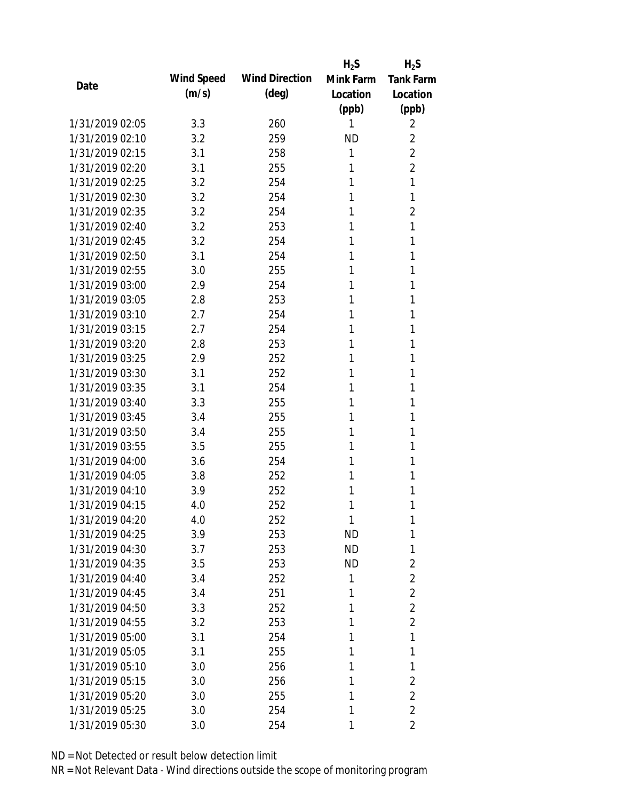|                 |            |                       | $H_2S$    | $H_2S$           |
|-----------------|------------|-----------------------|-----------|------------------|
| Date            | Wind Speed | <b>Wind Direction</b> | Mink Farm | <b>Tank Farm</b> |
|                 | (m/s)      | $(\text{deg})$        | Location  | Location         |
|                 |            |                       | (ppb)     | (ppb)            |
| 1/31/2019 02:05 | 3.3        | 260                   | 1         | 2                |
| 1/31/2019 02:10 | 3.2        | 259                   | <b>ND</b> | $\overline{2}$   |
| 1/31/2019 02:15 | 3.1        | 258                   | 1         | $\overline{2}$   |
| 1/31/2019 02:20 | 3.1        | 255                   | 1         | $\overline{2}$   |
| 1/31/2019 02:25 | 3.2        | 254                   | 1         | 1                |
| 1/31/2019 02:30 | 3.2        | 254                   | 1         | 1                |
| 1/31/2019 02:35 | 3.2        | 254                   | 1         | $\overline{2}$   |
| 1/31/2019 02:40 | 3.2        | 253                   | 1         | 1                |
| 1/31/2019 02:45 | 3.2        | 254                   | 1         | 1                |
| 1/31/2019 02:50 | 3.1        | 254                   | 1         | 1                |
| 1/31/2019 02:55 | 3.0        | 255                   | 1         | 1                |
| 1/31/2019 03:00 | 2.9        | 254                   | 1         | 1                |
| 1/31/2019 03:05 | 2.8        | 253                   | 1         | 1                |
| 1/31/2019 03:10 | 2.7        | 254                   | 1         | 1                |
| 1/31/2019 03:15 | 2.7        | 254                   | 1         | 1                |
| 1/31/2019 03:20 | 2.8        | 253                   | 1         | 1                |
| 1/31/2019 03:25 | 2.9        | 252                   | 1         | 1                |
| 1/31/2019 03:30 | 3.1        | 252                   | 1         | 1                |
| 1/31/2019 03:35 | 3.1        | 254                   | 1         | 1                |
| 1/31/2019 03:40 | 3.3        | 255                   | 1         | 1                |
| 1/31/2019 03:45 | 3.4        | 255                   | 1         | 1                |
| 1/31/2019 03:50 | 3.4        | 255                   | 1         | 1                |
| 1/31/2019 03:55 | 3.5        | 255                   | 1         | 1                |
| 1/31/2019 04:00 | 3.6        | 254                   | 1         | 1                |
| 1/31/2019 04:05 | 3.8        | 252                   | 1         | 1                |
| 1/31/2019 04:10 | 3.9        | 252                   | 1         | 1                |
| 1/31/2019 04:15 | 4.0        | 252                   | 1         | 1                |
| 1/31/2019 04:20 | 4.0        | 252                   | 1         | 1                |
| 1/31/2019 04:25 | 3.9        | 253                   | <b>ND</b> | 1                |
| 1/31/2019 04:30 | 3.7        | 253                   | <b>ND</b> | 1                |
| 1/31/2019 04:35 | 3.5        | 253                   | <b>ND</b> | $\overline{2}$   |
| 1/31/2019 04:40 | 3.4        | 252                   | 1         | $\overline{2}$   |
| 1/31/2019 04:45 | 3.4        | 251                   | 1         | $\overline{2}$   |
| 1/31/2019 04:50 | 3.3        | 252                   | 1         | $\overline{2}$   |
| 1/31/2019 04:55 | 3.2        | 253                   | 1         | $\overline{2}$   |
| 1/31/2019 05:00 | 3.1        | 254                   | 1         | 1                |
| 1/31/2019 05:05 | 3.1        | 255                   | 1         | 1                |
| 1/31/2019 05:10 | 3.0        | 256                   | 1         | 1                |
| 1/31/2019 05:15 | 3.0        | 256                   | 1         | $\overline{2}$   |
| 1/31/2019 05:20 | 3.0        | 255                   | 1         | $\overline{2}$   |
| 1/31/2019 05:25 | 3.0        | 254                   | 1         | $\overline{2}$   |
| 1/31/2019 05:30 | 3.0        | 254                   | 1         | 2                |
|                 |            |                       |           |                  |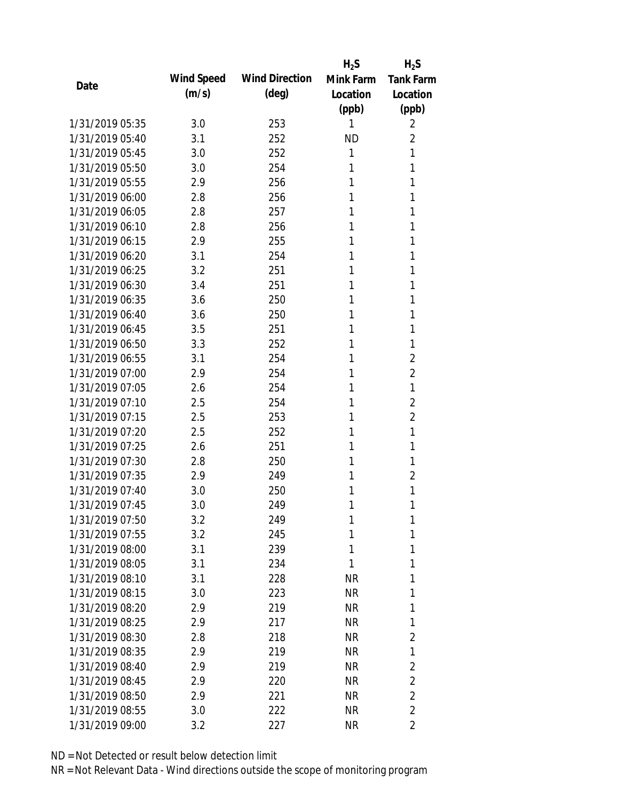|                 |            |                       | $H_2S$    | $H_2S$           |
|-----------------|------------|-----------------------|-----------|------------------|
|                 | Wind Speed | <b>Wind Direction</b> | Mink Farm | <b>Tank Farm</b> |
| Date            | (m/s)      | $(\text{deg})$        | Location  | Location         |
|                 |            |                       | (ppb)     | (ppb)            |
| 1/31/2019 05:35 | 3.0        | 253                   | 1         | 2                |
| 1/31/2019 05:40 | 3.1        | 252                   | <b>ND</b> | $\overline{2}$   |
| 1/31/2019 05:45 | 3.0        | 252                   | 1         | 1                |
| 1/31/2019 05:50 | 3.0        | 254                   | 1         | 1                |
| 1/31/2019 05:55 | 2.9        | 256                   | 1         | 1                |
| 1/31/2019 06:00 | 2.8        | 256                   | 1         | 1                |
| 1/31/2019 06:05 | 2.8        | 257                   | 1         | 1                |
| 1/31/2019 06:10 | 2.8        | 256                   | 1         | 1                |
| 1/31/2019 06:15 | 2.9        | 255                   | 1         | 1                |
| 1/31/2019 06:20 | 3.1        | 254                   | 1         | 1                |
| 1/31/2019 06:25 | 3.2        | 251                   | 1         | 1                |
| 1/31/2019 06:30 | 3.4        | 251                   | 1         | 1                |
| 1/31/2019 06:35 | 3.6        | 250                   | 1         | 1                |
| 1/31/2019 06:40 | 3.6        | 250                   | 1         | 1                |
| 1/31/2019 06:45 | 3.5        | 251                   | 1         | 1                |
| 1/31/2019 06:50 | 3.3        | 252                   | 1         | 1                |
| 1/31/2019 06:55 | 3.1        | 254                   | 1         | $\overline{2}$   |
| 1/31/2019 07:00 | 2.9        | 254                   | 1         | 2                |
| 1/31/2019 07:05 | 2.6        | 254                   | 1         | 1                |
| 1/31/2019 07:10 | 2.5        | 254                   | 1         | 2                |
| 1/31/2019 07:15 | 2.5        | 253                   | 1         | $\overline{2}$   |
| 1/31/2019 07:20 | 2.5        | 252                   | 1         | 1                |
| 1/31/2019 07:25 | 2.6        | 251                   | 1         | 1                |
| 1/31/2019 07:30 | 2.8        | 250                   | 1         | 1                |
| 1/31/2019 07:35 | 2.9        | 249                   | 1         | $\overline{2}$   |
| 1/31/2019 07:40 | 3.0        | 250                   | 1         | 1                |
| 1/31/2019 07:45 | 3.0        | 249                   | 1         | 1                |
| 1/31/2019 07:50 | 3.2        | 249                   | 1         | 1                |
| 1/31/2019 07:55 | 3.2        | 245                   | 1         | 1                |
| 1/31/2019 08:00 | 3.1        | 239                   | 1         | 1                |
| 1/31/2019 08:05 | 3.1        | 234                   | 1         | 1                |
| 1/31/2019 08:10 | 3.1        | 228                   | NR        | 1                |
| 1/31/2019 08:15 | 3.0        | 223                   | NR        | 1                |
| 1/31/2019 08:20 | 2.9        | 219                   | NR        | 1                |
| 1/31/2019 08:25 | 2.9        | 217                   | <b>NR</b> | 1                |
| 1/31/2019 08:30 | 2.8        | 218                   | NR        | 2                |
| 1/31/2019 08:35 | 2.9        | 219                   | NR        | 1                |
| 1/31/2019 08:40 | 2.9        | 219                   | NR        | 2                |
| 1/31/2019 08:45 | 2.9        | 220                   | NR        | $\overline{2}$   |
| 1/31/2019 08:50 | 2.9        | 221                   | NR        | $\overline{2}$   |
| 1/31/2019 08:55 | 3.0        | 222                   | NR        | $\overline{2}$   |
| 1/31/2019 09:00 | 3.2        | 227                   | <b>NR</b> | $\overline{2}$   |
|                 |            |                       |           |                  |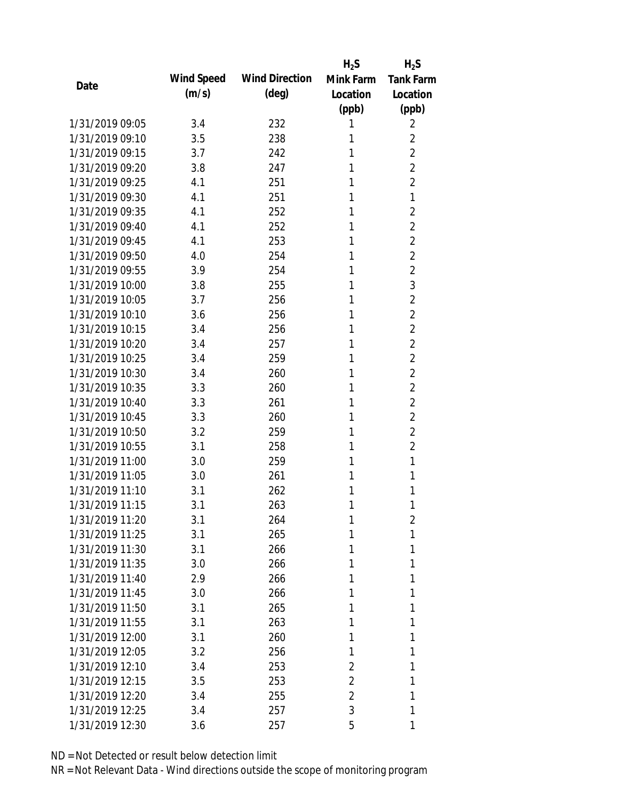|                 |            |                       | $H_2S$         | $H_2S$           |
|-----------------|------------|-----------------------|----------------|------------------|
| Date            | Wind Speed | <b>Wind Direction</b> | Mink Farm      | <b>Tank Farm</b> |
|                 | (m/s)      | $(\text{deg})$        | Location       | Location         |
|                 |            |                       | (ppb)          | (ppb)            |
| 1/31/2019 09:05 | 3.4        | 232                   | 1              | 2                |
| 1/31/2019 09:10 | 3.5        | 238                   | 1              | $\overline{2}$   |
| 1/31/2019 09:15 | 3.7        | 242                   | 1              | $\overline{2}$   |
| 1/31/2019 09:20 | 3.8        | 247                   | 1              | $\overline{2}$   |
| 1/31/2019 09:25 | 4.1        | 251                   | 1              | $\overline{2}$   |
| 1/31/2019 09:30 | 4.1        | 251                   | 1              | 1                |
| 1/31/2019 09:35 | 4.1        | 252                   | 1              | $\overline{2}$   |
| 1/31/2019 09:40 | 4.1        | 252                   | 1              | $\overline{2}$   |
| 1/31/2019 09:45 | 4.1        | 253                   | 1              | $\overline{2}$   |
| 1/31/2019 09:50 | 4.0        | 254                   | 1              | $\overline{2}$   |
| 1/31/2019 09:55 | 3.9        | 254                   | 1              | $\overline{2}$   |
| 1/31/2019 10:00 | 3.8        | 255                   | 1              | 3                |
| 1/31/2019 10:05 | 3.7        | 256                   | 1              | $\overline{2}$   |
| 1/31/2019 10:10 | 3.6        | 256                   | 1              | $\overline{2}$   |
| 1/31/2019 10:15 | 3.4        | 256                   | 1              | $\overline{2}$   |
| 1/31/2019 10:20 | 3.4        | 257                   | 1              | $\overline{2}$   |
| 1/31/2019 10:25 | 3.4        | 259                   | 1              | $\overline{2}$   |
| 1/31/2019 10:30 | 3.4        | 260                   | 1              | $\overline{2}$   |
| 1/31/2019 10:35 | 3.3        | 260                   | 1              | $\overline{2}$   |
| 1/31/2019 10:40 | 3.3        | 261                   | 1              | $\overline{2}$   |
| 1/31/2019 10:45 | 3.3        | 260                   | 1              | $\overline{2}$   |
| 1/31/2019 10:50 | 3.2        | 259                   | 1              | $\overline{2}$   |
| 1/31/2019 10:55 | 3.1        | 258                   | 1              | $\overline{2}$   |
| 1/31/2019 11:00 | 3.0        | 259                   | 1              | 1                |
| 1/31/2019 11:05 | 3.0        | 261                   | 1              | 1                |
| 1/31/2019 11:10 | 3.1        | 262                   | 1              | 1                |
| 1/31/2019 11:15 | 3.1        | 263                   | 1              | 1                |
| 1/31/2019 11:20 | 3.1        | 264                   | 1              | 2                |
| 1/31/2019 11:25 | 3.1        | 265                   | 1              | 1                |
| 1/31/2019 11:30 | 3.1        | 266                   | 1              | 1                |
| 1/31/2019 11:35 | 3.0        | 266                   | 1              | 1                |
| 1/31/2019 11:40 | 2.9        | 266                   | 1              | 1                |
| 1/31/2019 11:45 | 3.0        | 266                   | 1              | 1                |
| 1/31/2019 11:50 | 3.1        | 265                   | 1              | 1                |
| 1/31/2019 11:55 | 3.1        | 263                   | 1              | 1                |
| 1/31/2019 12:00 | 3.1        | 260                   | 1              | 1                |
| 1/31/2019 12:05 | 3.2        | 256                   | 1              | 1                |
| 1/31/2019 12:10 | 3.4        | 253                   | $\overline{2}$ | 1                |
| 1/31/2019 12:15 | 3.5        | 253                   | 2              | 1                |
| 1/31/2019 12:20 | 3.4        | 255                   | 2              | 1                |
| 1/31/2019 12:25 | 3.4        | 257                   | 3              | 1                |
| 1/31/2019 12:30 | 3.6        | 257                   | 5              | 1                |
|                 |            |                       |                |                  |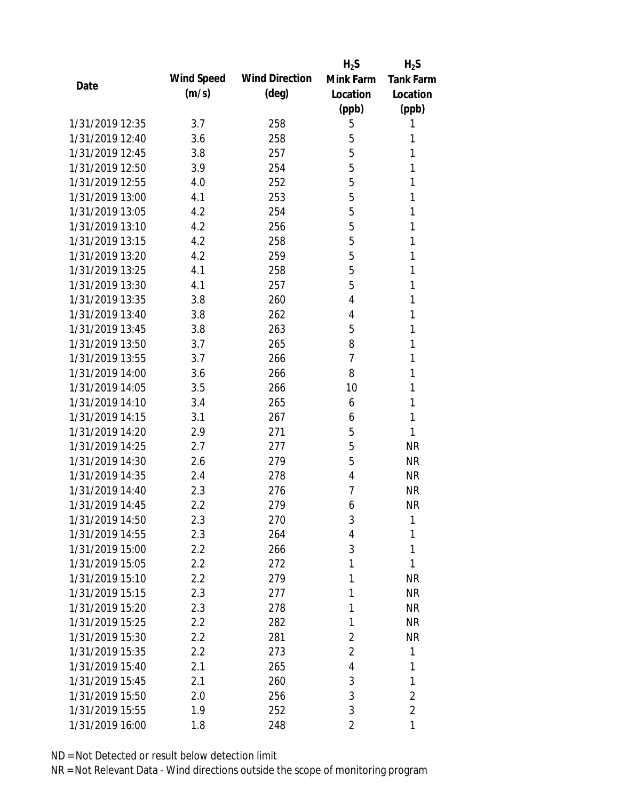|                 |            |                       | $H_2S$         | $H_2S$           |
|-----------------|------------|-----------------------|----------------|------------------|
| Date            | Wind Speed | <b>Wind Direction</b> | Mink Farm      | <b>Tank Farm</b> |
|                 | (m/s)      | $(\text{deg})$        | Location       | Location         |
|                 |            |                       | (ppb)          | (ppb)            |
| 1/31/2019 12:35 | 3.7        | 258                   | 5              | 1                |
| 1/31/2019 12:40 | 3.6        | 258                   | 5              | 1                |
| 1/31/2019 12:45 | 3.8        | 257                   | 5              | 1                |
| 1/31/2019 12:50 | 3.9        | 254                   | 5              | 1                |
| 1/31/2019 12:55 | 4.0        | 252                   | 5              | 1                |
| 1/31/2019 13:00 | 4.1        | 253                   | 5              | 1                |
| 1/31/2019 13:05 | 4.2        | 254                   | 5              | 1                |
| 1/31/2019 13:10 | 4.2        | 256                   | 5              | 1                |
| 1/31/2019 13:15 | 4.2        | 258                   | 5              | 1                |
| 1/31/2019 13:20 | 4.2        | 259                   | 5              | 1                |
| 1/31/2019 13:25 | 4.1        | 258                   | 5              | 1                |
| 1/31/2019 13:30 | 4.1        | 257                   | 5              | 1                |
| 1/31/2019 13:35 | 3.8        | 260                   | 4              | 1                |
| 1/31/2019 13:40 | 3.8        | 262                   | 4              | 1                |
| 1/31/2019 13:45 | 3.8        | 263                   | 5              | 1                |
| 1/31/2019 13:50 | 3.7        | 265                   | 8              | 1                |
| 1/31/2019 13:55 | 3.7        | 266                   | 7              | 1                |
| 1/31/2019 14:00 | 3.6        | 266                   | 8              | 1                |
| 1/31/2019 14:05 | 3.5        | 266                   | 10             | 1                |
| 1/31/2019 14:10 | 3.4        | 265                   | 6              | 1                |
| 1/31/2019 14:15 | 3.1        | 267                   | 6              | 1                |
| 1/31/2019 14:20 | 2.9        | 271                   | 5              | 1                |
| 1/31/2019 14:25 | 2.7        | 277                   | 5              | <b>NR</b>        |
| 1/31/2019 14:30 | 2.6        | 279                   | 5              | <b>NR</b>        |
| 1/31/2019 14:35 | 2.4        | 278                   | 4              | <b>NR</b>        |
| 1/31/2019 14:40 | 2.3        | 276                   | 7              | <b>NR</b>        |
| 1/31/2019 14:45 | 2.2        | 279                   | 6              | <b>NR</b>        |
| 1/31/2019 14:50 | 2.3        | 270                   | 3              | 1                |
| 1/31/2019 14:55 | 2.3        | 264                   | 4              | 1                |
| 1/31/2019 15:00 | $2.2\,$    | 266                   | 3              | 1                |
| 1/31/2019 15:05 | 2.2        | 272                   | 1              | 1                |
| 1/31/2019 15:10 | 2.2        | 279                   | 1              | <b>NR</b>        |
| 1/31/2019 15:15 | 2.3        | 277                   | 1              | <b>NR</b>        |
| 1/31/2019 15:20 | 2.3        | 278                   | 1              | <b>NR</b>        |
| 1/31/2019 15:25 | $2.2\,$    | 282                   | 1              | <b>NR</b>        |
| 1/31/2019 15:30 | 2.2        | 281                   | 2              | NR               |
| 1/31/2019 15:35 | 2.2        | 273                   | $\overline{2}$ | 1                |
| 1/31/2019 15:40 | 2.1        | 265                   | 4              | 1                |
| 1/31/2019 15:45 | 2.1        | 260                   | 3              | 1                |
| 1/31/2019 15:50 | 2.0        | 256                   | 3              | $\overline{2}$   |
| 1/31/2019 15:55 | 1.9        | 252                   | 3              | $\overline{2}$   |
| 1/31/2019 16:00 | 1.8        | 248                   | 2              | 1                |
|                 |            |                       |                |                  |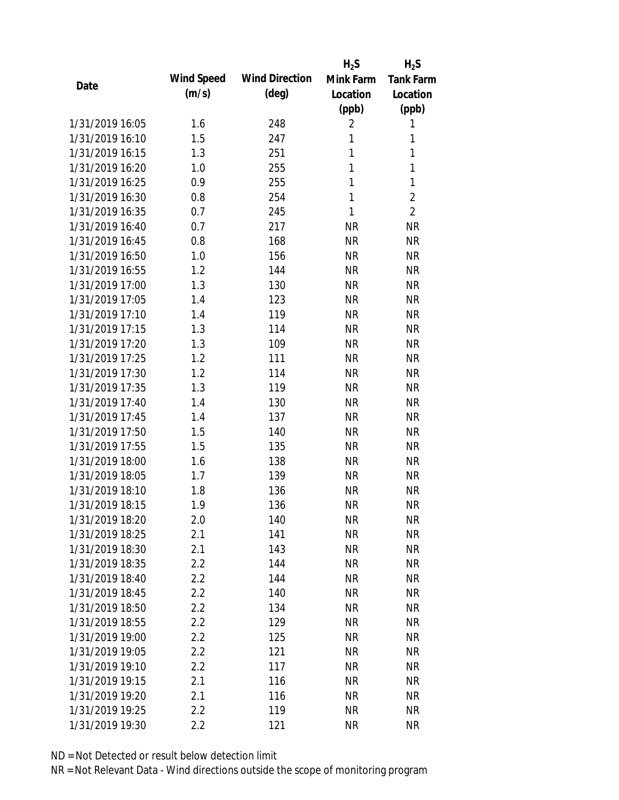|                 |            |                       | $H_2S$         | $H_2S$           |
|-----------------|------------|-----------------------|----------------|------------------|
| Date            | Wind Speed | <b>Wind Direction</b> | Mink Farm      | <b>Tank Farm</b> |
|                 | (m/s)      | $(\text{deg})$        | Location       | Location         |
|                 |            |                       | (ppb)          | (ppb)            |
| 1/31/2019 16:05 | 1.6        | 248                   | $\overline{2}$ | 1                |
| 1/31/2019 16:10 | 1.5        | 247                   | 1              | 1                |
| 1/31/2019 16:15 | 1.3        | 251                   | 1              | 1                |
| 1/31/2019 16:20 | 1.0        | 255                   | 1              | 1                |
| 1/31/2019 16:25 | 0.9        | 255                   | 1              | 1                |
| 1/31/2019 16:30 | 0.8        | 254                   | 1              | $\overline{2}$   |
| 1/31/2019 16:35 | 0.7        | 245                   | 1              | $\overline{2}$   |
| 1/31/2019 16:40 | 0.7        | 217                   | <b>NR</b>      | <b>NR</b>        |
| 1/31/2019 16:45 | 0.8        | 168                   | <b>NR</b>      | <b>NR</b>        |
| 1/31/2019 16:50 | 1.0        | 156                   | <b>NR</b>      | <b>NR</b>        |
| 1/31/2019 16:55 | 1.2        | 144                   | <b>NR</b>      | <b>NR</b>        |
| 1/31/2019 17:00 | 1.3        | 130                   | <b>NR</b>      | <b>NR</b>        |
| 1/31/2019 17:05 | 1.4        | 123                   | <b>NR</b>      | <b>NR</b>        |
| 1/31/2019 17:10 | 1.4        | 119                   | <b>NR</b>      | <b>NR</b>        |
| 1/31/2019 17:15 | 1.3        | 114                   | <b>NR</b>      | <b>NR</b>        |
| 1/31/2019 17:20 | 1.3        | 109                   | <b>NR</b>      | <b>NR</b>        |
| 1/31/2019 17:25 | 1.2        | 111                   | <b>NR</b>      | <b>NR</b>        |
| 1/31/2019 17:30 | 1.2        | 114                   | <b>NR</b>      | <b>NR</b>        |
| 1/31/2019 17:35 | 1.3        | 119                   | <b>NR</b>      | <b>NR</b>        |
| 1/31/2019 17:40 | 1.4        | 130                   | <b>NR</b>      | <b>NR</b>        |
| 1/31/2019 17:45 | 1.4        | 137                   | <b>NR</b>      | <b>NR</b>        |
| 1/31/2019 17:50 | 1.5        | 140                   | <b>NR</b>      | <b>NR</b>        |
| 1/31/2019 17:55 | 1.5        | 135                   | <b>NR</b>      | <b>NR</b>        |
| 1/31/2019 18:00 | 1.6        | 138                   | <b>NR</b>      | <b>NR</b>        |
| 1/31/2019 18:05 | 1.7        | 139                   | <b>NR</b>      | <b>NR</b>        |
| 1/31/2019 18:10 | 1.8        | 136                   | <b>NR</b>      | <b>NR</b>        |
| 1/31/2019 18:15 | 1.9        | 136                   | <b>NR</b>      | <b>NR</b>        |
| 1/31/2019 18:20 | 2.0        | 140                   | <b>NR</b>      | <b>NR</b>        |
| 1/31/2019 18:25 | 2.1        | 141                   | <b>NR</b>      | <b>NR</b>        |
| 1/31/2019 18:30 | 2.1        | 143                   | <b>NR</b>      | <b>NR</b>        |
| 1/31/2019 18:35 | 2.2        | 144                   | <b>NR</b>      | <b>NR</b>        |
| 1/31/2019 18:40 | 2.2        | 144                   | <b>NR</b>      | <b>NR</b>        |
| 1/31/2019 18:45 | 2.2        | 140                   | <b>NR</b>      | <b>NR</b>        |
| 1/31/2019 18:50 | 2.2        | 134                   | <b>NR</b>      | <b>NR</b>        |
| 1/31/2019 18:55 | 2.2        | 129                   | <b>NR</b>      | <b>NR</b>        |
| 1/31/2019 19:00 | 2.2        | 125                   | <b>NR</b>      | <b>NR</b>        |
| 1/31/2019 19:05 | 2.2        | 121                   | <b>NR</b>      | <b>NR</b>        |
| 1/31/2019 19:10 | 2.2        | 117                   | <b>NR</b>      | <b>NR</b>        |
| 1/31/2019 19:15 | 2.1        | 116                   | <b>NR</b>      | <b>NR</b>        |
| 1/31/2019 19:20 | 2.1        | 116                   | <b>NR</b>      | <b>NR</b>        |
| 1/31/2019 19:25 | 2.2        | 119                   | <b>NR</b>      | <b>NR</b>        |
| 1/31/2019 19:30 | 2.2        | 121                   | <b>NR</b>      | <b>NR</b>        |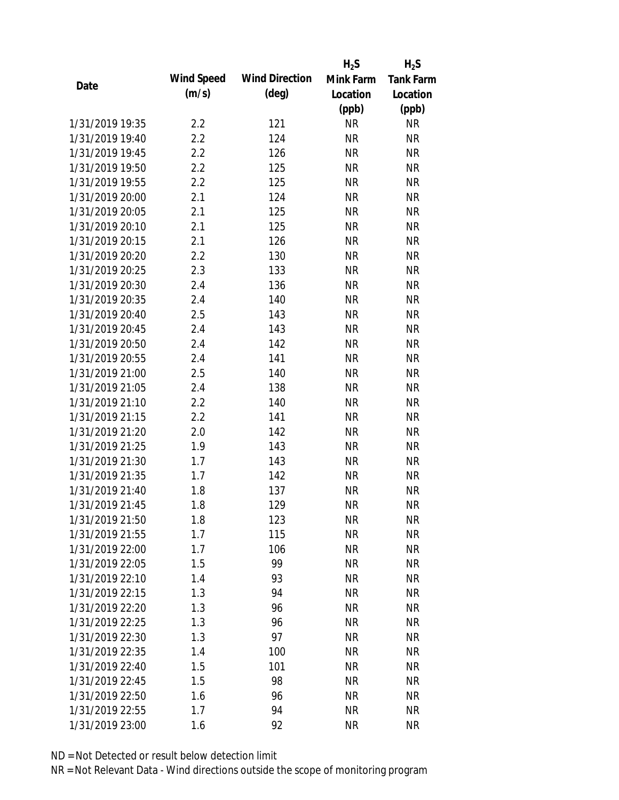|                 |            |                       | $H_2S$    | $H_2S$           |
|-----------------|------------|-----------------------|-----------|------------------|
| Date            | Wind Speed | <b>Wind Direction</b> | Mink Farm | <b>Tank Farm</b> |
|                 | (m/s)      | $(\text{deg})$        | Location  | Location         |
|                 |            |                       | (ppb)     | (ppb)            |
| 1/31/2019 19:35 | 2.2        | 121                   | <b>NR</b> | <b>NR</b>        |
| 1/31/2019 19:40 | 2.2        | 124                   | <b>NR</b> | <b>NR</b>        |
| 1/31/2019 19:45 | 2.2        | 126                   | <b>NR</b> | <b>NR</b>        |
| 1/31/2019 19:50 | 2.2        | 125                   | <b>NR</b> | <b>NR</b>        |
| 1/31/2019 19:55 | 2.2        | 125                   | <b>NR</b> | <b>NR</b>        |
| 1/31/2019 20:00 | 2.1        | 124                   | <b>NR</b> | <b>NR</b>        |
| 1/31/2019 20:05 | 2.1        | 125                   | <b>NR</b> | <b>NR</b>        |
| 1/31/2019 20:10 | 2.1        | 125                   | <b>NR</b> | <b>NR</b>        |
| 1/31/2019 20:15 | 2.1        | 126                   | <b>NR</b> | <b>NR</b>        |
| 1/31/2019 20:20 | 2.2        | 130                   | <b>NR</b> | <b>NR</b>        |
| 1/31/2019 20:25 | 2.3        | 133                   | <b>NR</b> | <b>NR</b>        |
| 1/31/2019 20:30 | 2.4        | 136                   | <b>NR</b> | <b>NR</b>        |
| 1/31/2019 20:35 | 2.4        | 140                   | <b>NR</b> | <b>NR</b>        |
| 1/31/2019 20:40 | 2.5        | 143                   | <b>NR</b> | <b>NR</b>        |
| 1/31/2019 20:45 | 2.4        | 143                   | <b>NR</b> | <b>NR</b>        |
| 1/31/2019 20:50 | 2.4        | 142                   | <b>NR</b> | <b>NR</b>        |
| 1/31/2019 20:55 | 2.4        | 141                   | <b>NR</b> | <b>NR</b>        |
| 1/31/2019 21:00 | 2.5        | 140                   | <b>NR</b> | <b>NR</b>        |
| 1/31/2019 21:05 | 2.4        | 138                   | <b>NR</b> | <b>NR</b>        |
| 1/31/2019 21:10 | 2.2        | 140                   | <b>NR</b> | <b>NR</b>        |
| 1/31/2019 21:15 | 2.2        | 141                   | <b>NR</b> | <b>NR</b>        |
| 1/31/2019 21:20 | 2.0        | 142                   | <b>NR</b> | <b>NR</b>        |
| 1/31/2019 21:25 | 1.9        | 143                   | <b>NR</b> | <b>NR</b>        |
| 1/31/2019 21:30 | 1.7        | 143                   | <b>NR</b> | <b>NR</b>        |
| 1/31/2019 21:35 | 1.7        | 142                   | <b>NR</b> | <b>NR</b>        |
| 1/31/2019 21:40 | 1.8        | 137                   | <b>NR</b> | <b>NR</b>        |
| 1/31/2019 21:45 | 1.8        | 129                   | <b>NR</b> | <b>NR</b>        |
| 1/31/2019 21:50 | 1.8        | 123                   | <b>NR</b> | <b>NR</b>        |
| 1/31/2019 21:55 | 1.7        | 115                   | <b>NR</b> | <b>NR</b>        |
| 1/31/2019 22:00 | 1.7        | 106                   | NR        | <b>NR</b>        |
| 1/31/2019 22:05 | 1.5        | 99                    | <b>NR</b> | <b>NR</b>        |
| 1/31/2019 22:10 | 1.4        | 93                    | <b>NR</b> | <b>NR</b>        |
| 1/31/2019 22:15 | 1.3        | 94                    | <b>NR</b> | <b>NR</b>        |
| 1/31/2019 22:20 | 1.3        | 96                    | <b>NR</b> | <b>NR</b>        |
| 1/31/2019 22:25 | 1.3        | 96                    | <b>NR</b> | <b>NR</b>        |
| 1/31/2019 22:30 | 1.3        | 97                    | <b>NR</b> | <b>NR</b>        |
| 1/31/2019 22:35 | 1.4        | 100                   | <b>NR</b> | <b>NR</b>        |
| 1/31/2019 22:40 | 1.5        | 101                   | <b>NR</b> | <b>NR</b>        |
| 1/31/2019 22:45 | 1.5        | 98                    | <b>NR</b> | <b>NR</b>        |
| 1/31/2019 22:50 | 1.6        | 96                    | <b>NR</b> | <b>NR</b>        |
| 1/31/2019 22:55 | 1.7        | 94                    | <b>NR</b> | <b>NR</b>        |
| 1/31/2019 23:00 | 1.6        | 92                    | <b>NR</b> | <b>NR</b>        |
|                 |            |                       |           |                  |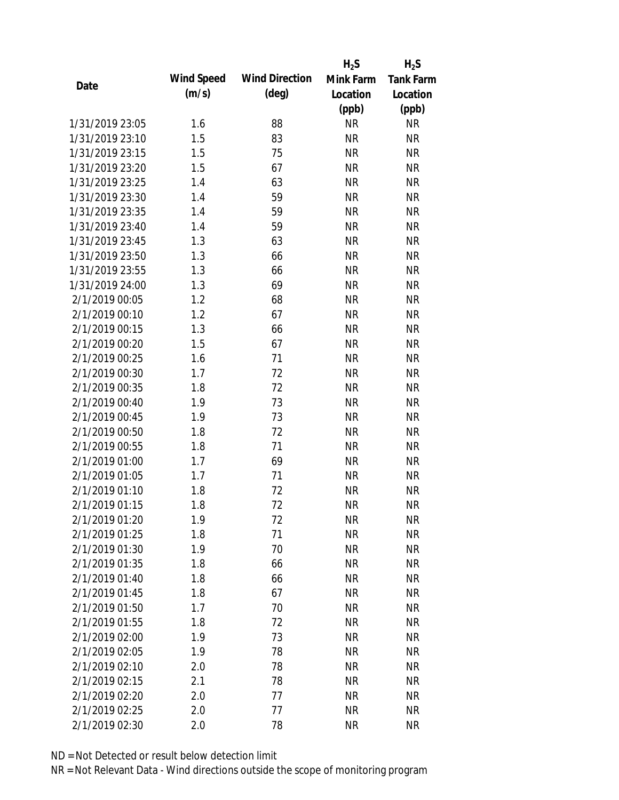|                 |            |                       | $H_2S$    | $H_2S$           |
|-----------------|------------|-----------------------|-----------|------------------|
| Date            | Wind Speed | <b>Wind Direction</b> | Mink Farm | <b>Tank Farm</b> |
|                 | (m/s)      | $(\text{deg})$        | Location  | Location         |
|                 |            |                       | (ppb)     | (ppb)            |
| 1/31/2019 23:05 | 1.6        | 88                    | <b>NR</b> | <b>NR</b>        |
| 1/31/2019 23:10 | 1.5        | 83                    | <b>NR</b> | <b>NR</b>        |
| 1/31/2019 23:15 | 1.5        | 75                    | <b>NR</b> | <b>NR</b>        |
| 1/31/2019 23:20 | 1.5        | 67                    | <b>NR</b> | <b>NR</b>        |
| 1/31/2019 23:25 | 1.4        | 63                    | <b>NR</b> | <b>NR</b>        |
| 1/31/2019 23:30 | 1.4        | 59                    | <b>NR</b> | <b>NR</b>        |
| 1/31/2019 23:35 | 1.4        | 59                    | <b>NR</b> | <b>NR</b>        |
| 1/31/2019 23:40 | 1.4        | 59                    | <b>NR</b> | <b>NR</b>        |
| 1/31/2019 23:45 | 1.3        | 63                    | <b>NR</b> | <b>NR</b>        |
| 1/31/2019 23:50 | 1.3        | 66                    | <b>NR</b> | <b>NR</b>        |
| 1/31/2019 23:55 | 1.3        | 66                    | <b>NR</b> | <b>NR</b>        |
| 1/31/2019 24:00 | 1.3        | 69                    | <b>NR</b> | <b>NR</b>        |
| 2/1/2019 00:05  | 1.2        | 68                    | <b>NR</b> | <b>NR</b>        |
| 2/1/2019 00:10  | 1.2        | 67                    | <b>NR</b> | <b>NR</b>        |
| 2/1/2019 00:15  | 1.3        | 66                    | <b>NR</b> | <b>NR</b>        |
| 2/1/2019 00:20  | 1.5        | 67                    | <b>NR</b> | <b>NR</b>        |
| 2/1/2019 00:25  | 1.6        | 71                    | <b>NR</b> | <b>NR</b>        |
| 2/1/2019 00:30  | 1.7        | 72                    | <b>NR</b> | <b>NR</b>        |
| 2/1/2019 00:35  | 1.8        | 72                    | <b>NR</b> | <b>NR</b>        |
| 2/1/2019 00:40  | 1.9        | 73                    | <b>NR</b> | <b>NR</b>        |
| 2/1/2019 00:45  | 1.9        | 73                    | <b>NR</b> | <b>NR</b>        |
| 2/1/2019 00:50  | 1.8        | 72                    | <b>NR</b> | <b>NR</b>        |
| 2/1/2019 00:55  | 1.8        | 71                    | <b>NR</b> | <b>NR</b>        |
| 2/1/2019 01:00  | 1.7        | 69                    | <b>NR</b> | <b>NR</b>        |
| 2/1/2019 01:05  | 1.7        | 71                    | <b>NR</b> | <b>NR</b>        |
| 2/1/2019 01:10  | 1.8        | 72                    | <b>NR</b> | <b>NR</b>        |
| 2/1/2019 01:15  | 1.8        | 72                    | <b>NR</b> | <b>NR</b>        |
| 2/1/2019 01:20  | 1.9        | 72                    | <b>NR</b> | <b>NR</b>        |
| 2/1/2019 01:25  | 1.8        | 71                    | <b>NR</b> | <b>NR</b>        |
| 2/1/2019 01:30  | 1.9        | 70                    | <b>NR</b> | <b>NR</b>        |
| 2/1/2019 01:35  | 1.8        | 66                    | <b>NR</b> | <b>NR</b>        |
| 2/1/2019 01:40  | 1.8        | 66                    | <b>NR</b> | <b>NR</b>        |
| 2/1/2019 01:45  | 1.8        | 67                    | <b>NR</b> | <b>NR</b>        |
| 2/1/2019 01:50  | 1.7        | 70                    | <b>NR</b> | <b>NR</b>        |
| 2/1/2019 01:55  | 1.8        | 72                    | <b>NR</b> | <b>NR</b>        |
| 2/1/2019 02:00  | 1.9        | 73                    | <b>NR</b> | <b>NR</b>        |
| 2/1/2019 02:05  | 1.9        | 78                    | <b>NR</b> | <b>NR</b>        |
| 2/1/2019 02:10  | 2.0        | 78                    | <b>NR</b> | <b>NR</b>        |
| 2/1/2019 02:15  | 2.1        | 78                    | <b>NR</b> | <b>NR</b>        |
| 2/1/2019 02:20  | 2.0        | 77                    | <b>NR</b> | <b>NR</b>        |
| 2/1/2019 02:25  | 2.0        | 77                    | <b>NR</b> | <b>NR</b>        |
| 2/1/2019 02:30  | 2.0        | 78                    | <b>NR</b> | <b>NR</b>        |
|                 |            |                       |           |                  |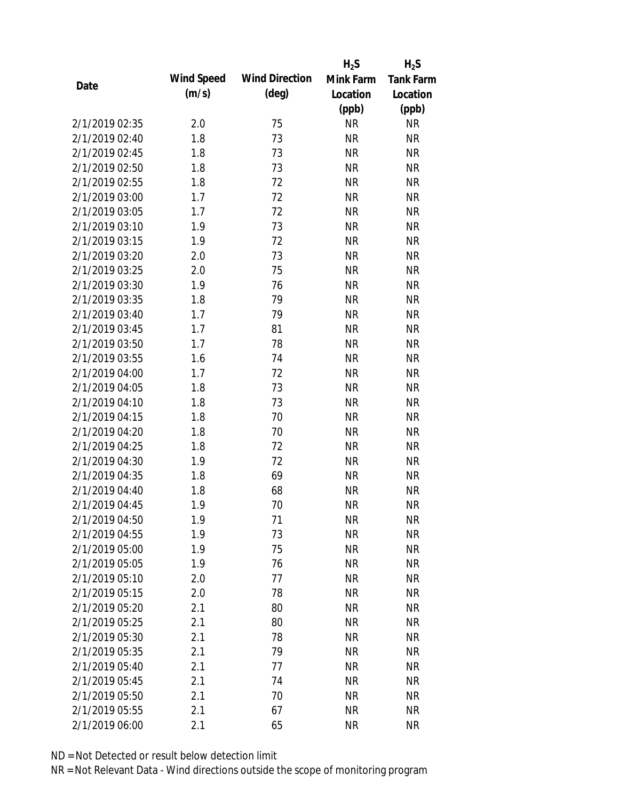|                |            |                       | $H_2S$    | $H_2S$           |
|----------------|------------|-----------------------|-----------|------------------|
|                | Wind Speed | <b>Wind Direction</b> | Mink Farm | <b>Tank Farm</b> |
| Date           | (m/s)      | $(\text{deg})$        | Location  | Location         |
|                |            |                       | (ppb)     | (ppb)            |
| 2/1/2019 02:35 | 2.0        | 75                    | <b>NR</b> | <b>NR</b>        |
| 2/1/2019 02:40 | 1.8        | 73                    | <b>NR</b> | <b>NR</b>        |
| 2/1/2019 02:45 | 1.8        | 73                    | <b>NR</b> | <b>NR</b>        |
| 2/1/2019 02:50 | 1.8        | 73                    | <b>NR</b> | <b>NR</b>        |
| 2/1/2019 02:55 | 1.8        | 72                    | <b>NR</b> | <b>NR</b>        |
| 2/1/2019 03:00 | 1.7        | 72                    | <b>NR</b> | <b>NR</b>        |
| 2/1/2019 03:05 | 1.7        | 72                    | <b>NR</b> | <b>NR</b>        |
| 2/1/2019 03:10 | 1.9        | 73                    | <b>NR</b> | <b>NR</b>        |
| 2/1/2019 03:15 | 1.9        | 72                    | <b>NR</b> | <b>NR</b>        |
| 2/1/2019 03:20 | 2.0        | 73                    | <b>NR</b> | <b>NR</b>        |
| 2/1/2019 03:25 | 2.0        | 75                    | <b>NR</b> | <b>NR</b>        |
| 2/1/2019 03:30 | 1.9        | 76                    | <b>NR</b> | <b>NR</b>        |
| 2/1/2019 03:35 | 1.8        | 79                    | <b>NR</b> | <b>NR</b>        |
| 2/1/2019 03:40 | 1.7        | 79                    | <b>NR</b> | <b>NR</b>        |
| 2/1/2019 03:45 | 1.7        | 81                    | <b>NR</b> | <b>NR</b>        |
| 2/1/2019 03:50 | 1.7        | 78                    | <b>NR</b> | <b>NR</b>        |
| 2/1/2019 03:55 | 1.6        | 74                    | <b>NR</b> | <b>NR</b>        |
| 2/1/2019 04:00 | 1.7        | 72                    | <b>NR</b> | <b>NR</b>        |
| 2/1/2019 04:05 | 1.8        | 73                    | <b>NR</b> | <b>NR</b>        |
| 2/1/2019 04:10 | 1.8        | 73                    | <b>NR</b> | <b>NR</b>        |
| 2/1/2019 04:15 | 1.8        | 70                    | <b>NR</b> | <b>NR</b>        |
| 2/1/2019 04:20 | 1.8        | 70                    | <b>NR</b> | <b>NR</b>        |
| 2/1/2019 04:25 | 1.8        | 72                    | <b>NR</b> | <b>NR</b>        |
| 2/1/2019 04:30 | 1.9        | 72                    | <b>NR</b> | <b>NR</b>        |
| 2/1/2019 04:35 | 1.8        | 69                    | <b>NR</b> | <b>NR</b>        |
| 2/1/2019 04:40 | 1.8        | 68                    | <b>NR</b> | <b>NR</b>        |
| 2/1/2019 04:45 | 1.9        | 70                    | <b>NR</b> | <b>NR</b>        |
| 2/1/2019 04:50 | 1.9        | 71                    | <b>NR</b> | <b>NR</b>        |
| 2/1/2019 04:55 | 1.9        | 73                    | <b>NR</b> | <b>NR</b>        |
| 2/1/2019 05:00 | 1.9        | 75                    | <b>NR</b> | <b>NR</b>        |
| 2/1/2019 05:05 | 1.9        | 76                    | <b>NR</b> | <b>NR</b>        |
| 2/1/2019 05:10 | 2.0        | 77                    | <b>NR</b> | <b>NR</b>        |
| 2/1/2019 05:15 | 2.0        | 78                    | <b>NR</b> | <b>NR</b>        |
| 2/1/2019 05:20 | 2.1        | 80                    | <b>NR</b> | <b>NR</b>        |
| 2/1/2019 05:25 | 2.1        | 80                    | <b>NR</b> | <b>NR</b>        |
| 2/1/2019 05:30 | 2.1        | 78                    | <b>NR</b> | <b>NR</b>        |
| 2/1/2019 05:35 | 2.1        | 79                    | <b>NR</b> | <b>NR</b>        |
| 2/1/2019 05:40 |            |                       | <b>NR</b> | <b>NR</b>        |
|                | 2.1        | 77                    |           |                  |
| 2/1/2019 05:45 | 2.1        | 74                    | <b>NR</b> | <b>NR</b>        |
| 2/1/2019 05:50 | 2.1        | 70                    | <b>NR</b> | <b>NR</b>        |
| 2/1/2019 05:55 | 2.1        | 67                    | <b>NR</b> | <b>NR</b>        |
| 2/1/2019 06:00 | 2.1        | 65                    | <b>NR</b> | <b>NR</b>        |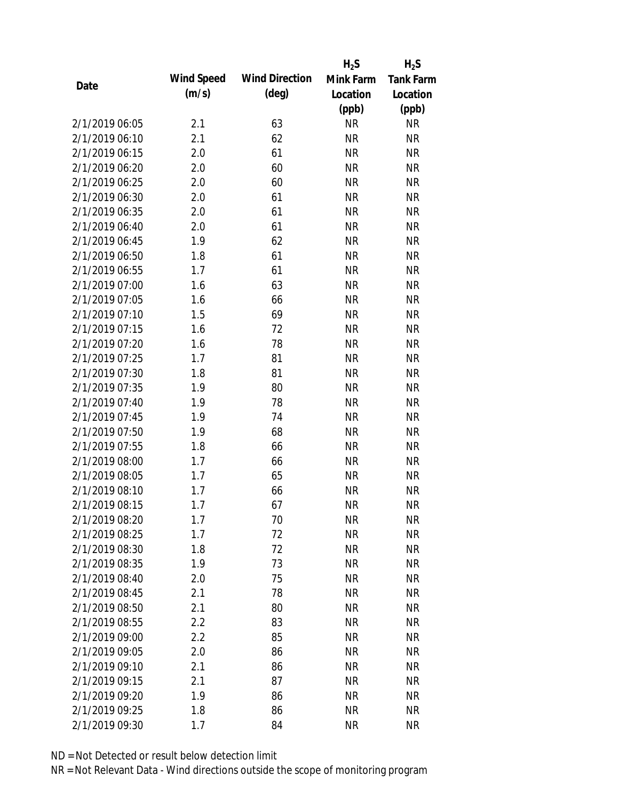|                |            |                       | $H_2S$    | $H_2S$           |
|----------------|------------|-----------------------|-----------|------------------|
| Date           | Wind Speed | <b>Wind Direction</b> | Mink Farm | <b>Tank Farm</b> |
|                | (m/s)      | $(\text{deg})$        | Location  | Location         |
|                |            |                       | (ppb)     | (ppb)            |
| 2/1/2019 06:05 | 2.1        | 63                    | <b>NR</b> | <b>NR</b>        |
| 2/1/2019 06:10 | 2.1        | 62                    | <b>NR</b> | <b>NR</b>        |
| 2/1/2019 06:15 | 2.0        | 61                    | <b>NR</b> | <b>NR</b>        |
| 2/1/2019 06:20 | 2.0        | 60                    | <b>NR</b> | <b>NR</b>        |
| 2/1/2019 06:25 | 2.0        | 60                    | <b>NR</b> | <b>NR</b>        |
| 2/1/2019 06:30 | 2.0        | 61                    | <b>NR</b> | <b>NR</b>        |
| 2/1/2019 06:35 | 2.0        | 61                    | <b>NR</b> | <b>NR</b>        |
| 2/1/2019 06:40 | 2.0        | 61                    | <b>NR</b> | <b>NR</b>        |
| 2/1/2019 06:45 | 1.9        | 62                    | <b>NR</b> | <b>NR</b>        |
| 2/1/2019 06:50 | 1.8        | 61                    | <b>NR</b> | <b>NR</b>        |
| 2/1/2019 06:55 | 1.7        | 61                    | <b>NR</b> | <b>NR</b>        |
| 2/1/2019 07:00 | 1.6        | 63                    | <b>NR</b> | <b>NR</b>        |
| 2/1/2019 07:05 | 1.6        | 66                    | <b>NR</b> | <b>NR</b>        |
| 2/1/2019 07:10 | 1.5        | 69                    | <b>NR</b> | <b>NR</b>        |
| 2/1/2019 07:15 | 1.6        | 72                    | <b>NR</b> | <b>NR</b>        |
| 2/1/2019 07:20 | 1.6        | 78                    | <b>NR</b> | <b>NR</b>        |
| 2/1/2019 07:25 | 1.7        | 81                    | <b>NR</b> | <b>NR</b>        |
| 2/1/2019 07:30 | 1.8        | 81                    | <b>NR</b> | <b>NR</b>        |
| 2/1/2019 07:35 | 1.9        | 80                    | <b>NR</b> | <b>NR</b>        |
| 2/1/2019 07:40 | 1.9        | 78                    | <b>NR</b> | <b>NR</b>        |
| 2/1/2019 07:45 | 1.9        | 74                    | <b>NR</b> | <b>NR</b>        |
| 2/1/2019 07:50 | 1.9        | 68                    | <b>NR</b> | <b>NR</b>        |
| 2/1/2019 07:55 | 1.8        | 66                    | <b>NR</b> | <b>NR</b>        |
| 2/1/2019 08:00 | 1.7        | 66                    | <b>NR</b> | <b>NR</b>        |
| 2/1/2019 08:05 | 1.7        | 65                    | <b>NR</b> | <b>NR</b>        |
| 2/1/2019 08:10 | 1.7        | 66                    | <b>NR</b> | <b>NR</b>        |
| 2/1/2019 08:15 | 1.7        | 67                    | <b>NR</b> | <b>NR</b>        |
| 2/1/2019 08:20 | 1.7        | 70                    | <b>NR</b> | <b>NR</b>        |
| 2/1/2019 08:25 | 1.7        | 72                    | <b>NR</b> | <b>NR</b>        |
| 2/1/2019 08:30 | 1.8        | 72                    | <b>NR</b> | <b>NR</b>        |
| 2/1/2019 08:35 | 1.9        | 73                    | <b>NR</b> | <b>NR</b>        |
| 2/1/2019 08:40 | 2.0        | 75                    | <b>NR</b> | <b>NR</b>        |
| 2/1/2019 08:45 | 2.1        | 78                    | <b>NR</b> | <b>NR</b>        |
| 2/1/2019 08:50 | 2.1        | 80                    | <b>NR</b> | <b>NR</b>        |
| 2/1/2019 08:55 | 2.2        | 83                    | <b>NR</b> | <b>NR</b>        |
| 2/1/2019 09:00 | 2.2        | 85                    | <b>NR</b> | <b>NR</b>        |
| 2/1/2019 09:05 | 2.0        | 86                    | <b>NR</b> | <b>NR</b>        |
| 2/1/2019 09:10 | 2.1        | 86                    | <b>NR</b> | <b>NR</b>        |
| 2/1/2019 09:15 | 2.1        | 87                    | <b>NR</b> | <b>NR</b>        |
| 2/1/2019 09:20 | 1.9        | 86                    | <b>NR</b> | <b>NR</b>        |
| 2/1/2019 09:25 | 1.8        | 86                    | <b>NR</b> | <b>NR</b>        |
| 2/1/2019 09:30 | 1.7        | 84                    | <b>NR</b> | <b>NR</b>        |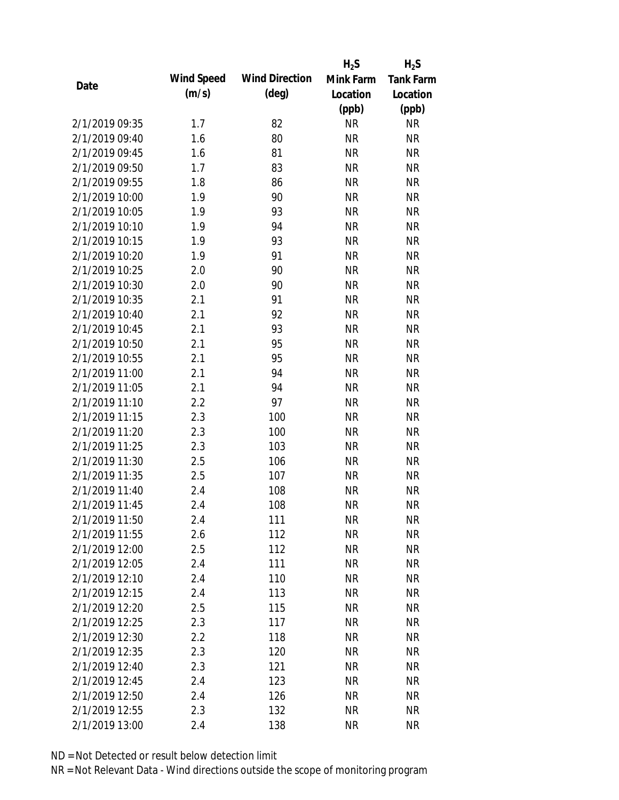|                |            |                       | $H_2S$    | $H_2S$           |
|----------------|------------|-----------------------|-----------|------------------|
|                | Wind Speed | <b>Wind Direction</b> | Mink Farm | <b>Tank Farm</b> |
| Date           | (m/s)      | $(\text{deg})$        | Location  | Location         |
|                |            |                       | (ppb)     | (ppb)            |
| 2/1/2019 09:35 | 1.7        | 82                    | <b>NR</b> | <b>NR</b>        |
| 2/1/2019 09:40 | 1.6        | 80                    | <b>NR</b> | <b>NR</b>        |
| 2/1/2019 09:45 | 1.6        | 81                    | <b>NR</b> | <b>NR</b>        |
| 2/1/2019 09:50 | 1.7        | 83                    | <b>NR</b> | <b>NR</b>        |
| 2/1/2019 09:55 | 1.8        | 86                    | <b>NR</b> | <b>NR</b>        |
| 2/1/2019 10:00 | 1.9        | 90                    | <b>NR</b> | <b>NR</b>        |
| 2/1/2019 10:05 | 1.9        | 93                    | <b>NR</b> | <b>NR</b>        |
| 2/1/2019 10:10 | 1.9        | 94                    | <b>NR</b> | <b>NR</b>        |
| 2/1/2019 10:15 | 1.9        | 93                    | <b>NR</b> | <b>NR</b>        |
| 2/1/2019 10:20 | 1.9        | 91                    | <b>NR</b> | <b>NR</b>        |
| 2/1/2019 10:25 | 2.0        | 90                    | <b>NR</b> | <b>NR</b>        |
| 2/1/2019 10:30 | 2.0        | 90                    | <b>NR</b> | <b>NR</b>        |
| 2/1/2019 10:35 | 2.1        | 91                    | <b>NR</b> | <b>NR</b>        |
| 2/1/2019 10:40 | 2.1        | 92                    | <b>NR</b> | <b>NR</b>        |
| 2/1/2019 10:45 | 2.1        | 93                    | <b>NR</b> | <b>NR</b>        |
| 2/1/2019 10:50 | 2.1        | 95                    | <b>NR</b> | <b>NR</b>        |
| 2/1/2019 10:55 | 2.1        | 95                    | <b>NR</b> | <b>NR</b>        |
| 2/1/2019 11:00 | 2.1        | 94                    | <b>NR</b> | <b>NR</b>        |
| 2/1/2019 11:05 | 2.1        | 94                    | <b>NR</b> | <b>NR</b>        |
| 2/1/2019 11:10 | 2.2        | 97                    | <b>NR</b> | <b>NR</b>        |
| 2/1/2019 11:15 | 2.3        | 100                   | <b>NR</b> | <b>NR</b>        |
| 2/1/2019 11:20 | 2.3        | 100                   | <b>NR</b> | <b>NR</b>        |
| 2/1/2019 11:25 | 2.3        | 103                   | <b>NR</b> | <b>NR</b>        |
| 2/1/2019 11:30 | 2.5        | 106                   | <b>NR</b> | <b>NR</b>        |
| 2/1/2019 11:35 | 2.5        | 107                   | <b>NR</b> | <b>NR</b>        |
| 2/1/2019 11:40 | 2.4        | 108                   | <b>NR</b> | <b>NR</b>        |
| 2/1/2019 11:45 | 2.4        | 108                   | <b>NR</b> | <b>NR</b>        |
| 2/1/2019 11:50 | 2.4        | 111                   | <b>NR</b> | <b>NR</b>        |
| 2/1/2019 11:55 | 2.6        | 112                   | <b>NR</b> | <b>NR</b>        |
| 2/1/2019 12:00 | 2.5        | 112                   | <b>NR</b> | <b>NR</b>        |
| 2/1/2019 12:05 | 2.4        | 111                   | <b>NR</b> | <b>NR</b>        |
| 2/1/2019 12:10 | 2.4        | 110                   | <b>NR</b> | <b>NR</b>        |
| 2/1/2019 12:15 | 2.4        | 113                   | <b>NR</b> | <b>NR</b>        |
| 2/1/2019 12:20 | 2.5        | 115                   | <b>NR</b> | <b>NR</b>        |
| 2/1/2019 12:25 | 2.3        | 117                   | <b>NR</b> | <b>NR</b>        |
| 2/1/2019 12:30 | 2.2        | 118                   | <b>NR</b> | <b>NR</b>        |
| 2/1/2019 12:35 | 2.3        | 120                   | <b>NR</b> | <b>NR</b>        |
| 2/1/2019 12:40 | 2.3        | 121                   | <b>NR</b> | <b>NR</b>        |
| 2/1/2019 12:45 | 2.4        | 123                   | <b>NR</b> | <b>NR</b>        |
| 2/1/2019 12:50 | 2.4        | 126                   | <b>NR</b> | <b>NR</b>        |
| 2/1/2019 12:55 | 2.3        | 132                   | <b>NR</b> | <b>NR</b>        |
| 2/1/2019 13:00 | 2.4        | 138                   | <b>NR</b> | <b>NR</b>        |
|                |            |                       |           |                  |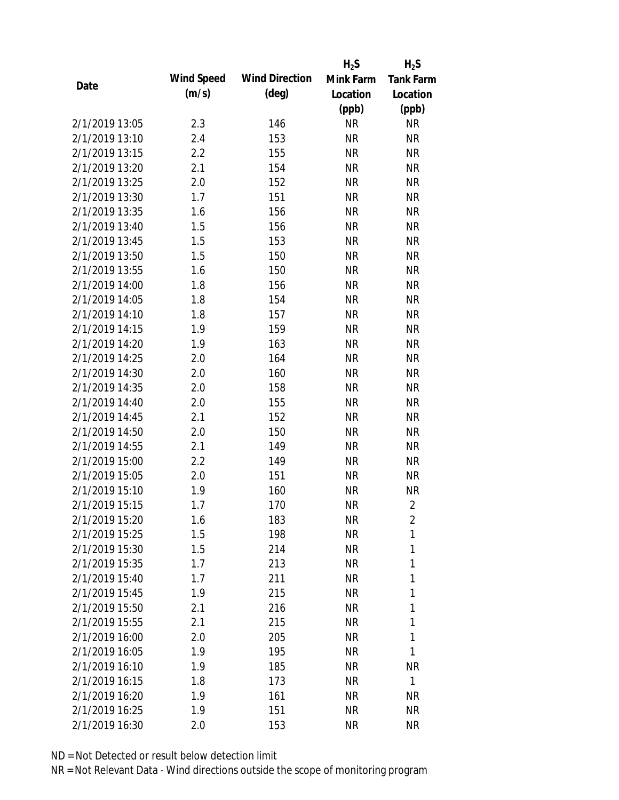|                |            |                       | $H_2S$    | $H_2S$           |
|----------------|------------|-----------------------|-----------|------------------|
|                | Wind Speed | <b>Wind Direction</b> | Mink Farm | <b>Tank Farm</b> |
| Date           | (m/s)      | $(\text{deg})$        | Location  | Location         |
|                |            |                       | (ppb)     | (ppb)            |
| 2/1/2019 13:05 | 2.3        | 146                   | <b>NR</b> | <b>NR</b>        |
| 2/1/2019 13:10 | 2.4        | 153                   | <b>NR</b> | <b>NR</b>        |
| 2/1/2019 13:15 | 2.2        | 155                   | <b>NR</b> | <b>NR</b>        |
| 2/1/2019 13:20 | 2.1        | 154                   | <b>NR</b> | <b>NR</b>        |
| 2/1/2019 13:25 | 2.0        | 152                   | <b>NR</b> | <b>NR</b>        |
| 2/1/2019 13:30 | 1.7        | 151                   | <b>NR</b> | <b>NR</b>        |
| 2/1/2019 13:35 | 1.6        | 156                   | <b>NR</b> | <b>NR</b>        |
| 2/1/2019 13:40 | 1.5        | 156                   | <b>NR</b> | <b>NR</b>        |
| 2/1/2019 13:45 | 1.5        | 153                   | <b>NR</b> | <b>NR</b>        |
| 2/1/2019 13:50 | 1.5        | 150                   | <b>NR</b> | <b>NR</b>        |
| 2/1/2019 13:55 | 1.6        | 150                   | <b>NR</b> | <b>NR</b>        |
| 2/1/2019 14:00 | 1.8        | 156                   | <b>NR</b> | <b>NR</b>        |
| 2/1/2019 14:05 | 1.8        | 154                   | <b>NR</b> | <b>NR</b>        |
| 2/1/2019 14:10 | 1.8        | 157                   | <b>NR</b> | <b>NR</b>        |
| 2/1/2019 14:15 | 1.9        | 159                   | <b>NR</b> | <b>NR</b>        |
| 2/1/2019 14:20 | 1.9        | 163                   | <b>NR</b> | <b>NR</b>        |
| 2/1/2019 14:25 | 2.0        | 164                   | <b>NR</b> | <b>NR</b>        |
| 2/1/2019 14:30 | 2.0        | 160                   | <b>NR</b> | <b>NR</b>        |
| 2/1/2019 14:35 | 2.0        | 158                   | <b>NR</b> | <b>NR</b>        |
| 2/1/2019 14:40 | 2.0        | 155                   | <b>NR</b> | <b>NR</b>        |
| 2/1/2019 14:45 | 2.1        | 152                   | <b>NR</b> | <b>NR</b>        |
| 2/1/2019 14:50 | 2.0        | 150                   | <b>NR</b> | <b>NR</b>        |
| 2/1/2019 14:55 | 2.1        | 149                   | <b>NR</b> | <b>NR</b>        |
| 2/1/2019 15:00 | 2.2        | 149                   | <b>NR</b> | <b>NR</b>        |
| 2/1/2019 15:05 | 2.0        | 151                   | <b>NR</b> | <b>NR</b>        |
| 2/1/2019 15:10 | 1.9        | 160                   | <b>NR</b> | <b>NR</b>        |
| 2/1/2019 15:15 | 1.7        | 170                   | <b>NR</b> | $\sqrt{2}$       |
| 2/1/2019 15:20 | 1.6        | 183                   | <b>NR</b> | 2                |
| 2/1/2019 15:25 | 1.5        | 198                   | <b>NR</b> | 1                |
| 2/1/2019 15:30 | 1.5        | 214                   | <b>NR</b> | 1                |
| 2/1/2019 15:35 | 1.7        | 213                   | <b>NR</b> | 1                |
| 2/1/2019 15:40 | 1.7        | 211                   | <b>NR</b> | 1                |
| 2/1/2019 15:45 | 1.9        | 215                   | <b>NR</b> | 1                |
| 2/1/2019 15:50 | 2.1        | 216                   | <b>NR</b> | 1                |
| 2/1/2019 15:55 | 2.1        | 215                   | <b>NR</b> | 1                |
| 2/1/2019 16:00 | 2.0        | 205                   | <b>NR</b> | 1                |
| 2/1/2019 16:05 | 1.9        | 195                   | <b>NR</b> | 1                |
| 2/1/2019 16:10 | 1.9        | 185                   | <b>NR</b> | <b>NR</b>        |
| 2/1/2019 16:15 | 1.8        | 173                   | <b>NR</b> | $\mathbf{1}$     |
| 2/1/2019 16:20 | 1.9        | 161                   | <b>NR</b> | NR               |
| 2/1/2019 16:25 | 1.9        | 151                   | <b>NR</b> | <b>NR</b>        |
| 2/1/2019 16:30 | 2.0        | 153                   | <b>NR</b> | <b>NR</b>        |
|                |            |                       |           |                  |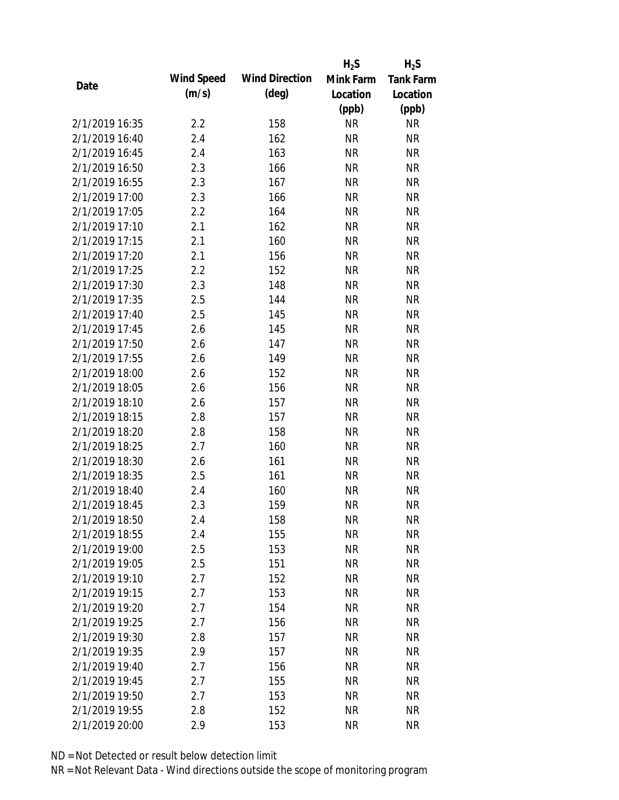|                |            |                       | $H_2S$    | $H_2S$           |
|----------------|------------|-----------------------|-----------|------------------|
|                | Wind Speed | <b>Wind Direction</b> | Mink Farm | <b>Tank Farm</b> |
| Date           | (m/s)      | $(\text{deg})$        | Location  | Location         |
|                |            |                       | (ppb)     | (ppb)            |
| 2/1/2019 16:35 | 2.2        | 158                   | <b>NR</b> | <b>NR</b>        |
| 2/1/2019 16:40 | 2.4        | 162                   | <b>NR</b> | <b>NR</b>        |
| 2/1/2019 16:45 | 2.4        | 163                   | <b>NR</b> | <b>NR</b>        |
| 2/1/2019 16:50 | 2.3        | 166                   | <b>NR</b> | <b>NR</b>        |
| 2/1/2019 16:55 | 2.3        | 167                   | <b>NR</b> | <b>NR</b>        |
| 2/1/2019 17:00 | 2.3        | 166                   | <b>NR</b> | <b>NR</b>        |
| 2/1/2019 17:05 | 2.2        | 164                   | <b>NR</b> | <b>NR</b>        |
| 2/1/2019 17:10 | 2.1        | 162                   | <b>NR</b> | <b>NR</b>        |
| 2/1/2019 17:15 | 2.1        | 160                   | <b>NR</b> | <b>NR</b>        |
| 2/1/2019 17:20 | 2.1        | 156                   | <b>NR</b> | <b>NR</b>        |
| 2/1/2019 17:25 | 2.2        | 152                   | <b>NR</b> | <b>NR</b>        |
| 2/1/2019 17:30 | 2.3        | 148                   | <b>NR</b> | <b>NR</b>        |
| 2/1/2019 17:35 | 2.5        | 144                   | <b>NR</b> | <b>NR</b>        |
| 2/1/2019 17:40 | 2.5        | 145                   | <b>NR</b> | <b>NR</b>        |
| 2/1/2019 17:45 | 2.6        | 145                   | <b>NR</b> | <b>NR</b>        |
| 2/1/2019 17:50 | 2.6        | 147                   | <b>NR</b> | <b>NR</b>        |
| 2/1/2019 17:55 | 2.6        | 149                   | <b>NR</b> | <b>NR</b>        |
| 2/1/2019 18:00 | 2.6        | 152                   | <b>NR</b> | <b>NR</b>        |
| 2/1/2019 18:05 | 2.6        | 156                   | <b>NR</b> | <b>NR</b>        |
| 2/1/2019 18:10 | 2.6        | 157                   | <b>NR</b> | <b>NR</b>        |
| 2/1/2019 18:15 | 2.8        | 157                   | <b>NR</b> | <b>NR</b>        |
| 2/1/2019 18:20 | 2.8        | 158                   | <b>NR</b> | <b>NR</b>        |
| 2/1/2019 18:25 | 2.7        | 160                   | <b>NR</b> | <b>NR</b>        |
| 2/1/2019 18:30 | 2.6        | 161                   | <b>NR</b> | <b>NR</b>        |
| 2/1/2019 18:35 | 2.5        | 161                   | <b>NR</b> | <b>NR</b>        |
| 2/1/2019 18:40 | 2.4        | 160                   | <b>NR</b> | <b>NR</b>        |
| 2/1/2019 18:45 | 2.3        | 159                   | <b>NR</b> | <b>NR</b>        |
| 2/1/2019 18:50 | 2.4        | 158                   | <b>NR</b> | <b>NR</b>        |
| 2/1/2019 18:55 | 2.4        | 155                   | <b>NR</b> | <b>NR</b>        |
| 2/1/2019 19:00 | 2.5        | 153                   | <b>NR</b> | <b>NR</b>        |
| 2/1/2019 19:05 | 2.5        | 151                   | <b>NR</b> | <b>NR</b>        |
| 2/1/2019 19:10 | 2.7        | 152                   | <b>NR</b> | <b>NR</b>        |
| 2/1/2019 19:15 | 2.7        | 153                   | <b>NR</b> | <b>NR</b>        |
| 2/1/2019 19:20 | 2.7        | 154                   | <b>NR</b> | <b>NR</b>        |
| 2/1/2019 19:25 | 2.7        | 156                   | <b>NR</b> | <b>NR</b>        |
| 2/1/2019 19:30 | 2.8        | 157                   | <b>NR</b> | <b>NR</b>        |
| 2/1/2019 19:35 | 2.9        | 157                   | <b>NR</b> | <b>NR</b>        |
| 2/1/2019 19:40 | 2.7        | 156                   | <b>NR</b> | <b>NR</b>        |
| 2/1/2019 19:45 | 2.7        | 155                   | <b>NR</b> | <b>NR</b>        |
| 2/1/2019 19:50 | 2.7        | 153                   | <b>NR</b> | <b>NR</b>        |
| 2/1/2019 19:55 | 2.8        | 152                   | <b>NR</b> | <b>NR</b>        |
| 2/1/2019 20:00 | 2.9        | 153                   | <b>NR</b> | <b>NR</b>        |
|                |            |                       |           |                  |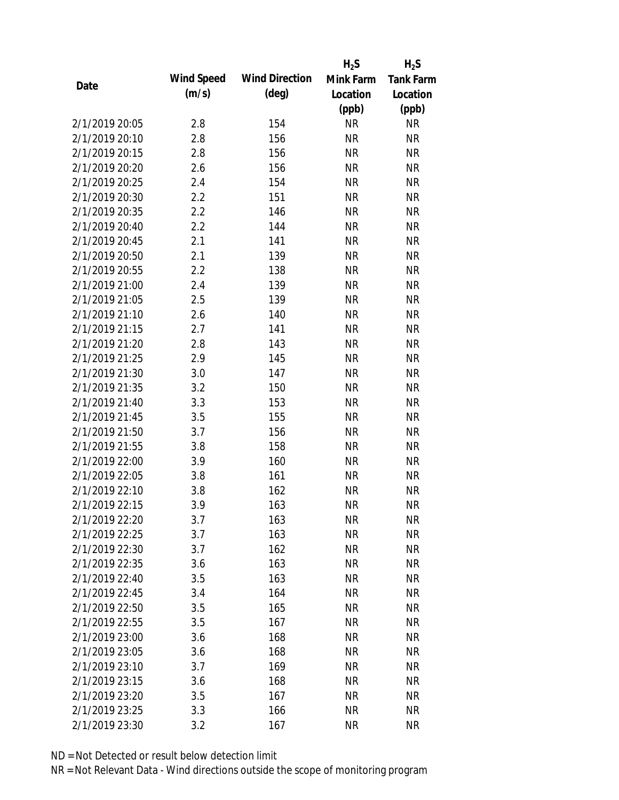|                |            |                       | $H_2S$    | $H_2S$           |
|----------------|------------|-----------------------|-----------|------------------|
|                | Wind Speed | <b>Wind Direction</b> | Mink Farm | <b>Tank Farm</b> |
| Date           | (m/s)      | $(\text{deg})$        | Location  | Location         |
|                |            |                       | (ppb)     | (ppb)            |
| 2/1/2019 20:05 | 2.8        | 154                   | <b>NR</b> | <b>NR</b>        |
| 2/1/2019 20:10 | 2.8        | 156                   | <b>NR</b> | <b>NR</b>        |
| 2/1/2019 20:15 | 2.8        | 156                   | <b>NR</b> | <b>NR</b>        |
| 2/1/2019 20:20 | 2.6        | 156                   | <b>NR</b> | <b>NR</b>        |
| 2/1/2019 20:25 | 2.4        | 154                   | <b>NR</b> | <b>NR</b>        |
| 2/1/2019 20:30 | 2.2        | 151                   | <b>NR</b> | <b>NR</b>        |
| 2/1/2019 20:35 | 2.2        | 146                   | <b>NR</b> | <b>NR</b>        |
| 2/1/2019 20:40 | 2.2        | 144                   | <b>NR</b> | <b>NR</b>        |
| 2/1/2019 20:45 | 2.1        | 141                   | <b>NR</b> | <b>NR</b>        |
| 2/1/2019 20:50 | 2.1        | 139                   | <b>NR</b> | <b>NR</b>        |
| 2/1/2019 20:55 | 2.2        | 138                   | <b>NR</b> | <b>NR</b>        |
| 2/1/2019 21:00 | 2.4        | 139                   | <b>NR</b> | <b>NR</b>        |
| 2/1/2019 21:05 | 2.5        | 139                   | <b>NR</b> | <b>NR</b>        |
| 2/1/2019 21:10 | 2.6        | 140                   | <b>NR</b> | <b>NR</b>        |
| 2/1/2019 21:15 | 2.7        | 141                   | <b>NR</b> | <b>NR</b>        |
| 2/1/2019 21:20 | 2.8        | 143                   | <b>NR</b> | <b>NR</b>        |
| 2/1/2019 21:25 | 2.9        | 145                   | <b>NR</b> | <b>NR</b>        |
| 2/1/2019 21:30 | 3.0        | 147                   | <b>NR</b> | <b>NR</b>        |
| 2/1/2019 21:35 | 3.2        | 150                   | <b>NR</b> | <b>NR</b>        |
| 2/1/2019 21:40 | 3.3        | 153                   | <b>NR</b> | <b>NR</b>        |
| 2/1/2019 21:45 | 3.5        | 155                   | <b>NR</b> | <b>NR</b>        |
| 2/1/2019 21:50 | 3.7        | 156                   | <b>NR</b> | <b>NR</b>        |
| 2/1/2019 21:55 | 3.8        | 158                   | <b>NR</b> | <b>NR</b>        |
| 2/1/2019 22:00 | 3.9        | 160                   | <b>NR</b> | <b>NR</b>        |
| 2/1/2019 22:05 | 3.8        | 161                   | <b>NR</b> | <b>NR</b>        |
| 2/1/2019 22:10 | 3.8        | 162                   | <b>NR</b> | <b>NR</b>        |
| 2/1/2019 22:15 | 3.9        | 163                   | <b>NR</b> | <b>NR</b>        |
| 2/1/2019 22:20 | 3.7        | 163                   | <b>NR</b> | <b>NR</b>        |
| 2/1/2019 22:25 | 3.7        | 163                   | <b>NR</b> | <b>NR</b>        |
| 2/1/2019 22:30 | 3.7        | 162                   | <b>NR</b> | <b>NR</b>        |
| 2/1/2019 22:35 | 3.6        | 163                   | <b>NR</b> | <b>NR</b>        |
| 2/1/2019 22:40 | 3.5        | 163                   | <b>NR</b> | <b>NR</b>        |
| 2/1/2019 22:45 | 3.4        | 164                   | <b>NR</b> | <b>NR</b>        |
| 2/1/2019 22:50 | 3.5        | 165                   | <b>NR</b> | <b>NR</b>        |
| 2/1/2019 22:55 | 3.5        | 167                   | <b>NR</b> | <b>NR</b>        |
| 2/1/2019 23:00 | 3.6        | 168                   | <b>NR</b> | <b>NR</b>        |
| 2/1/2019 23:05 | 3.6        | 168                   | <b>NR</b> | <b>NR</b>        |
| 2/1/2019 23:10 | 3.7        | 169                   | <b>NR</b> | <b>NR</b>        |
| 2/1/2019 23:15 | 3.6        | 168                   | <b>NR</b> | NR               |
| 2/1/2019 23:20 | 3.5        | 167                   | NR        | NR               |
| 2/1/2019 23:25 | 3.3        | 166                   | <b>NR</b> | <b>NR</b>        |
| 2/1/2019 23:30 | 3.2        | 167                   | <b>NR</b> | <b>NR</b>        |
|                |            |                       |           |                  |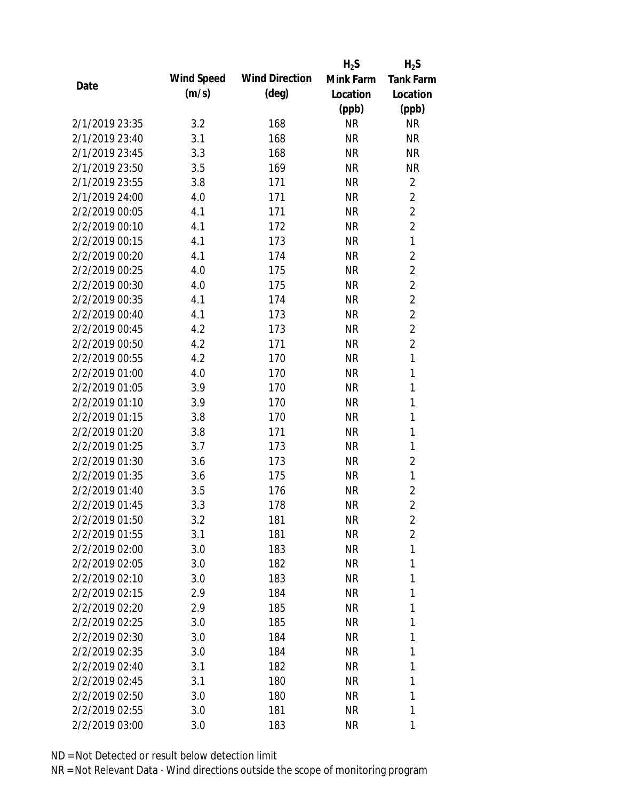|                |            |                       | $H_2S$    | $H_2S$           |
|----------------|------------|-----------------------|-----------|------------------|
| Date           | Wind Speed | <b>Wind Direction</b> | Mink Farm | <b>Tank Farm</b> |
|                | (m/s)      | $(\text{deg})$        | Location  | Location         |
|                |            |                       | (ppb)     | (ppb)            |
| 2/1/2019 23:35 | 3.2        | 168                   | <b>NR</b> | <b>NR</b>        |
| 2/1/2019 23:40 | 3.1        | 168                   | <b>NR</b> | <b>NR</b>        |
| 2/1/2019 23:45 | 3.3        | 168                   | <b>NR</b> | <b>NR</b>        |
| 2/1/2019 23:50 | 3.5        | 169                   | <b>NR</b> | <b>NR</b>        |
| 2/1/2019 23:55 | 3.8        | 171                   | <b>NR</b> | $\overline{2}$   |
| 2/1/2019 24:00 | 4.0        | 171                   | <b>NR</b> | $\overline{2}$   |
| 2/2/2019 00:05 | 4.1        | 171                   | <b>NR</b> | $\overline{2}$   |
| 2/2/2019 00:10 | 4.1        | 172                   | <b>NR</b> | $\overline{2}$   |
| 2/2/2019 00:15 | 4.1        | 173                   | <b>NR</b> | $\mathbf{1}$     |
| 2/2/2019 00:20 | 4.1        | 174                   | <b>NR</b> | $\overline{2}$   |
| 2/2/2019 00:25 | 4.0        | 175                   | <b>NR</b> | $\overline{2}$   |
| 2/2/2019 00:30 | 4.0        | 175                   | <b>NR</b> | $\overline{2}$   |
| 2/2/2019 00:35 | 4.1        | 174                   | <b>NR</b> | $\overline{2}$   |
| 2/2/2019 00:40 | 4.1        | 173                   | <b>NR</b> | $\overline{2}$   |
| 2/2/2019 00:45 | 4.2        | 173                   | <b>NR</b> | $\overline{2}$   |
| 2/2/2019 00:50 | 4.2        | 171                   | <b>NR</b> | $\overline{2}$   |
| 2/2/2019 00:55 | 4.2        | 170                   | <b>NR</b> | $\mathbf{1}$     |
| 2/2/2019 01:00 | 4.0        | 170                   | <b>NR</b> | $\mathbf{1}$     |
| 2/2/2019 01:05 | 3.9        | 170                   | <b>NR</b> | $\mathbf{1}$     |
| 2/2/2019 01:10 | 3.9        | 170                   | <b>NR</b> | 1                |
| 2/2/2019 01:15 | 3.8        | 170                   | <b>NR</b> | 1                |
| 2/2/2019 01:20 | 3.8        | 171                   | <b>NR</b> | 1                |
| 2/2/2019 01:25 | 3.7        | 173                   | <b>NR</b> | 1                |
| 2/2/2019 01:30 | 3.6        | 173                   | <b>NR</b> | $\overline{2}$   |
| 2/2/2019 01:35 | 3.6        | 175                   | <b>NR</b> | $\mathbf{1}$     |
| 2/2/2019 01:40 | 3.5        | 176                   | <b>NR</b> | $\overline{2}$   |
| 2/2/2019 01:45 | 3.3        | 178                   | <b>NR</b> | $\overline{2}$   |
| 2/2/2019 01:50 | 3.2        | 181                   | <b>NR</b> | $\overline{2}$   |
| 2/2/2019 01:55 | 3.1        | 181                   | <b>NR</b> | $\overline{2}$   |
| 2/2/2019 02:00 | 3.0        | 183                   | <b>NR</b> | 1                |
| 2/2/2019 02:05 | 3.0        | 182                   | <b>NR</b> | $\mathbf{1}$     |
| 2/2/2019 02:10 | 3.0        | 183                   | NR        | 1                |
| 2/2/2019 02:15 | 2.9        | 184                   | NR        | 1                |
| 2/2/2019 02:20 | 2.9        | 185                   | <b>NR</b> | 1                |
| 2/2/2019 02:25 | 3.0        | 185                   | NR        | 1                |
| 2/2/2019 02:30 | 3.0        | 184                   | <b>NR</b> | 1                |
| 2/2/2019 02:35 | 3.0        | 184                   | <b>NR</b> | 1                |
| 2/2/2019 02:40 | 3.1        | 182                   | NR        | 1                |
| 2/2/2019 02:45 | 3.1        | 180                   | NR        | 1                |
| 2/2/2019 02:50 | 3.0        | 180                   | <b>NR</b> | 1                |
| 2/2/2019 02:55 | 3.0        | 181                   | <b>NR</b> | 1                |
| 2/2/2019 03:00 | 3.0        | 183                   | <b>NR</b> | 1                |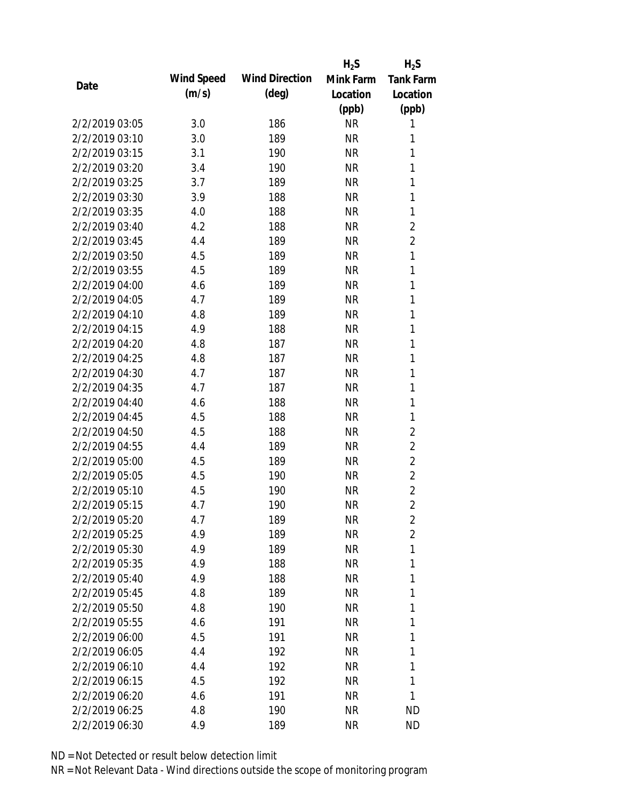|                |            |                       | $H_2S$    | $H_2S$           |
|----------------|------------|-----------------------|-----------|------------------|
| Date           | Wind Speed | <b>Wind Direction</b> | Mink Farm | <b>Tank Farm</b> |
|                | (m/s)      | $(\text{deg})$        | Location  | Location         |
|                |            |                       | (ppb)     | (ppb)            |
| 2/2/2019 03:05 | 3.0        | 186                   | <b>NR</b> | 1                |
| 2/2/2019 03:10 | 3.0        | 189                   | <b>NR</b> | 1                |
| 2/2/2019 03:15 | 3.1        | 190                   | <b>NR</b> | 1                |
| 2/2/2019 03:20 | 3.4        | 190                   | <b>NR</b> | 1                |
| 2/2/2019 03:25 | 3.7        | 189                   | <b>NR</b> | 1                |
| 2/2/2019 03:30 | 3.9        | 188                   | <b>NR</b> | 1                |
| 2/2/2019 03:35 | 4.0        | 188                   | <b>NR</b> | 1                |
| 2/2/2019 03:40 | 4.2        | 188                   | <b>NR</b> | $\overline{2}$   |
| 2/2/2019 03:45 | 4.4        | 189                   | <b>NR</b> | $\overline{2}$   |
| 2/2/2019 03:50 | 4.5        | 189                   | <b>NR</b> | 1                |
| 2/2/2019 03:55 | 4.5        | 189                   | <b>NR</b> | 1                |
| 2/2/2019 04:00 | 4.6        | 189                   | <b>NR</b> | 1                |
| 2/2/2019 04:05 | 4.7        | 189                   | <b>NR</b> | 1                |
| 2/2/2019 04:10 | 4.8        | 189                   | <b>NR</b> | 1                |
| 2/2/2019 04:15 | 4.9        | 188                   | <b>NR</b> | 1                |
| 2/2/2019 04:20 | 4.8        | 187                   | <b>NR</b> | 1                |
| 2/2/2019 04:25 | 4.8        | 187                   | <b>NR</b> | 1                |
| 2/2/2019 04:30 | 4.7        | 187                   | <b>NR</b> | 1                |
| 2/2/2019 04:35 | 4.7        | 187                   | <b>NR</b> | 1                |
| 2/2/2019 04:40 | 4.6        | 188                   | <b>NR</b> | 1                |
| 2/2/2019 04:45 | 4.5        | 188                   | <b>NR</b> | 1                |
| 2/2/2019 04:50 | 4.5        | 188                   | <b>NR</b> | $\overline{2}$   |
| 2/2/2019 04:55 | 4.4        | 189                   | <b>NR</b> | $\overline{2}$   |
| 2/2/2019 05:00 | 4.5        | 189                   | <b>NR</b> | $\overline{2}$   |
| 2/2/2019 05:05 | 4.5        | 190                   | <b>NR</b> | $\overline{2}$   |
| 2/2/2019 05:10 | 4.5        | 190                   | <b>NR</b> | $\overline{2}$   |
| 2/2/2019 05:15 | 4.7        | 190                   | <b>NR</b> | $\overline{2}$   |
| 2/2/2019 05:20 | 4.7        | 189                   | <b>NR</b> | $\overline{2}$   |
| 2/2/2019 05:25 | 4.9        | 189                   | <b>NR</b> | $\overline{2}$   |
| 2/2/2019 05:30 | 4.9        | 189                   | <b>NR</b> | 1                |
| 2/2/2019 05:35 | 4.9        | 188                   | <b>NR</b> | 1                |
| 2/2/2019 05:40 | 4.9        | 188                   | <b>NR</b> | 1                |
| 2/2/2019 05:45 | 4.8        | 189                   | <b>NR</b> | 1                |
| 2/2/2019 05:50 | 4.8        | 190                   | <b>NR</b> | 1                |
| 2/2/2019 05:55 | 4.6        | 191                   | <b>NR</b> | 1                |
| 2/2/2019 06:00 | 4.5        | 191                   | <b>NR</b> | 1                |
| 2/2/2019 06:05 | 4.4        | 192                   | <b>NR</b> | 1                |
| 2/2/2019 06:10 | 4.4        | 192                   | NR        | 1                |
| 2/2/2019 06:15 | 4.5        | 192                   | <b>NR</b> | 1                |
| 2/2/2019 06:20 | 4.6        | 191                   | <b>NR</b> | 1                |
| 2/2/2019 06:25 | 4.8        | 190                   | <b>NR</b> | <b>ND</b>        |
| 2/2/2019 06:30 | 4.9        | 189                   | <b>NR</b> | <b>ND</b>        |
|                |            |                       |           |                  |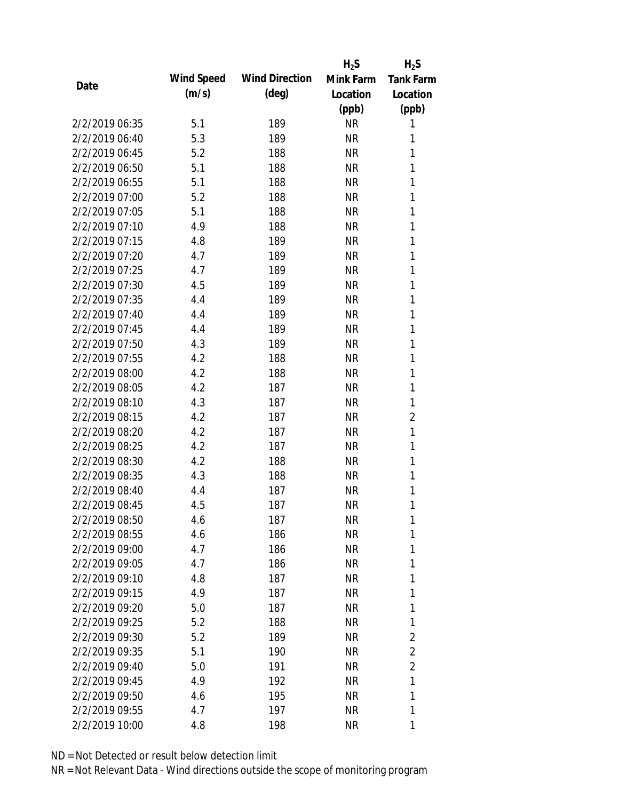|                |            |                       | $H_2S$    | $H_2S$           |
|----------------|------------|-----------------------|-----------|------------------|
| Date           | Wind Speed | <b>Wind Direction</b> | Mink Farm | <b>Tank Farm</b> |
|                | (m/s)      | $(\text{deg})$        | Location  | Location         |
|                |            |                       | (ppb)     | (ppb)            |
| 2/2/2019 06:35 | 5.1        | 189                   | <b>NR</b> | 1                |
| 2/2/2019 06:40 | 5.3        | 189                   | <b>NR</b> | 1                |
| 2/2/2019 06:45 | 5.2        | 188                   | <b>NR</b> | 1                |
| 2/2/2019 06:50 | 5.1        | 188                   | <b>NR</b> | 1                |
| 2/2/2019 06:55 | 5.1        | 188                   | <b>NR</b> | 1                |
| 2/2/2019 07:00 | 5.2        | 188                   | <b>NR</b> | 1                |
| 2/2/2019 07:05 | 5.1        | 188                   | <b>NR</b> | 1                |
| 2/2/2019 07:10 | 4.9        | 188                   | <b>NR</b> | 1                |
| 2/2/2019 07:15 | 4.8        | 189                   | <b>NR</b> | 1                |
| 2/2/2019 07:20 | 4.7        | 189                   | <b>NR</b> | 1                |
| 2/2/2019 07:25 | 4.7        | 189                   | <b>NR</b> | 1                |
| 2/2/2019 07:30 | 4.5        | 189                   | <b>NR</b> | 1                |
| 2/2/2019 07:35 | 4.4        | 189                   | <b>NR</b> | 1                |
| 2/2/2019 07:40 | 4.4        | 189                   | <b>NR</b> | 1                |
| 2/2/2019 07:45 | 4.4        | 189                   | <b>NR</b> | 1                |
| 2/2/2019 07:50 | 4.3        | 189                   | <b>NR</b> | 1                |
| 2/2/2019 07:55 | 4.2        | 188                   | <b>NR</b> | 1                |
| 2/2/2019 08:00 | 4.2        | 188                   | <b>NR</b> | 1                |
| 2/2/2019 08:05 | 4.2        | 187                   | <b>NR</b> | 1                |
| 2/2/2019 08:10 | 4.3        | 187                   | <b>NR</b> | 1                |
| 2/2/2019 08:15 | 4.2        | 187                   | <b>NR</b> | $\overline{2}$   |
| 2/2/2019 08:20 | 4.2        | 187                   | <b>NR</b> | 1                |
| 2/2/2019 08:25 | 4.2        | 187                   | <b>NR</b> | 1                |
| 2/2/2019 08:30 | 4.2        | 188                   | <b>NR</b> | 1                |
| 2/2/2019 08:35 | 4.3        | 188                   | <b>NR</b> | 1                |
| 2/2/2019 08:40 | 4.4        | 187                   | <b>NR</b> | 1                |
| 2/2/2019 08:45 | 4.5        | 187                   | <b>NR</b> | 1                |
| 2/2/2019 08:50 | 4.6        | 187                   | <b>NR</b> | 1                |
| 2/2/2019 08:55 | 4.6        | 186                   | <b>NR</b> | 1                |
| 2/2/2019 09:00 | 4.7        | 186                   | <b>NR</b> | 1                |
| 2/2/2019 09:05 | 4.7        | 186                   | <b>NR</b> | 1                |
| 2/2/2019 09:10 | 4.8        | 187                   | NR        | 1                |
| 2/2/2019 09:15 | 4.9        | 187                   | <b>NR</b> | 1                |
| 2/2/2019 09:20 | 5.0        | 187                   | <b>NR</b> | 1                |
| 2/2/2019 09:25 | 5.2        | 188                   | <b>NR</b> | 1                |
| 2/2/2019 09:30 | 5.2        | 189                   | <b>NR</b> | 2                |
| 2/2/2019 09:35 | 5.1        | 190                   | <b>NR</b> | $\overline{2}$   |
| 2/2/2019 09:40 | 5.0        | 191                   | NR        | $\overline{2}$   |
| 2/2/2019 09:45 | 4.9        | 192                   | <b>NR</b> | 1                |
| 2/2/2019 09:50 | 4.6        | 195                   | <b>NR</b> | 1                |
| 2/2/2019 09:55 | 4.7        | 197                   | <b>NR</b> | 1                |
| 2/2/2019 10:00 | 4.8        | 198                   | <b>NR</b> | 1                |
|                |            |                       |           |                  |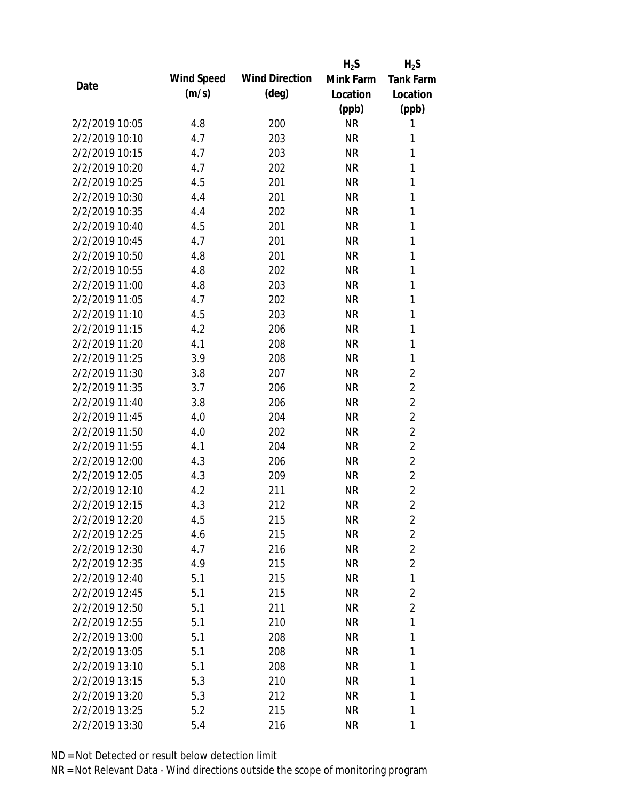|                |            |                       | $H_2S$    | $H_2S$           |
|----------------|------------|-----------------------|-----------|------------------|
| Date           | Wind Speed | <b>Wind Direction</b> | Mink Farm | <b>Tank Farm</b> |
|                | (m/s)      | $(\text{deg})$        | Location  | Location         |
|                |            |                       | (ppb)     | (ppb)            |
| 2/2/2019 10:05 | 4.8        | 200                   | <b>NR</b> | 1                |
| 2/2/2019 10:10 | 4.7        | 203                   | <b>NR</b> | 1                |
| 2/2/2019 10:15 | 4.7        | 203                   | <b>NR</b> | 1                |
| 2/2/2019 10:20 | 4.7        | 202                   | <b>NR</b> | 1                |
| 2/2/2019 10:25 | 4.5        | 201                   | <b>NR</b> | 1                |
| 2/2/2019 10:30 | 4.4        | 201                   | <b>NR</b> | 1                |
| 2/2/2019 10:35 | 4.4        | 202                   | <b>NR</b> | 1                |
| 2/2/2019 10:40 | 4.5        | 201                   | <b>NR</b> | 1                |
| 2/2/2019 10:45 | 4.7        | 201                   | <b>NR</b> | 1                |
| 2/2/2019 10:50 | 4.8        | 201                   | <b>NR</b> | 1                |
| 2/2/2019 10:55 | 4.8        | 202                   | <b>NR</b> | 1                |
| 2/2/2019 11:00 | 4.8        | 203                   | <b>NR</b> | 1                |
| 2/2/2019 11:05 | 4.7        | 202                   | <b>NR</b> | 1                |
| 2/2/2019 11:10 | 4.5        | 203                   | <b>NR</b> | 1                |
| 2/2/2019 11:15 | 4.2        | 206                   | <b>NR</b> | 1                |
| 2/2/2019 11:20 | 4.1        | 208                   | <b>NR</b> | 1                |
| 2/2/2019 11:25 | 3.9        | 208                   | <b>NR</b> | 1                |
| 2/2/2019 11:30 | 3.8        | 207                   | <b>NR</b> | $\overline{2}$   |
| 2/2/2019 11:35 | 3.7        | 206                   | <b>NR</b> | $\overline{2}$   |
| 2/2/2019 11:40 | 3.8        | 206                   | <b>NR</b> | $\overline{2}$   |
| 2/2/2019 11:45 | 4.0        | 204                   | <b>NR</b> | $\overline{2}$   |
| 2/2/2019 11:50 | 4.0        | 202                   | <b>NR</b> | $\overline{2}$   |
| 2/2/2019 11:55 | 4.1        | 204                   | <b>NR</b> | $\overline{2}$   |
| 2/2/2019 12:00 | 4.3        | 206                   | <b>NR</b> | $\overline{2}$   |
| 2/2/2019 12:05 | 4.3        | 209                   | <b>NR</b> | $\overline{2}$   |
| 2/2/2019 12:10 | 4.2        | 211                   | <b>NR</b> | $\overline{2}$   |
| 2/2/2019 12:15 | 4.3        | 212                   | <b>NR</b> | $\overline{2}$   |
| 2/2/2019 12:20 | 4.5        | 215                   | <b>NR</b> | 2                |
| 2/2/2019 12:25 | 4.6        | 215                   | <b>NR</b> | $\overline{2}$   |
| 2/2/2019 12:30 | 4.7        | 216                   | <b>NR</b> | $\overline{2}$   |
| 2/2/2019 12:35 | 4.9        | 215                   | <b>NR</b> | $\overline{2}$   |
| 2/2/2019 12:40 | 5.1        | 215                   | <b>NR</b> | 1                |
| 2/2/2019 12:45 | 5.1        | 215                   | <b>NR</b> | $\overline{2}$   |
| 2/2/2019 12:50 | 5.1        | 211                   | <b>NR</b> | $\overline{2}$   |
| 2/2/2019 12:55 | 5.1        | 210                   | <b>NR</b> | 1                |
| 2/2/2019 13:00 | 5.1        | 208                   | <b>NR</b> | 1                |
| 2/2/2019 13:05 | 5.1        | 208                   | <b>NR</b> | 1                |
| 2/2/2019 13:10 | 5.1        | 208                   | NR        | 1                |
| 2/2/2019 13:15 | 5.3        | 210                   | <b>NR</b> | 1                |
| 2/2/2019 13:20 | 5.3        | 212                   | <b>NR</b> | 1                |
| 2/2/2019 13:25 | 5.2        | 215                   | <b>NR</b> | 1                |
| 2/2/2019 13:30 | 5.4        | 216                   | <b>NR</b> | 1                |
|                |            |                       |           |                  |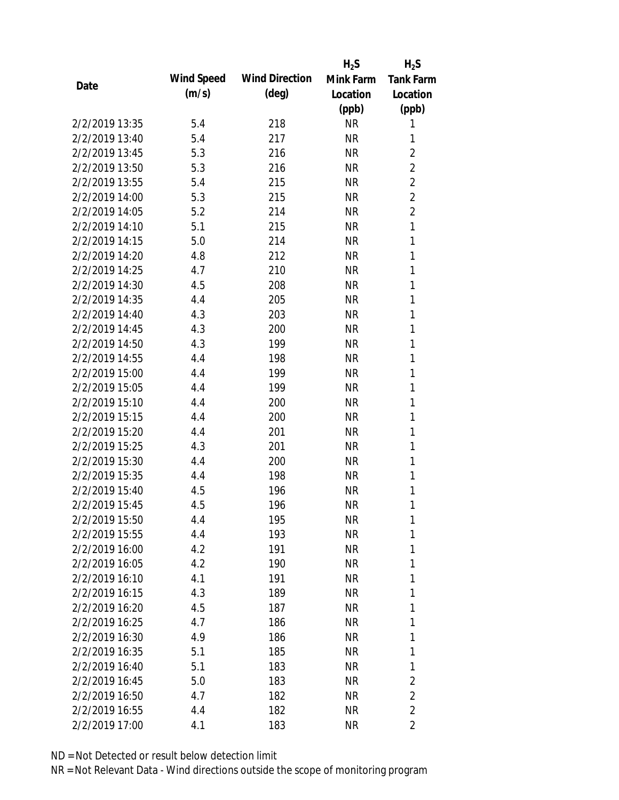|                |            |                       | $H_2S$    | $H_2S$           |
|----------------|------------|-----------------------|-----------|------------------|
| Date           | Wind Speed | <b>Wind Direction</b> | Mink Farm | <b>Tank Farm</b> |
|                | (m/s)      | $(\text{deg})$        | Location  | Location         |
|                |            |                       | (ppb)     | (ppb)            |
| 2/2/2019 13:35 | 5.4        | 218                   | <b>NR</b> | 1                |
| 2/2/2019 13:40 | 5.4        | 217                   | <b>NR</b> | 1                |
| 2/2/2019 13:45 | 5.3        | 216                   | <b>NR</b> | $\overline{2}$   |
| 2/2/2019 13:50 | 5.3        | 216                   | <b>NR</b> | $\overline{2}$   |
| 2/2/2019 13:55 | 5.4        | 215                   | <b>NR</b> | $\overline{2}$   |
| 2/2/2019 14:00 | 5.3        | 215                   | <b>NR</b> | $\overline{2}$   |
| 2/2/2019 14:05 | 5.2        | 214                   | <b>NR</b> | $\overline{2}$   |
| 2/2/2019 14:10 | 5.1        | 215                   | <b>NR</b> | 1                |
| 2/2/2019 14:15 | 5.0        | 214                   | <b>NR</b> | 1                |
| 2/2/2019 14:20 | 4.8        | 212                   | <b>NR</b> | 1                |
| 2/2/2019 14:25 | 4.7        | 210                   | <b>NR</b> | 1                |
| 2/2/2019 14:30 | 4.5        | 208                   | <b>NR</b> | 1                |
| 2/2/2019 14:35 | 4.4        | 205                   | <b>NR</b> | 1                |
| 2/2/2019 14:40 | 4.3        | 203                   | <b>NR</b> | $\mathbf{1}$     |
| 2/2/2019 14:45 | 4.3        | 200                   | <b>NR</b> | $\mathbf{1}$     |
| 2/2/2019 14:50 | 4.3        | 199                   | <b>NR</b> | 1                |
| 2/2/2019 14:55 | 4.4        | 198                   | <b>NR</b> | 1                |
| 2/2/2019 15:00 | 4.4        | 199                   | <b>NR</b> | 1                |
| 2/2/2019 15:05 | 4.4        | 199                   | <b>NR</b> | 1                |
| 2/2/2019 15:10 | 4.4        | 200                   | <b>NR</b> | 1                |
| 2/2/2019 15:15 | 4.4        | 200                   | <b>NR</b> | 1                |
| 2/2/2019 15:20 | 4.4        | 201                   | <b>NR</b> | 1                |
| 2/2/2019 15:25 | 4.3        | 201                   | <b>NR</b> | 1                |
| 2/2/2019 15:30 | 4.4        | 200                   | <b>NR</b> | 1                |
| 2/2/2019 15:35 | 4.4        | 198                   | <b>NR</b> | 1                |
| 2/2/2019 15:40 | 4.5        | 196                   | <b>NR</b> | 1                |
| 2/2/2019 15:45 | 4.5        | 196                   | <b>NR</b> | 1                |
| 2/2/2019 15:50 | 4.4        | 195                   | <b>NR</b> | 1                |
| 2/2/2019 15:55 | 4.4        | 193                   | <b>NR</b> | 1                |
| 2/2/2019 16:00 | 4.2        | 191                   | <b>NR</b> | 1                |
| 2/2/2019 16:05 | 4.2        | 190                   | <b>NR</b> | 1                |
| 2/2/2019 16:10 | 4.1        | 191                   | <b>NR</b> | 1                |
| 2/2/2019 16:15 | 4.3        | 189                   | <b>NR</b> | 1                |
| 2/2/2019 16:20 | 4.5        | 187                   | <b>NR</b> | 1                |
| 2/2/2019 16:25 | 4.7        | 186                   | <b>NR</b> | 1                |
| 2/2/2019 16:30 | 4.9        | 186                   | <b>NR</b> | 1                |
| 2/2/2019 16:35 | 5.1        | 185                   | <b>NR</b> | 1                |
| 2/2/2019 16:40 | 5.1        | 183                   | <b>NR</b> | 1                |
| 2/2/2019 16:45 | 5.0        | 183                   | <b>NR</b> | $\overline{2}$   |
| 2/2/2019 16:50 | 4.7        | 182                   | <b>NR</b> | $\overline{2}$   |
| 2/2/2019 16:55 | 4.4        | 182                   | <b>NR</b> | $\overline{2}$   |
| 2/2/2019 17:00 | 4.1        | 183                   | <b>NR</b> | $\overline{2}$   |
|                |            |                       |           |                  |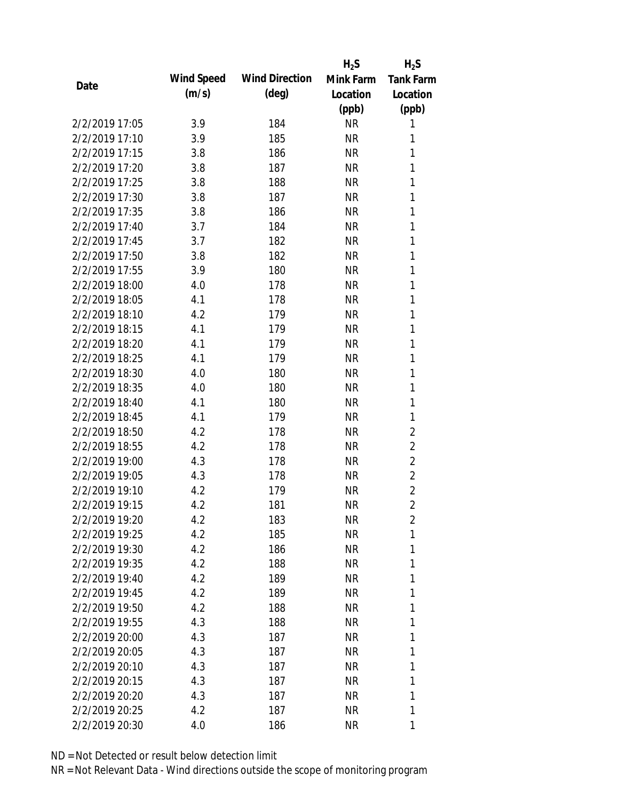|                |            |                       | $H_2S$    | $H_2S$           |
|----------------|------------|-----------------------|-----------|------------------|
| Date           | Wind Speed | <b>Wind Direction</b> | Mink Farm | <b>Tank Farm</b> |
|                | (m/s)      | $(\text{deg})$        | Location  | Location         |
|                |            |                       | (ppb)     | (ppb)            |
| 2/2/2019 17:05 | 3.9        | 184                   | <b>NR</b> | 1                |
| 2/2/2019 17:10 | 3.9        | 185                   | <b>NR</b> | 1                |
| 2/2/2019 17:15 | 3.8        | 186                   | <b>NR</b> | 1                |
| 2/2/2019 17:20 | 3.8        | 187                   | <b>NR</b> | 1                |
| 2/2/2019 17:25 | 3.8        | 188                   | <b>NR</b> | 1                |
| 2/2/2019 17:30 | 3.8        | 187                   | <b>NR</b> | 1                |
| 2/2/2019 17:35 | 3.8        | 186                   | <b>NR</b> | 1                |
| 2/2/2019 17:40 | 3.7        | 184                   | <b>NR</b> | $\mathbf{1}$     |
| 2/2/2019 17:45 | 3.7        | 182                   | <b>NR</b> | 1                |
| 2/2/2019 17:50 | 3.8        | 182                   | <b>NR</b> | 1                |
| 2/2/2019 17:55 | 3.9        | 180                   | <b>NR</b> | 1                |
| 2/2/2019 18:00 | 4.0        | 178                   | <b>NR</b> | 1                |
| 2/2/2019 18:05 | 4.1        | 178                   | <b>NR</b> | 1                |
| 2/2/2019 18:10 | 4.2        | 179                   | <b>NR</b> | 1                |
| 2/2/2019 18:15 | 4.1        | 179                   | <b>NR</b> | 1                |
| 2/2/2019 18:20 | 4.1        | 179                   | <b>NR</b> | 1                |
| 2/2/2019 18:25 | 4.1        | 179                   | <b>NR</b> | 1                |
| 2/2/2019 18:30 | 4.0        | 180                   | <b>NR</b> | 1                |
| 2/2/2019 18:35 | 4.0        | 180                   | <b>NR</b> | 1                |
| 2/2/2019 18:40 | 4.1        | 180                   | <b>NR</b> | 1                |
| 2/2/2019 18:45 | 4.1        | 179                   | <b>NR</b> | 1                |
| 2/2/2019 18:50 | 4.2        | 178                   | <b>NR</b> | $\overline{2}$   |
| 2/2/2019 18:55 | 4.2        | 178                   | <b>NR</b> | $\overline{2}$   |
| 2/2/2019 19:00 | 4.3        | 178                   | <b>NR</b> | $\overline{2}$   |
| 2/2/2019 19:05 | 4.3        | 178                   | <b>NR</b> | $\overline{2}$   |
| 2/2/2019 19:10 | 4.2        | 179                   | <b>NR</b> | $\overline{2}$   |
| 2/2/2019 19:15 | 4.2        | 181                   | <b>NR</b> | $\overline{2}$   |
| 2/2/2019 19:20 | 4.2        | 183                   | <b>NR</b> | 2                |
| 2/2/2019 19:25 | 4.2        | 185                   | <b>NR</b> | 1                |
| 2/2/2019 19:30 | 4.2        | 186                   | <b>NR</b> | 1                |
| 2/2/2019 19:35 | 4.2        | 188                   | <b>NR</b> | 1                |
| 2/2/2019 19:40 | 4.2        | 189                   | <b>NR</b> | 1                |
| 2/2/2019 19:45 | 4.2        | 189                   | <b>NR</b> | 1                |
| 2/2/2019 19:50 | 4.2        | 188                   | <b>NR</b> | 1                |
| 2/2/2019 19:55 | 4.3        | 188                   | <b>NR</b> | 1                |
| 2/2/2019 20:00 | 4.3        | 187                   | <b>NR</b> | 1                |
| 2/2/2019 20:05 | 4.3        | 187                   | <b>NR</b> | 1                |
| 2/2/2019 20:10 | 4.3        | 187                   | <b>NR</b> | 1                |
| 2/2/2019 20:15 | 4.3        | 187                   | <b>NR</b> | 1                |
| 2/2/2019 20:20 | 4.3        | 187                   | <b>NR</b> | 1                |
| 2/2/2019 20:25 | 4.2        | 187                   | <b>NR</b> | 1                |
| 2/2/2019 20:30 | 4.0        | 186                   | <b>NR</b> | 1                |
|                |            |                       |           |                  |